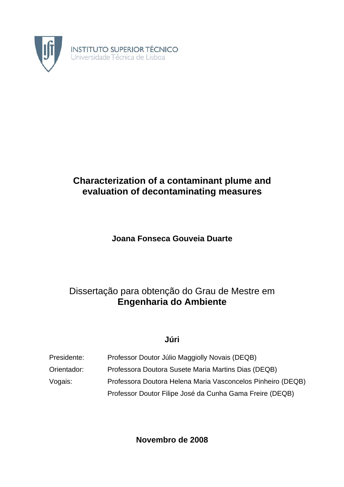

# **Characterization of a contaminant plume and evaluation of decontaminating measures**

# **Joana Fonseca Gouveia Duarte**

# Dissertação para obtenção do Grau de Mestre em **Engenharia do Ambiente**

## **Júri**

| Presidente: | Professor Doutor Júlio Maggiolly Novais (DEQB)              |
|-------------|-------------------------------------------------------------|
| Orientador: | Professora Doutora Susete Maria Martins Dias (DEQB)         |
| Vogais:     | Professora Doutora Helena Maria Vasconcelos Pinheiro (DEQB) |
|             | Professor Doutor Filipe José da Cunha Gama Freire (DEQB)    |

**Novembro de 2008**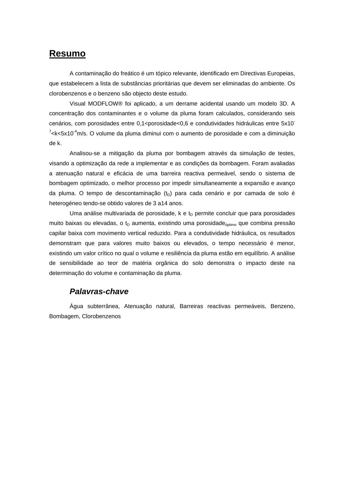## **Resumo**

A contaminação do freático é um tópico relevante, identificado em Directivas Europeias, que estabelecem a lista de substâncias prioritárias que devem ser eliminadas do ambiente. Os clorobenzenos e o benzeno são objecto deste estudo.

Visual MODFLOW® foi aplicado, a um derrame acidental usando um modelo 3D. A concentração dos contaminantes e o volume da pluma foram calculados, considerando seis cenários, com porosidades entre 0,1<porosidade<0,6 e condutividades hidráulicas entre 5x10  $7$ <k<5x10<sup>-4</sup>m/s. O volume da pluma diminui com o aumento de porosidade e com a diminuição de k.

Analisou-se a mitigação da pluma por bombagem através da simulação de testes, visando a optimização da rede a implementar e as condições da bombagem. Foram avaliadas a atenuação natural e eficácia de uma barreira reactiva permeável, sendo o sistema de bombagem optimizado, o melhor processo por impedir simultaneamente a expansão e avanço da pluma. O tempo de descontaminação  $(t<sub>D</sub>)$  para cada cenário e por camada de solo é heterogéneo tendo-se obtido valores de 3 a14 anos.

Uma análise multivariada de porosidade,  $k \in t_D$  permite concluir que para porosidades muito baixas ou elevadas, o  $t_D$  aumenta, existindo uma porosidade $_{\text{\'eptimo}}$  que combina pressão capilar baixa com movimento vertical reduzido. Para a condutividade hidráulica, os resultados demonstram que para valores muito baixos ou elevados, o tempo necessário é menor, existindo um valor crítico no qual o volume e resiliência da pluma estão em equilíbrio. A análise de sensibilidade ao teor de matéria orgânica do solo demonstra o impacto deste na determinação do volume e contaminação da pluma.

#### *Palavras-chave*

Água subterrânea, Atenuação natural, Barreiras reactivas permeáveis, Benzeno, Bombagem, Clorobenzenos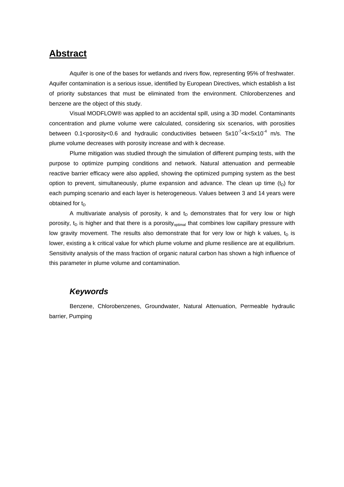## **Abstract**

Aquifer is one of the bases for wetlands and rivers flow, representing 95% of freshwater. Aquifer contamination is a serious issue, identified by European Directives, which establish a list of priority substances that must be eliminated from the environment. Chlorobenzenes and benzene are the object of this study.

Visual MODFLOW® was applied to an accidental spill, using a 3D model. Contaminants concentration and plume volume were calculated, considering six scenarios, with porosities between 0.1<porosity<0.6 and hydraulic conductivities between  $5x10^{-7}$ <k<5x10<sup>-4</sup> m/s. The plume volume decreases with porosity increase and with k decrease.

Plume mitigation was studied through the simulation of different pumping tests, with the purpose to optimize pumping conditions and network. Natural attenuation and permeable reactive barrier efficacy were also applied, showing the optimized pumping system as the best option to prevent, simultaneously, plume expansion and advance. The clean up time  $(t<sub>D</sub>)$  for each pumping scenario and each layer is heterogeneous. Values between 3 and 14 years were obtained for  $t_D$ 

A multivariate analysis of porosity, k and  $t<sub>D</sub>$  demonstrates that for very low or high porosity,  $t_D$  is higher and that there is a porosity<sub>optimal</sub> that combines low capillary pressure with low gravity movement. The results also demonstrate that for very low or high k values,  $t<sub>D</sub>$  is lower, existing a k critical value for which plume volume and plume resilience are at equilibrium. Sensitivity analysis of the mass fraction of organic natural carbon has shown a high influence of this parameter in plume volume and contamination.

### *Keywords*

Benzene, Chlorobenzenes, Groundwater, Natural Attenuation, Permeable hydraulic barrier, Pumping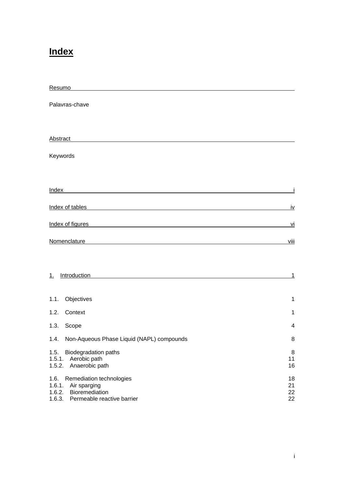# **Index**

| Resumo                                                                                                                                                                                                                               |                      |
|--------------------------------------------------------------------------------------------------------------------------------------------------------------------------------------------------------------------------------------|----------------------|
| Palavras-chave                                                                                                                                                                                                                       |                      |
|                                                                                                                                                                                                                                      |                      |
| Abstract                                                                                                                                                                                                                             |                      |
| Keywords                                                                                                                                                                                                                             |                      |
|                                                                                                                                                                                                                                      |                      |
| Index of tables                                                                                                                                                                                                                      | <u>iv</u>            |
| <u>Index of figures and the set of the set of the set of the set of the set of the set of the set of the set of the set of the set of the set of the set of the set of the set of the set of the set of the set of the set of th</u> | <u>vi</u>            |
| Nomenclature <b>Note</b> that the set of the set of the set of the set of the set of the set of the set of the set of the set of the set of the set of the set of the set of the set of the set of the set of the set of the set of  | viii                 |
|                                                                                                                                                                                                                                      |                      |
| Introduction<br>$\perp$                                                                                                                                                                                                              | <u>1</u>             |
| 1.1.<br>Objectives                                                                                                                                                                                                                   | 1                    |
| 1.2.<br>Context                                                                                                                                                                                                                      | 1                    |
| 1.3.<br>Scope                                                                                                                                                                                                                        | 4                    |
| Non-Aqueous Phase Liquid (NAPL) compounds<br>1.4.                                                                                                                                                                                    | 8                    |
| <b>Biodegradation paths</b><br>1.5.<br>1.5.1.<br>Aerobic path<br>Anaerobic path<br>1.5.2.                                                                                                                                            | 8<br>11<br>16        |
| Remediation technologies<br>1.6.<br>1.6.1.<br>Air sparging<br>1.6.2.<br>Bioremediation<br>Permeable reactive barrier<br>1.6.3.                                                                                                       | 18<br>21<br>22<br>22 |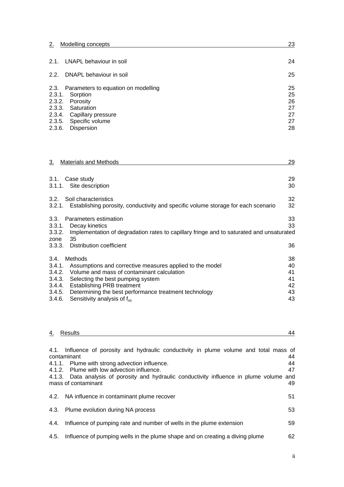| $\sim$<br><u>.</u><br>___ | Modelling concepts | n, |
|---------------------------|--------------------|----|
|                           |                    |    |

|        | 2.1. LNAPL behaviour in soil             | 24 |
|--------|------------------------------------------|----|
|        | 2.2. DNAPL behaviour in soil             | 25 |
|        | 2.3. Parameters to equation on modelling | 25 |
|        | 2.3.1. Sorption                          | 25 |
|        | 2.3.2. Porosity                          | 26 |
|        | 2.3.3. Saturation                        | 27 |
|        | 2.3.4. Capillary pressure                | 27 |
|        | 2.3.5. Specific volume                   | 27 |
| 2.3.6. | Dispersion                               | 28 |

| 3.<br><b>Materials and Methods</b>                                                                                                                                                                                                                                                                                                         | 29                                     |
|--------------------------------------------------------------------------------------------------------------------------------------------------------------------------------------------------------------------------------------------------------------------------------------------------------------------------------------------|----------------------------------------|
| 3.1. Case study<br>3.1.1. Site description                                                                                                                                                                                                                                                                                                 | 29<br>30                               |
| 3.2. Soil characteristics<br>3.2.1. Establishing porosity, conductivity and specific volume storage for each scenario                                                                                                                                                                                                                      | 32<br>32                               |
| Parameters estimation<br>3.3.<br>3.3.1. Decay kinetics<br>Implementation of degradation rates to capillary fringe and to saturated and unsaturated<br>3.3.2.<br>35<br>zone                                                                                                                                                                 | 33<br>33                               |
| 3.3.3. Distribution coefficient                                                                                                                                                                                                                                                                                                            | 36                                     |
| 3.4.<br>Methods<br>3.4.1. Assumptions and corrective measures applied to the model<br>3.4.2. Volume and mass of contaminant calculation<br>3.4.3. Selecting the best pumping system<br>3.4.4. Establishing PRB treatment<br>3.4.5. Determining the best performance treatment technology<br>Sensitivity analysis of $f_{\rm oc}$<br>3.4.6. | 38<br>40<br>41<br>41<br>42<br>43<br>43 |

|      | 4. Results                                                                                                                                                                                                                                                                                                                | 44                   |
|------|---------------------------------------------------------------------------------------------------------------------------------------------------------------------------------------------------------------------------------------------------------------------------------------------------------------------------|----------------------|
|      | 4.1. Influence of porosity and hydraulic conductivity in plume volume and total mass of<br>contaminant<br>4.1.1. Plume with strong advection influence.<br>4.1.2. Plume with low advection influence.<br>4.1.3. Data analysis of porosity and hydraulic conductivity influence in plume volume and<br>mass of contaminant | 44<br>44<br>47<br>49 |
|      | 4.2. NA influence in contaminant plume recover                                                                                                                                                                                                                                                                            | 51                   |
|      | 4.3. Plume evolution during NA process                                                                                                                                                                                                                                                                                    | 53                   |
|      | 4.4. Influence of pumping rate and number of wells in the plume extension                                                                                                                                                                                                                                                 | 59                   |
| 4.5. | Influence of pumping wells in the plume shape and on creating a diving plume                                                                                                                                                                                                                                              | 62                   |
|      |                                                                                                                                                                                                                                                                                                                           |                      |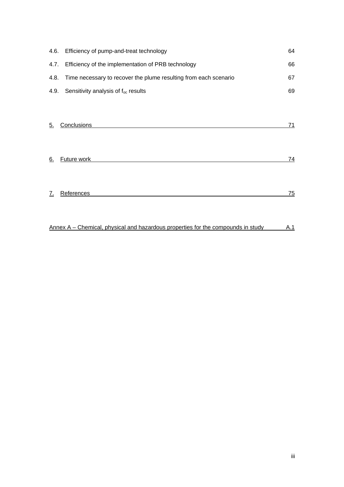|      | 4.6. Efficiency of pump-and-treat technology                     | 64 |
|------|------------------------------------------------------------------|----|
| 4.7. | Efficiency of the implementation of PRB technology               | 66 |
| 4.8. | Time necessary to recover the plume resulting from each scenario | 67 |
|      | 4.9. Sensitivity analysis of $f_{oc}$ results                    | 69 |
|      |                                                                  |    |
| 5.   | Conclusions                                                      | 71 |
| 6.   | Future work                                                      | 74 |
| 7.   | References                                                       | 75 |

Annex  $A -$  Chemical, physical and hazardous properties for the compounds in study  $A.1$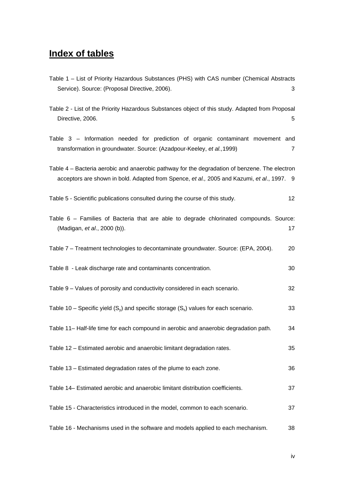# **Index of tables**

| Table 1 - List of Priority Hazardous Substances (PHS) with CAS number (Chemical Abstracts                                                                                                   |                 |
|---------------------------------------------------------------------------------------------------------------------------------------------------------------------------------------------|-----------------|
| Service). Source: (Proposal Directive, 2006).                                                                                                                                               | 3               |
| Table 2 - List of the Priority Hazardous Substances object of this study. Adapted from Proposal<br>Directive, 2006.                                                                         | 5               |
| Table 3 – Information needed for prediction of organic contaminant movement and<br>transformation in groundwater. Source: (Azadpour-Keeley, et al., 1999)                                   | $\overline{7}$  |
| Table 4 – Bacteria aerobic and anaerobic pathway for the degradation of benzene. The electron<br>acceptors are shown in bold. Adapted from Spence, et al., 2005 and Kazumi, et al., 1997. 9 |                 |
| Table 5 - Scientific publications consulted during the course of this study.                                                                                                                | 12 <sub>2</sub> |
| Table 6 - Families of Bacteria that are able to degrade chlorinated compounds. Source:<br>(Madigan, et al., 2000 (b)).                                                                      | 17              |
| Table 7 – Treatment technologies to decontaminate groundwater. Source: (EPA, 2004).                                                                                                         | 20              |
| Table 8 - Leak discharge rate and contaminants concentration.                                                                                                                               | 30              |
| Table 9 - Values of porosity and conductivity considered in each scenario.                                                                                                                  | 32              |
| Table 10 – Specific yield $(S_v)$ and specific storage $(S_s)$ values for each scenario.                                                                                                    | 33              |
| Table 11- Half-life time for each compound in aerobic and anaerobic degradation path.                                                                                                       | 34              |
| Table 12 - Estimated aerobic and anaerobic limitant degradation rates.                                                                                                                      | 35              |
| Table 13 - Estimated degradation rates of the plume to each zone.                                                                                                                           | 36              |
| Table 14- Estimated aerobic and anaerobic limitant distribution coefficients.                                                                                                               | 37              |
| Table 15 - Characteristics introduced in the model, common to each scenario.                                                                                                                | 37              |
| Table 16 - Mechanisms used in the software and models applied to each mechanism.                                                                                                            | 38              |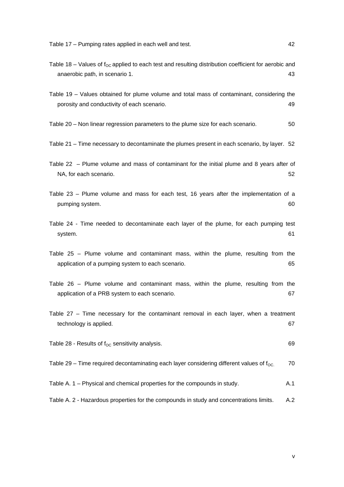Table 17 – Pumping rates applied in each well and test. 42

- Table 18 Values of  $f_{OC}$  applied to each test and resulting distribution coefficient for aerobic and anaerobic path, in scenario 1. 43 Table 19 – Values obtained for plume volume and total mass of contaminant, considering the porosity and conductivity of each scenario. 49 Table 20 – Non linear regression parameters to the plume size for each scenario.  $50$ Table 21 – Time necessary to decontaminate the plumes present in each scenario, by layer. 52 Table 22 – Plume volume and mass of contaminant for the initial plume and 8 years after of NA, for each scenario. 52 Table 23 – Plume volume and mass for each test, 16 years after the implementation of a pumping system. 60 system. 61 Table 27 – Time necessary for the contaminant removal in each layer, when a treatment technology is applied. 67 Table 28 - Results of  $f_{\rm OC}$  sensitivity analysis. 69 Table 29 – Time required decontaminating each layer considering different values of  $f_{\text{OC}}$ . 70
- Table A. 1 Physical and chemical properties for the compounds in study. A. 1
- Table A. 2 Hazardous properties for the compounds in study and concentrations limits. A.2

v

- Table 24 Time needed to decontaminate each layer of the plume, for each pumping test
- Table 25 Plume volume and contaminant mass, within the plume, resulting from the application of a pumping system to each scenario. 65
- Table 26 Plume volume and contaminant mass, within the plume, resulting from the application of a PRB system to each scenario. 67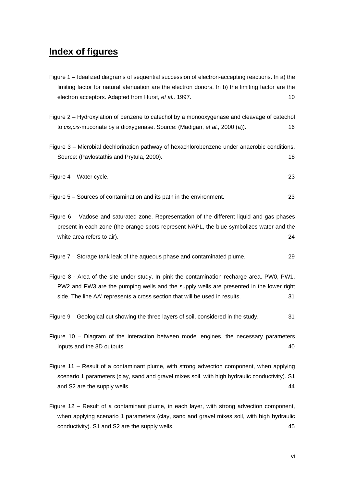# **Index of figures**

| Figure 1 – Idealized diagrams of sequential succession of electron-accepting reactions. In a) the |
|---------------------------------------------------------------------------------------------------|
| limiting factor for natural atenuation are the electron donors. In b) the limiting factor are the |
| electron acceptors. Adapted from Hurst, et al., 1997.<br>10                                       |
|                                                                                                   |
| Figure 2 - Hydroxylation of benzene to catechol by a monooxygenase and cleavage of catechol       |
| to cis, cis-muconate by a dioxygenase. Source: (Madigan, et al., 2000 (a)).<br>16                 |
| Figure 3 - Microbial dechlorination pathway of hexachlorobenzene under anaerobic conditions.      |
| Source: (Pavlostathis and Prytula, 2000).<br>18                                                   |
|                                                                                                   |
| Figure 4 - Water cycle.<br>23                                                                     |
|                                                                                                   |
| Figure 5 - Sources of contamination and its path in the environment.<br>23                        |
|                                                                                                   |
| Figure 6 – Vadose and saturated zone. Representation of the different liquid and gas phases       |
| present in each zone (the orange spots represent NAPL, the blue symbolizes water and the          |
| white area refers to air).<br>24                                                                  |
|                                                                                                   |
| Figure 7 – Storage tank leak of the aqueous phase and contaminated plume.<br>29                   |
|                                                                                                   |
| Figure 8 - Area of the site under study. In pink the contamination recharge area. PW0, PW1,       |
| PW2 and PW3 are the pumping wells and the supply wells are presented in the lower right           |
| side. The line AA' represents a cross section that will be used in results.<br>31                 |
|                                                                                                   |
| Figure 9 – Geological cut showing the three layers of soil, considered in the study.<br>31        |
|                                                                                                   |
| Figure 10 - Diagram of the interaction between model engines, the necessary parameters            |
| inputs and the 3D outputs.<br>40                                                                  |
|                                                                                                   |
| Figure 11 – Result of a contaminant plume, with strong advection component, when applying         |
| scenario 1 parameters (clay, sand and gravel mixes soil, with high hydraulic conductivity). S1    |
| and S2 are the supply wells.<br>44                                                                |
|                                                                                                   |
| Figure 12 - Result of a contaminant plume, in each layer, with strong advection component,        |

when applying scenario 1 parameters (clay, sand and gravel mixes soil, with high hydraulic conductivity). S1 and S2 are the supply wells. 45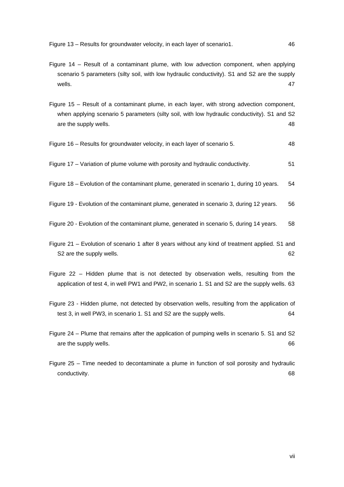Figure 13 – Results for groundwater velocity, in each layer of scenario1. 46

- Figure 14 Result of a contaminant plume, with low advection component, when applying scenario 5 parameters (silty soil, with low hydraulic conductivity). S1 and S2 are the supply wells.  $47$
- Figure 15 Result of a contaminant plume, in each layer, with strong advection component, when applying scenario 5 parameters (silty soil, with low hydraulic conductivity). S1 and S2 are the supply wells. 48
- Figure 16 Results for groundwater velocity, in each layer of scenario 5. 48
- Figure 17 Variation of plume volume with porosity and hydraulic conductivity. 51
- Figure 18 Evolution of the contaminant plume, generated in scenario 1, during 10 years. 54
- Figure 19 Evolution of the contaminant plume, generated in scenario 3, during 12 years. 56
- Figure 20 Evolution of the contaminant plume, generated in scenario 5, during 14 years. 58
- Figure 21 Evolution of scenario 1 after 8 years without any kind of treatment applied. S1 and S2 are the supply wells. 62
- Figure 22 Hidden plume that is not detected by observation wells, resulting from the application of test 4, in well PW1 and PW2, in scenario 1. S1 and S2 are the supply wells. 63
- Figure 23 Hidden plume, not detected by observation wells, resulting from the application of test 3, in well PW3, in scenario 1. S1 and S2 are the supply wells. 64
- Figure 24 Plume that remains after the application of pumping wells in scenario 5. S1 and S2 are the supply wells. 66
- Figure 25 Time needed to decontaminate a plume in function of soil porosity and hydraulic conductivity. 68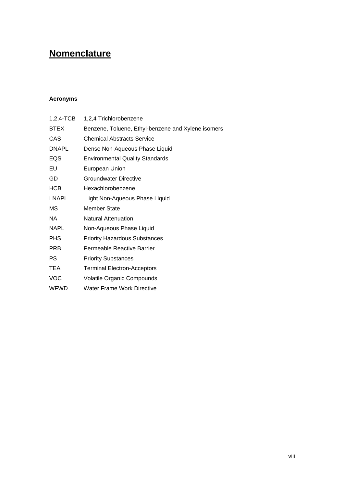# **Nomenclature**

#### **Acronyms**

| $1,2,4$ -TCB | 1,2,4 Trichlorobenzene                             |
|--------------|----------------------------------------------------|
| BTEX         | Benzene, Toluene, Ethyl-benzene and Xylene isomers |
| CAS          | <b>Chemical Abstracts Service</b>                  |
| <b>DNAPL</b> | Dense Non-Aqueous Phase Liquid                     |
| EQS          | <b>Environmental Quality Standards</b>             |
| EU           | European Union                                     |
| GD           | Groundwater Directive                              |
| HCB          | Hexachlorobenzene                                  |
| <b>LNAPL</b> | Light Non-Aqueous Phase Liquid                     |
| MS.          | Member State                                       |
| NA.          | Natural Attenuation                                |
| NAPL         | Non-Aqueous Phase Liquid                           |
| <b>PHS</b>   | <b>Priority Hazardous Substances</b>               |
| <b>PRB</b>   | Permeable Reactive Barrier                         |
| PS           | <b>Priority Substances</b>                         |
| <b>TEA</b>   | <b>Terminal Electron-Acceptors</b>                 |
| VOC          | <b>Volatile Organic Compounds</b>                  |
| WFWD         | Water Frame Work Directive                         |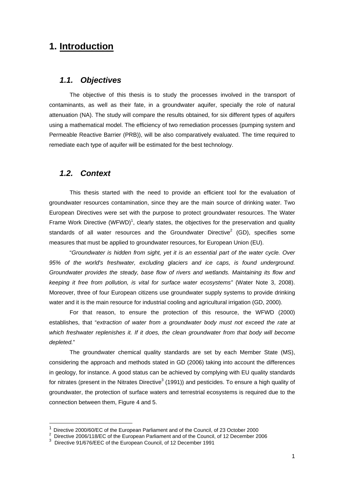## **1. Introduction**

#### *1.1. Objectives*

The objective of this thesis is to study the processes involved in the transport of contaminants, as well as their fate, in a groundwater aquifer, specially the role of natural attenuation (NA). The study will compare the results obtained, for six different types of aquifers using a mathematical model. The efficiency of two remediation processes (pumping system and Permeable Reactive Barrier (PRB)), will be also comparatively evaluated. The time required to remediate each type of aquifer will be estimated for the best technology.

#### *1.2. Context*

This thesis started with the need to provide an efficient tool for the evaluation of groundwater resources contamination, since they are the main source of drinking water. Two European Directives were set with the purpose to protect groundwater resources. The Water Frame Work Directive (WFWD)<sup>1</sup>, clearly states, the objectives for the preservation and quality standards of all water resources and the Groundwater Directive<sup>2</sup> (GD), specifies some measures that must be applied to groundwater resources, for European Union (EU).

"*Groundwater is hidden from sight, yet it is an essential part of the water cycle. Over 95% of the world's freshwater, excluding glaciers and ice caps, is found underground. Groundwater provides the steady, base flow of rivers and wetlands. Maintaining its flow and keeping it free from pollution, is vital for surface water ecosystems"* (Water Note 3, 2008). Moreover, three of four European citizens use groundwater supply systems to provide drinking water and it is the main resource for industrial cooling and agricultural irrigation (GD, 2000).

For that reason, to ensure the protection of this resource, the WFWD (2000) establishes, that "*extraction of water from a groundwater body must not exceed the rate at which freshwater replenishes it. If it does, the clean groundwater from that body will become depleted.*"

The groundwater chemical quality standards are set by each Member State (MS), considering the approach and methods stated in GD (2006) taking into account the differences in geology, for instance. A good status can be achieved by complying with EU quality standards for nitrates (present in the Nitrates Directive<sup>3</sup> (1991)) and pesticides. To ensure a high quality of groundwater, the protection of surface waters and terrestrial ecosystems is required due to the connection between them, Figure 4 and 5.

j.

<sup>&</sup>lt;sup>1</sup> Directive 2000/60/EC of the European Parliament and of the Council, of 23 October 2000<br><sup>2</sup> Directive 2006/448/EC of the European Parliament and of the Council, of 43 Desember 20

Directive 2006/118/EC of the European Parliament and of the Council, of 12 December 2006

<sup>&</sup>lt;sup>3</sup> Directive 91/676/EEC of the European Council, of 12 December 1991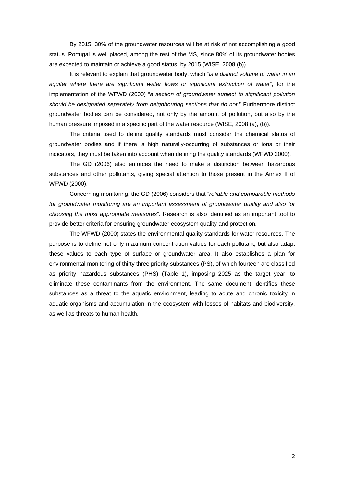By 2015, 30% of the groundwater resources will be at risk of not accomplishing a good status. Portugal is well placed, among the rest of the MS, since 80% of its groundwater bodies are expected to maintain or achieve a good status, by 2015 (WISE, 2008 (b)).

It is relevant to explain that groundwater body, which "*is a distinct volume of water in an aquifer where there are significant water flows or significant extraction of water*", for the implementation of the WFWD (2000) "*a section of groundwater subject to significant pollution should be designated separately from neighbouring sections that do not*." Furthermore distinct groundwater bodies can be considered, not only by the amount of pollution, but also by the human pressure imposed in a specific part of the water resource (WISE, 2008 (a), (b)).

The criteria used to define quality standards must consider the chemical status of groundwater bodies and if there is high naturally-occurring of substances or ions or their indicators, they must be taken into account when defining the quality standards (WFWD,2000).

The GD (2006) also enforces the need to make a distinction between hazardous substances and other pollutants, giving special attention to those present in the Annex II of WFWD (2000).

Concerning monitoring, the GD (2006) considers that "*reliable and comparable methods for groundwater monitoring are an important assessment of groundwater quality and also for choosing the most appropriate measures*". Research is also identified as an important tool to provide better criteria for ensuring groundwater ecosystem quality and protection.

The WFWD (2000) states the environmental quality standards for water resources. The purpose is to define not only maximum concentration values for each pollutant, but also adapt these values to each type of surface or groundwater area. It also establishes a plan for environmental monitoring of thirty three priority substances (PS), of which fourteen are classified as priority hazardous substances (PHS) (Table 1), imposing 2025 as the target year, to eliminate these contaminants from the environment. The same document identifies these substances as a threat to the aquatic environment, leading to acute and chronic toxicity in aquatic organisms and accumulation in the ecosystem with losses of habitats and biodiversity, as well as threats to human health.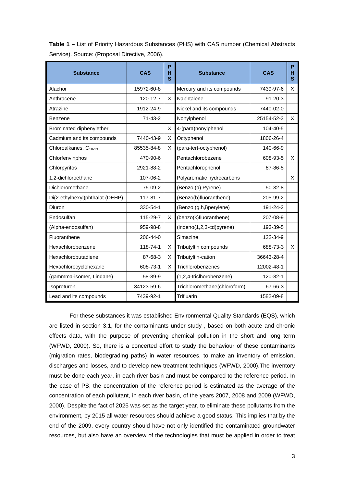| <b>Substance</b>                  | CAS           | P<br>н<br>S | <b>Substance</b>             | CAS           | P<br>н<br>s |
|-----------------------------------|---------------|-------------|------------------------------|---------------|-------------|
| Alachor                           | 15972-60-8    |             | Mercury and its compounds    | 7439-97-6     | X           |
| Anthracene                        | 120-12-7      | X           | Naphtalene                   | $91 - 20 - 3$ |             |
| Atrazine                          | 1912-24-9     |             | Nickel and its compounds     | 7440-02-0     |             |
| Benzene                           | $71 - 43 - 2$ |             | Nonylphenol                  | 25154-52-3    | X           |
| Brominated diphenylether          |               | X           | 4-(para)nonylphenol          | 104-40-5      |             |
| Cadmium and its compounds         | 7440-43-9     | X           | Octyphenol                   | 1806-26-4     |             |
| Chloroalkanes, C <sub>10-13</sub> | 85535-84-8    | X           | (para-tert-octyphenol)       | 140-66-9      |             |
| Chlorfenvinphos                   | 470-90-6      |             | Pentachlorobezene            | 608-93-5      | X           |
| Chlorpyrifos                      | 2921-88-2     |             | Pentachlorophenol            | 87-86-5       |             |
| 1,2-dichloroethane                | 107-06-2      |             | Polyaromatic hydrocarbons    |               | X           |
| Dichloromethane                   | 75-09-2       |             | (Benzo (a) Pyrene)           | $50-32-8$     |             |
| Di(2-ethylhexyl)phthalat (DEHP)   | 117-81-7      |             | (Benzo(b)fluoranthene)       | 205-99-2      |             |
| <b>Diuron</b>                     | 330-54-1      |             | (Benzo (g,h,i)perylene)      | 191-24-2      |             |
| Endosulfan                        | 115-29-7      | X.          | (benzo(k)fluoranthene)       | 207-08-9      |             |
| (Alpha-endosulfan)                | 959-98-8      |             | $(indeno(1,2,3-cd)pyrene)$   | 193-39-5      |             |
| Fluoranthene                      | 206-44-0      |             | Simazine                     | 122-34-9      |             |
| Hexachlorobenzene                 | 118-74-1      | X           | Tributyltin compounds        | 688-73-3      | X           |
| Hexachlorobutadiene               | 87-68-3       | X           | Tributyltin-cation           | 36643-28-4    |             |
| Hexachlorocyclohexane             | 608-73-1      | X           | Trichlorobenzenes            | 12002-48-1    |             |
| (gammma-isomer, Lindane)          | 58-89-9       |             | (1,2,4-triclhorobenzene)     | 120-82-1      |             |
| Isoproturon                       | 34123-59-6    |             | Trichloromethane(chloroform) | 67-66-3       |             |
| Lead and its compounds            | 7439-92-1     |             | Trifluarin                   | 1582-09-8     |             |

**Table 1 –** List of Priority Hazardous Substances (PHS) with CAS number (Chemical Abstracts Service). Source: (Proposal Directive, 2006).

For these substances it was established Environmental Quality Standards (EQS), which are listed in section 3.1, for the contaminants under study , based on both acute and chronic effects data, with the purpose of preventing chemical pollution in the short and long term (WFWD, 2000). So, there is a concerted effort to study the behaviour of these contaminants (migration rates, biodegrading paths) in water resources, to make an inventory of emission, discharges and losses, and to develop new treatment techniques (WFWD, 2000).The inventory must be done each year, in each river basin and must be compared to the reference period. In the case of PS, the concentration of the reference period is estimated as the average of the concentration of each pollutant, in each river basin, of the years 2007, 2008 and 2009 (WFWD, 2000). Despite the fact of 2025 was set as the target year, to eliminate these pollutants from the environment, by 2015 all water resources should achieve a good status. This implies that by the end of the 2009, every country should have not only identified the contaminated groundwater resources, but also have an overview of the technologies that must be applied in order to treat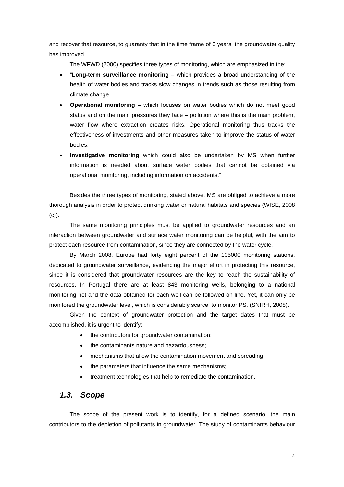and recover that resource, to guaranty that in the time frame of 6 years the groundwater quality has improved.

The WFWD (2000) specifies three types of monitoring, which are emphasized in the:

- "**Long-term surveillance monitoring** which provides a broad understanding of the health of water bodies and tracks slow changes in trends such as those resulting from climate change.
- **Operational monitoring** which focuses on water bodies which do not meet good status and on the main pressures they face – pollution where this is the main problem, water flow where extraction creates risks. Operational monitoring thus tracks the effectiveness of investments and other measures taken to improve the status of water bodies.
- **Investigative monitoring** which could also be undertaken by MS when further information is needed about surface water bodies that cannot be obtained via operational monitoring, including information on accidents."

Besides the three types of monitoring, stated above, MS are obliged to achieve a more thorough analysis in order to protect drinking water or natural habitats and species (WISE, 2008 (c)).

The same monitoring principles must be applied to groundwater resources and an interaction between groundwater and surface water monitoring can be helpful, with the aim to protect each resource from contamination, since they are connected by the water cycle.

By March 2008, Europe had forty eight percent of the 105000 monitoring stations, dedicated to groundwater surveillance, evidencing the major effort in protecting this resource, since it is considered that groundwater resources are the key to reach the sustainability of resources. In Portugal there are at least 843 monitoring wells, belonging to a national monitoring net and the data obtained for each well can be followed on-line. Yet, it can only be monitored the groundwater level, which is considerably scarce, to monitor PS. (SNIRH, 2008).

Given the context of groundwater protection and the target dates that must be accomplished, it is urgent to identify:

- the contributors for groundwater contamination;
- the contaminants nature and hazardousness:
- mechanisms that allow the contamination movement and spreading;
- the parameters that influence the same mechanisms;
- treatment technologies that help to remediate the contamination.

#### *1.3. Scope*

The scope of the present work is to identify, for a defined scenario, the main contributors to the depletion of pollutants in groundwater. The study of contaminants behaviour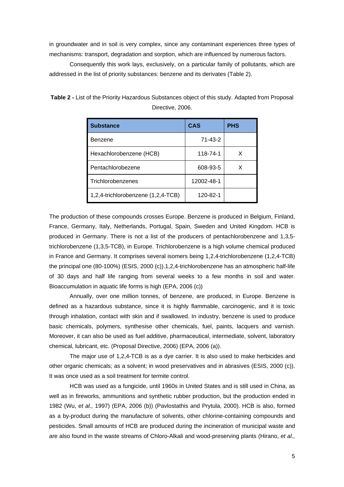in groundwater and in soil is very complex, since any contaminant experiences three types of mechanisms: transport, degradation and sorption, which are influenced by numerous factors.

Consequently this work lays, exclusively, on a particular family of pollutants, which are addressed in the list of priority substances: benzene and its derivates (Table 2).

| <b>Substance</b>                   | <b>CAS</b>    | <b>PHS</b> |
|------------------------------------|---------------|------------|
| Benzene                            | $71 - 43 - 2$ |            |
| Hexachlorobenzene (HCB)            | 118-74-1      | х          |
| Pentachlorobezene                  | 608-93-5      | x          |
| Trichlorobenzenes                  | 12002-48-1    |            |
| 1,2,4-trichlorobenzene (1,2,4-TCB) | 120-82-1      |            |

**Table 2 -** List of the Priority Hazardous Substances object of this study. Adapted from Proposal Directive, 2006.

The production of these compounds crosses Europe. Benzene is produced in Belgium, Finland, France, Germany, Italy, Netherlands, Portugal, Spain, Sweden and United Kingdom. HCB is produced in Germany. There is not a list of the producers of pentachlorobenzene and 1,3,5 trichlorobenzene (1,3,5-TCB), in Europe. Trichlorobenzene is a high volume chemical produced in France and Germany. It comprises several isomers being 1,2,4-trichlorobenzene (1,2,4-TCB) the principal one (80-100%) (ESIS, 2000 (c)).1,2,4-trichlorobenzene has an atmospheric half-life of 30 days and half life ranging from several weeks to a few months in soil and water. Bioaccumulation in aquatic life forms is high (EPA, 2006 (c))

Annually, over one million tonnes, of benzene, are produced, in Europe. Benzene is defined as a hazardous substance, since it is highly flammable, carcinogenic, and it is toxic through inhalation, contact with skin and if swallowed. In industry, benzene is used to produce basic chemicals, polymers, synthesise other chemicals, fuel, paints, lacquers and varnish. Moreover, it can also be used as fuel additive, pharmaceutical, intermediate, solvent, laboratory chemical, lubricant, etc. (Proposal Directive, 2006) (EPA, 2006 (a)).

The major use of 1,2,4-TCB is as a dye carrier. It is also used to make herbicides and other organic chemicals; as a solvent; in wood preservatives and in abrasives (ESIS, 2000 (c)). It was once used as a soil treatment for termite control.

HCB was used as a fungicide, until 1960s in United States and is still used in China, as well as in fireworks, ammunitions and synthetic rubber production, but the production ended in 1982 (Wu, *et al.,* 1997) (EPA, 2006 (b)) (Pavlostathis and Prytula, 2000). HCB is also, formed as a by-product during the manufacture of solvents, other chlorine-containing compounds and pesticides. Small amounts of HCB are produced during the incineration of municipal waste and are also found in the waste streams of Chloro-Alkali and wood-preserving plants (Hirano, *et al.,*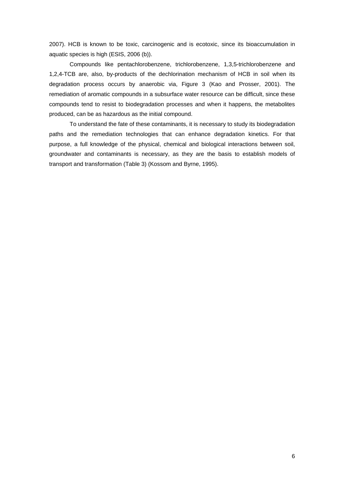2007). HCB is known to be toxic, carcinogenic and is ecotoxic, since its bioaccumulation in aquatic species is high (ESIS, 2006 (b)).

Compounds like pentachlorobenzene, trichlorobenzene, 1,3,5-trichlorobenzene and 1,2,4-TCB are, also, by-products of the dechlorination mechanism of HCB in soil when its degradation process occurs by anaerobic via, Figure 3 (Kao and Prosser, 2001). The remediation of aromatic compounds in a subsurface water resource can be difficult, since these compounds tend to resist to biodegradation processes and when it happens, the metabolites produced, can be as hazardous as the initial compound.

To understand the fate of these contaminants, it is necessary to study its biodegradation paths and the remediation technologies that can enhance degradation kinetics. For that purpose, a full knowledge of the physical, chemical and biological interactions between soil, groundwater and contaminants is necessary, as they are the basis to establish models of transport and transformation (Table 3) (Kossom and Byrne, 1995).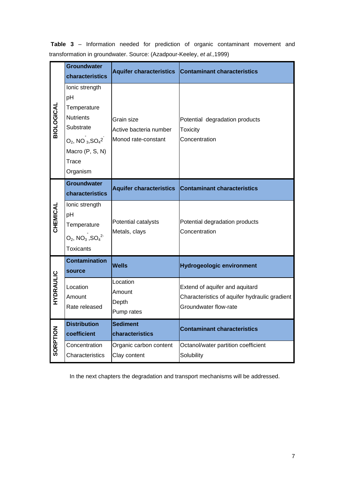|                   | <b>Groundwater</b><br>characteristics                                                                                                               | <b>Aquifer characteristics</b>                              | <b>Contaminant characteristics</b>                                                                       |
|-------------------|-----------------------------------------------------------------------------------------------------------------------------------------------------|-------------------------------------------------------------|----------------------------------------------------------------------------------------------------------|
| <b>BIOLOGICAL</b> | Ionic strength<br>pH<br>Temperature<br><b>Nutrients</b><br>Substrate<br>$O_2$ , NO $_3$ , SO <sub>4</sub> 2<br>Macro (P, S, N)<br>Trace<br>Organism | Grain size<br>Active bacteria number<br>Monod rate-constant | Potential degradation products<br><b>Toxicity</b><br>Concentration                                       |
|                   | <b>Groundwater</b><br>characteristics                                                                                                               | <b>Aquifer characteristics</b>                              | <b>Contaminant characteristics</b>                                                                       |
| CHEMICAL          | Ionic strength<br>pH<br>Temperature<br>$O_2$ , NO <sub>3</sub> , SO <sub>4</sub> <sup>2-</sup><br><b>Toxicants</b>                                  | Potential catalysts<br>Metals, clays                        | Potential degradation products<br>Concentration                                                          |
|                   | <b>Contamination</b><br>source                                                                                                                      | <b>Wells</b>                                                | <b>Hydrogeologic environment</b>                                                                         |
| HYDRAULIC         | Location<br>Amount<br>Rate released                                                                                                                 | Location<br>Amount<br>Depth<br>Pump rates                   | Extend of aquifer and aquitard<br>Characteristics of aquifer hydraulic gradient<br>Groundwater flow-rate |
|                   | <b>Distribution</b><br>coefficient                                                                                                                  | <b>Sediment</b><br>characteristics                          | <b>Contaminant characteristics</b>                                                                       |
| SORPTION          | Concentration<br>Characteristics                                                                                                                    | Organic carbon content<br>Clay content                      | Octanol/water partition coefficient<br>Solubility                                                        |

 **Table 3** – Information needed for prediction of organic contaminant movement and transformation in groundwater. Source: (Azadpour-Keeley, *et al.,*1999)

In the next chapters the degradation and transport mechanisms will be addressed.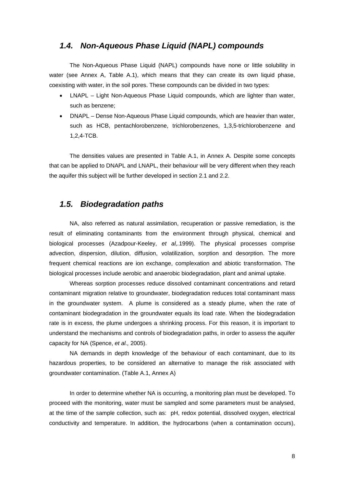#### *1.4. Non-Aqueous Phase Liquid (NAPL) compounds*

The Non-Aqueous Phase Liquid (NAPL) compounds have none or little solubility in water (see Annex A, Table A.1), which means that they can create its own liquid phase, coexisting with water, in the soil pores. These compounds can be divided in two types:

- LNAPL Light Non-Aqueous Phase Liquid compounds, which are lighter than water, such as benzene;
- DNAPL Dense Non-Aqueous Phase Liquid compounds, which are heavier than water, such as HCB, pentachlorobenzene, trichlorobenzenes, 1,3,5-trichlorobenzene and 1,2,4-TCB.

The densities values are presented in Table A.1, in Annex A. Despite some concepts that can be applied to DNAPL and LNAPL, their behaviour will be very different when they reach the aquifer this subject will be further developed in section 2.1 and 2.2.

#### *1.5. Biodegradation paths*

NA, also referred as natural assimilation, recuperation or passive remediation, is the result of eliminating contaminants from the environment through physical, chemical and biological processes (Azadpour-Keeley, *et al,.*1999). The physical processes comprise advection, dispersion, dilution, diffusion, volatilization, sorption and desorption. The more frequent chemical reactions are ion exchange, complexation and abiotic transformation. The biological processes include aerobic and anaerobic biodegradation, plant and animal uptake.

Whereas sorption processes reduce dissolved contaminant concentrations and retard contaminant migration relative to groundwater, biodegradation reduces total contaminant mass in the groundwater system. A plume is considered as a steady plume, when the rate of contaminant biodegradation in the groundwater equals its load rate. When the biodegradation rate is in excess, the plume undergoes a shrinking process. For this reason, it is important to understand the mechanisms and controls of biodegradation paths, in order to assess the aquifer capacity for NA (Spence, *et al.,* 2005).

NA demands in depth knowledge of the behaviour of each contaminant, due to its hazardous properties, to be considered an alternative to manage the risk associated with groundwater contamination. (Table A.1, Annex A)

In order to determine whether NA is occurring, a monitoring plan must be developed. To proceed with the monitoring, water must be sampled and some parameters must be analysed, at the time of the sample collection, such as: pH, redox potential, dissolved oxygen, electrical conductivity and temperature. In addition, the hydrocarbons (when a contamination occurs),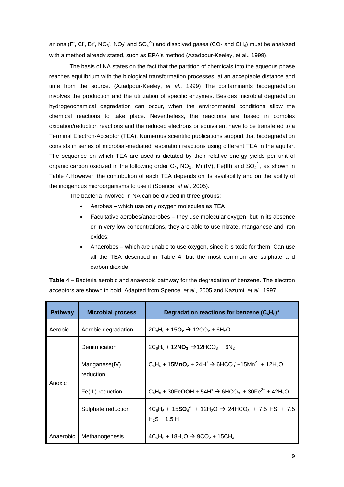anions (F, Cl, Br, NO<sub>3</sub>, NO<sub>2</sub> and SO<sub>4</sub><sup>2</sup>) and dissolved gases (CO<sub>2</sub> and CH<sub>4</sub>) must be analysed with a method already stated, such as EPA's method (Azadpour-Keeley, et al., 1999).

The basis of NA states on the fact that the partition of chemicals into the aqueous phase reaches equilibrium with the biological transformation processes, at an acceptable distance and time from the source. (Azadpour-Keeley, *et al.,* 1999) The contaminants biodegradation involves the production and the utilization of specific enzymes. Besides microbial degradation hydrogeochemical degradation can occur, when the environmental conditions allow the chemical reactions to take place. Nevertheless, the reactions are based in complex oxidation/reduction reactions and the reduced electrons or equivalent have to be transfered to a Terminal Electron-Acceptor (TEA). Numerous scientific publications support that biodegradation consists in series of microbial-mediated respiration reactions using different TEA in the aquifer. The sequence on which TEA are used is dictated by their relative energy yields per unit of organic carbon oxidized in the following order  $O_2$ , NO<sub>3</sub>, Mn(IV), Fe(III) and SO<sub>4</sub><sup>2</sup>, as shown in Table 4.However, the contribution of each TEA depends on its availability and on the ability of the indigenous microorganisms to use it (Spence, *et al.,* 2005).

The bacteria involved in NA can be divided in three groups:

- Aerobes which use only oxygen molecules as TEA
- Facultative aerobes/anaerobes they use molecular oxygen, but in its absence or in very low concentrations, they are able to use nitrate, manganese and iron oxides;
- Anaerobes which are unable to use oxygen, since it is toxic for them. Can use all the TEA described in Table 4, but the most common are sulphate and carbon dioxide.

| <b>Table 4 – Bacteria aerobic and anaerobic pathway for the degradation of benzene. The electron</b> |  |
|------------------------------------------------------------------------------------------------------|--|
| acceptors are shown in bold. Adapted from Spence, et al., 2005 and Kazumi, et al., 1997.             |  |

| <b>Pathway</b> | <b>Microbial process</b>   | Degradation reactions for benzene $(C_6H_6)^*$                                       |
|----------------|----------------------------|--------------------------------------------------------------------------------------|
| Aerobic        | Aerobic degradation        | $2C_6H_6 + 15O_2 \rightarrow 12CO_2 + 6H_2O$                                         |
|                | Denitrification            | $2C_6H_6 + 12NO_3 \rightarrow 12HCO_3 + 6N_2$                                        |
|                | Manganese(IV)<br>reduction | $C_6H_6 + 15MnO_2 + 24H^+ \rightarrow 6HCO_3 + 15Mn^{2+} + 12H_2O$                   |
| Anoxic         | Fe(III) reduction          | $C_6H_6 + 30FeOOH + 54H^+ \rightarrow 6HCO_3 + 30Fe^{2+} + 42H_2O$                   |
|                | Sulphate reduction         | $4C_6H_6 + 15SO_4^2 + 12H_2O \rightarrow 24HCO_3 + 7.5$ HS + 7.5<br>$H_2S + 1.5 H^+$ |
| Anaerobic      | Methanogenesis             | $4C_6H_6 + 18H_2O \rightarrow 9CO_2 + 15CH_4$                                        |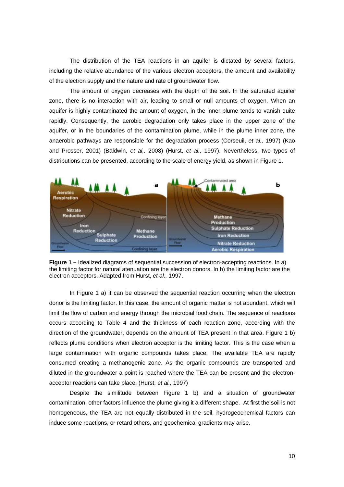The distribution of the TEA reactions in an aquifer is dictated by several factors, including the relative abundance of the various electron acceptors, the amount and availability of the electron supply and the nature and rate of groundwater flow.

The amount of oxygen decreases with the depth of the soil. In the saturated aquifer zone, there is no interaction with air, leading to small or null amounts of oxygen. When an aquifer is highly contaminated the amount of oxygen, in the inner plume tends to vanish quite rapidly. Consequently, the aerobic degradation only takes place in the upper zone of the aquifer, or in the boundaries of the contamination plume, while in the plume inner zone, the anaerobic pathways are responsible for the degradation process (Corseuil, *et al.,* 1997) (Kao and Prosser, 2001) (Baldwin, *et al,.* 2008) (Hurst, *et al.,* 1997). Nevertheless, two types of distributions can be presented, according to the scale of energy yield, as shown in Figure 1.



**Figure 1 –** Idealized diagrams of sequential succession of electron-accepting reactions. In a) the limiting factor for natural atenuation are the electron donors. In b) the limiting factor are the electron acceptors. Adapted from Hurst, *et al.,* 1997.

In Figure 1 a) it can be observed the sequential reaction occurring when the electron donor is the limiting factor. In this case, the amount of organic matter is not abundant, which will limit the flow of carbon and energy through the microbial food chain. The sequence of reactions occurs according to Table 4 and the thickness of each reaction zone, according with the direction of the groundwater, depends on the amount of TEA present in that area. Figure 1 b) reflects plume conditions when electron acceptor is the limiting factor. This is the case when a large contamination with organic compounds takes place. The available TEA are rapidly consumed creating a methanogenic zone. As the organic compounds are transported and diluted in the groundwater a point is reached where the TEA can be present and the electronacceptor reactions can take place. (Hurst, *et al.,* 1997)

Despite the similitude between Figure 1 b) and a situation of groundwater contamination, other factors influence the plume giving it a different shape. At first the soil is not homogeneous, the TEA are not equally distributed in the soil, hydrogeochemical factors can induce some reactions, or retard others, and geochemical gradients may arise.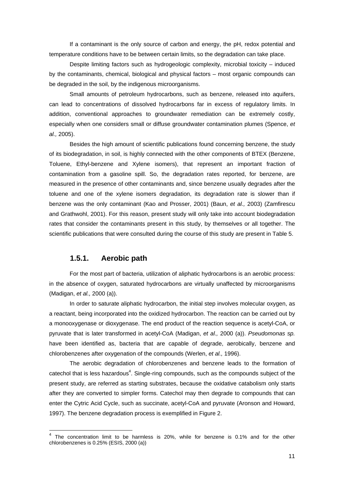If a contaminant is the only source of carbon and energy, the pH, redox potential and temperature conditions have to be between certain limits, so the degradation can take place.

Despite limiting factors such as hydrogeologic complexity, microbial toxicity – induced by the contaminants, chemical, biological and physical factors – most organic compounds can be degraded in the soil, by the indigenous microorganisms.

Small amounts of petroleum hydrocarbons, such as benzene, released into aquifers, can lead to concentrations of dissolved hydrocarbons far in excess of regulatory limits. In addition, conventional approaches to groundwater remediation can be extremely costly, especially when one considers small or diffuse groundwater contamination plumes (Spence, *et al.,* 2005).

Besides the high amount of scientific publications found concerning benzene, the study of its biodegradation, in soil, is highly connected with the other components of BTEX (Benzene, Toluene, Ethyl-benzene and Xylene isomers), that represent an important fraction of contamination from a gasoline spill. So, the degradation rates reported, for benzene, are measured in the presence of other contaminants and, since benzene usually degrades after the toluene and one of the xylene isomers degradation, its degradation rate is slower than if benzene was the only contaminant (Kao and Prosser, 2001) (Baun, *et al.,* 2003) (Zamfirescu and Grathwohl, 2001). For this reason, present study will only take into account biodegradation rates that consider the contaminants present in this study, by themselves or all together. The scientific publications that were consulted during the course of this study are present in Table 5.

#### **1.5.1. Aerobic path**

ł

For the most part of bacteria, utilization of aliphatic hydrocarbons is an aerobic process: in the absence of oxygen, saturated hydrocarbons are virtually unaffected by microorganisms (Madigan, *et al.,* 2000 (a)).

In order to saturate aliphatic hydrocarbon, the initial step involves molecular oxygen, as a reactant, being incorporated into the oxidized hydrocarbon. The reaction can be carried out by a monooxygenase or dioxygenase. The end product of the reaction sequence is acetyl-CoA, or pyruvate that is later transformed in acetyl-CoA (Madigan, *et al.,* 2000 (a)). *Pseudomonas sp.* have been identified as, bacteria that are capable of degrade, aerobically, benzene and chlorobenzenes after oxygenation of the compounds (Werlen, *et al.,* 1996).

The aerobic degradation of chlorobenzenes and benzene leads to the formation of catechol that is less hazardous<sup>4</sup>. Single-ring compounds, such as the compounds subject of the present study, are referred as starting substrates, because the oxidative catabolism only starts after they are converted to simpler forms. Catechol may then degrade to compounds that can enter the Cytric Acid Cycle, such as succinate, acetyl-CoA and pyruvate (Aronson and Howard, 1997). The benzene degradation process is exemplified in Figure 2.

 $4$  The concentration limit to be harmless is 20%, while for benzene is 0.1% and for the other chlorobenzenes is 0.25% (ESIS, 2000 (a))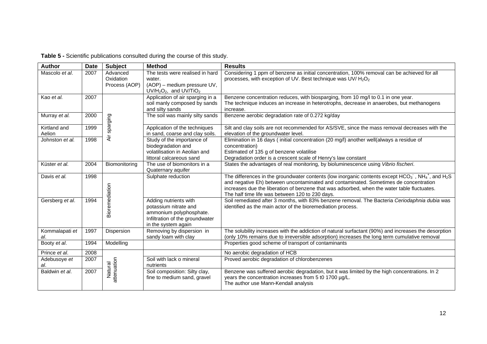| <b>Author</b>   | <b>Date</b> | <b>Subject</b>         | <b>Method</b>                             | <b>Results</b>                                                                                                                                                                                                |
|-----------------|-------------|------------------------|-------------------------------------------|---------------------------------------------------------------------------------------------------------------------------------------------------------------------------------------------------------------|
| Mascolo et al.  | 2007        | Advanced<br>Oxidation  | The tests were realised in hard<br>water. | Considering 1 ppm of benzene as initial concentration, 100% removal can be achieved for all<br>processes, with exception of UV. Best technique was UV/H <sub>2</sub> O <sub>2</sub>                           |
|                 |             | Process (AOP)          | (AOP) - medium pressure UV,               |                                                                                                                                                                                                               |
|                 |             |                        | $UV/H2O2$ , and $UV/TiO2$                 |                                                                                                                                                                                                               |
| Kao et al.      | 2007        |                        | Application of air sparging in a          | Benzene concentration reduces, with biosparging, from 10 mg/l to 0.1 in one year.                                                                                                                             |
|                 |             |                        | soil manly composed by sands              | The technique induces an increase in heterotrophs, decrease in anaerobes, but methanogens                                                                                                                     |
|                 |             |                        | and silty sands                           | increase.                                                                                                                                                                                                     |
| Murray et al.   | 2000        | sparging               | The soil was mainly silty sands           | Benzene aerobic degradation rate of 0.272 kg/day                                                                                                                                                              |
| Kirtland and    | 1999        |                        | Application of the techniques             | Silt and clay soils are not recommended for AS/SVE, since the mass removal decreases with the                                                                                                                 |
| Aelion          |             |                        | in sand, coarse and clay soils.           | elevation of the groundwater level.                                                                                                                                                                           |
| Johnston et al. | 1998        | Äί                     | Study of the importance of                | Elimination in 16 days (initial concentration (20 mg/l) another well(always a residue of                                                                                                                      |
|                 |             |                        | biodegradation and                        | concentration)                                                                                                                                                                                                |
|                 |             |                        | volatilisation in Aeolian and             | Estimated of 135 g of benzene volatilise                                                                                                                                                                      |
|                 |             |                        | littoral calcareous sand                  | Degradation order is a crescent scale of Henry's law constant                                                                                                                                                 |
| Küster et al.   | 2004        | Biomonitoring          | The use of biomonitors in a               | States the advantages of real monitoring, by bioluminescence using Vibrio fischeri.                                                                                                                           |
| Davis et al.    | 1998        |                        | Quaternary aquifer                        |                                                                                                                                                                                                               |
|                 |             |                        | Sulphate reduction                        | The differences in the groundwater contents (low inorganic contents except $HCO_3$ , $NH_4$ <sup>+</sup> , and $H_2S$<br>and negative Eh) between uncontaminated and contaminated. Sometimes de concentration |
|                 |             |                        |                                           | increases due the liberation of benzene that was adsorbed, when the water table fluctuates.                                                                                                                   |
|                 |             | Bioremediation         |                                           | The half time life was between 120 to 230 days.                                                                                                                                                               |
| Gersberg et al. | 1994        |                        | Adding nutrients with                     | Soil remediated after 3 months, with 83% benzene removal. The Bacteria Ceriodaphnia dubia was                                                                                                                 |
|                 |             |                        | potassium nitrate and                     | identified as the main actor of the bioremediation process.                                                                                                                                                   |
|                 |             |                        | ammonium polyphosphate.                   |                                                                                                                                                                                                               |
|                 |             |                        | Infiltration of the groundwater           |                                                                                                                                                                                                               |
|                 |             |                        | in the system again                       |                                                                                                                                                                                                               |
| Kommalapati et  | 1997        | Dispersion             | Removing by dispersion in                 | The solubility increases with the addiction of natural surfactant (90%) and increases the desorption                                                                                                          |
| al.             |             |                        | sandy loam with clay                      | (only 10% remains due to irreversible adsorption) increases the long term cumulative removal                                                                                                                  |
| Booty et al.    | 1994        | Modelling              |                                           | Properties good scheme of transport of contaminants                                                                                                                                                           |
| Prince et al.   | 2008        |                        |                                           | No aerobic degradation of HCB                                                                                                                                                                                 |
| Adebusoye et    | 2007        |                        | Soil with lack o mineral                  | Proved aerobic degradation of chlorobenzenes                                                                                                                                                                  |
| al.             |             | attenuation<br>Natural | nutrients                                 |                                                                                                                                                                                                               |
| Baldwin et al.  | 2007        |                        | Soil composition: Silty clay,             | Benzene was suffered aerobic degradation, but it was limited by the high concentrations. In 2                                                                                                                 |
|                 |             |                        | fine to medium sand, gravel               | years the concentration increases from 5 t0 1700 µg/L.                                                                                                                                                        |
|                 |             |                        |                                           | The author use Mann-Kendall analysis                                                                                                                                                                          |
|                 |             |                        |                                           |                                                                                                                                                                                                               |

### **Table 5 -** Scientific publications consulted during the course of this study.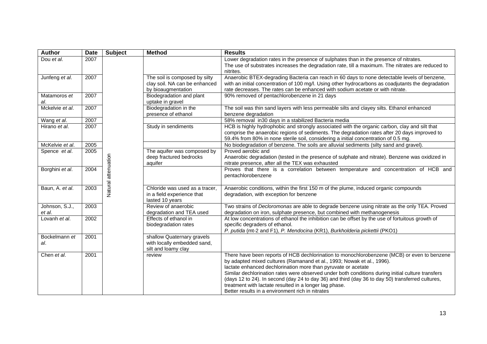| <b>Author</b>            | <b>Date</b> | <b>Subject</b> | <b>Method</b>                                                                        | <b>Results</b>                                                                                                                                                                                                                                                                                                                                                                                                                                                                                                                                                |
|--------------------------|-------------|----------------|--------------------------------------------------------------------------------------|---------------------------------------------------------------------------------------------------------------------------------------------------------------------------------------------------------------------------------------------------------------------------------------------------------------------------------------------------------------------------------------------------------------------------------------------------------------------------------------------------------------------------------------------------------------|
| Dou et al.               | 2007        |                |                                                                                      | Lower degradation rates in the presence of sulphates than in the presence of nitrates.<br>The use of substrates increases the degradation rate, till a maximum. The nitrates are reduced to<br>nitrites.                                                                                                                                                                                                                                                                                                                                                      |
| Junfeng et al.           | 2007        |                | The soil is composed by silty<br>clay soil. NA can be enhanced<br>by bioaugmentation | Anaerobic BTEX-degrading Bacteria can reach in 60 days to none detectable levels of benzene,<br>with an initial concentration of 100 mg/l. Using other hydrocarbons as coadjutants the degradation<br>rate decreases. The rates can be enhanced with sodium acetate or with nitrate.                                                                                                                                                                                                                                                                          |
| Matamoros et<br>al.      | 2007        |                | Biodegradation and plant<br>uptake in gravel                                         | 90% removed of pentachlorobenzene in 21 days                                                                                                                                                                                                                                                                                                                                                                                                                                                                                                                  |
| Mckelvie et al.          | 2007        |                | Biodegradation in the<br>presence of ethanol                                         | The soil was thin sand layers with less permeable silts and clayey silts. Ethanol enhanced<br>benzene degradation                                                                                                                                                                                                                                                                                                                                                                                                                                             |
| Wang et al.              | 2007        |                |                                                                                      | 58% removal in30 days in a stabilized Bacteria media                                                                                                                                                                                                                                                                                                                                                                                                                                                                                                          |
| Hirano et al.            | 2007        |                | Study in sendiments                                                                  | HCB is highly hydrophobic and strongly associated with the organic carbon, clay and silt that<br>comprise the anaerobic regions of sediments. The degradation rates after 20 days improved to<br>59.4% from 80% in none sterile soil, considering a initial concentration of 0.5 mg.                                                                                                                                                                                                                                                                          |
| McKelvie et al.          | 2005        |                |                                                                                      | No biodegradation of benzene. The soils are alluvial sediments (silty sand and gravel).                                                                                                                                                                                                                                                                                                                                                                                                                                                                       |
| Spence et al.            | 2005        |                | The aquifer was composed by<br>deep fractured bedrocks<br>aquifer                    | Proved aerobic and<br>Anaerobic degradation (tested in the presence of sulphate and nitrate). Benzene was oxidized in<br>nitrate presence, after all the TEX was exhausted                                                                                                                                                                                                                                                                                                                                                                                    |
| Borghini et al.          | 2004        | attenuation    |                                                                                      | Proves that there is a correlation between temperature and concentration of HCB and<br>pentachlorobenzene                                                                                                                                                                                                                                                                                                                                                                                                                                                     |
| Baun, A. et al.          | 2003        | Natural        | Chloride was used as a tracer,<br>in a field experience that<br>lasted 10 years      | Anaerobic conditions, within the first 150 m of the plume, induced organic compounds<br>degradation, with exception for benzene                                                                                                                                                                                                                                                                                                                                                                                                                               |
| Johnson, S.J.,<br>et al. | 2003        |                | Review of anaerobic<br>degradation and TEA used                                      | Two strains of Decloromonas are able to degrade benzene using nitrate as the only TEA. Proved<br>degradation on iron, sulphate presence, but combined with methanogenesis                                                                                                                                                                                                                                                                                                                                                                                     |
| Lovanh et al.            | 2002        |                | Effects of ethanol in<br>biodegradation rates                                        | At low concentrations of ethanol the inhibition can be offset by the use of fortuitous growth of<br>specific degraders of ethanol.<br>P. putida (mt-2 and F1), P. Mendocina (KR1), Burkholderia pickettii (PKO1)                                                                                                                                                                                                                                                                                                                                              |
| Bockelmann et<br>al.     | 2001        |                | shallow Quaternary gravels<br>with locally embedded sand,<br>silt and loamy clay     |                                                                                                                                                                                                                                                                                                                                                                                                                                                                                                                                                               |
| Chen et al.              | 2001        |                | review                                                                               | There have been reports of HCB dechlorination to monochlorobenzene (MCB) or even to benzene<br>by adapted mixed cultures (Ramanand et al., 1993; Nowak et al., 1996).<br>lactate enhanced dechlorination more than pyruvate or acetate<br>Similar dechlorination rates were observed under both conditions during initial culture transfers<br>(days 12 to 24). In second (day 24 to day 36) and third (day 36 to day 50) transferred cultures,<br>treatment with lactate resulted in a longer lag phase.<br>Better results in a environment rich in nitrates |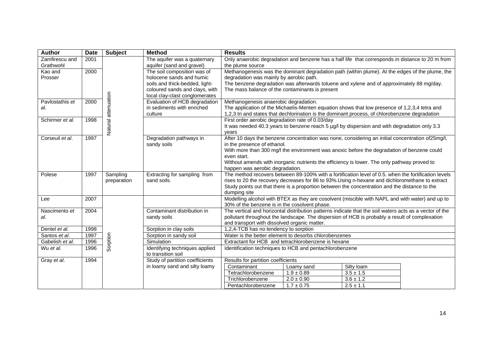| <b>Author</b>   | <b>Date</b> | <b>Subject</b> | <b>Method</b>                   | <b>Results</b>                                                                                                                                   |                                                                                                         |               |  |  |
|-----------------|-------------|----------------|---------------------------------|--------------------------------------------------------------------------------------------------------------------------------------------------|---------------------------------------------------------------------------------------------------------|---------------|--|--|
| Zamfirescu and  | 2001        |                | The aquifer was a quaternary    |                                                                                                                                                  | Only anaerobic degradation and benzene has a half life that corresponds in distance to 20 m from        |               |  |  |
| Grathwohl       |             |                | aquifer (sand and gravel)       | the plume source                                                                                                                                 |                                                                                                         |               |  |  |
| Kao and         | 2000        |                | The soil composition was of     |                                                                                                                                                  | Methanogenesis was the dominant degradation path (within plume). At the edges of the plume, the         |               |  |  |
| Prosser         |             |                | holocene sands and humic        | degradation was mainly by aerobic path.                                                                                                          |                                                                                                         |               |  |  |
|                 |             |                | soils and thick-bedded, light-  |                                                                                                                                                  | The benzene degradation was afterwards toluene and xylene and of approximately 88 mg/day.               |               |  |  |
|                 |             |                | coloured sands and clays, with  | The mass balance of the contaminants is present                                                                                                  |                                                                                                         |               |  |  |
|                 |             | attenuation    | local clay-clast conglomerates  |                                                                                                                                                  |                                                                                                         |               |  |  |
| Pavlostathis et | 2000        |                | Evaluation of HCB degradation   | Methanogenesis anaerobic degradation.                                                                                                            |                                                                                                         |               |  |  |
| al.             |             |                | in sediments with enriched      |                                                                                                                                                  | The application of the Michaelis-Menten equation shows that low presence of 1,2,3,4 tetra and           |               |  |  |
|                 |             |                | culture                         |                                                                                                                                                  | 1,2,3 tri and states that dechlorination is the dominant process, of chlorobenzene degradation          |               |  |  |
| Schirmer et al. | 1998        | Natural        |                                 | First order aerobic degradation rate of 0.03/day                                                                                                 |                                                                                                         |               |  |  |
|                 |             |                |                                 |                                                                                                                                                  | It was needed 40.3 years to benzene reach 5 µg/l by dispersion and with degradation only 3.3            |               |  |  |
| Corseuil et al. | 1997        |                | Degradation pathways in         | vears                                                                                                                                            | After 10 days the benzene concentration was none, considering an initial concentration of 25mg/l,       |               |  |  |
|                 |             |                | sandy soils                     | in the presence of ethanol.                                                                                                                      |                                                                                                         |               |  |  |
|                 |             |                |                                 |                                                                                                                                                  | With more than 300 mg/l the environment was anoxic before the degradation of benzene could              |               |  |  |
|                 |             |                |                                 | even start.                                                                                                                                      |                                                                                                         |               |  |  |
|                 |             |                |                                 |                                                                                                                                                  | Without amends with inorganic nutrients the efficiency is lower. The only pathway proved to             |               |  |  |
|                 |             |                |                                 | happen was aerobic degradation.                                                                                                                  |                                                                                                         |               |  |  |
| Polese          | 1997        | Sampling       | Extracting for sampling from    |                                                                                                                                                  | The method recovers between 89-100% with a fortification level of 0.5, when the fortification levels    |               |  |  |
|                 |             | preparation    | sand soils.                     |                                                                                                                                                  | rises to 20 the recovery decreases for 86 to 93%. Using n-hexane and dichloromethane to extract         |               |  |  |
|                 |             |                |                                 |                                                                                                                                                  | Study points out that there is a proportion between the concentration and the distance to the           |               |  |  |
|                 |             |                |                                 | dumping site                                                                                                                                     |                                                                                                         |               |  |  |
| Lee             | 2007        |                |                                 | Modelling alcohol with BTEX as they are cosolvent (miscible with NAPL and with water) and up to<br>30% of the benzene is in the cosolvent phase. |                                                                                                         |               |  |  |
|                 |             |                |                                 |                                                                                                                                                  |                                                                                                         |               |  |  |
| Nascimento et   | 2004        |                | Contaminant distribution in     |                                                                                                                                                  | The vertical and horizontal distribution patterns indicate that the soil waters acts as a vector of the |               |  |  |
| al.             |             |                | sandy soils                     |                                                                                                                                                  | pollutant throughout the landscape. The dispersion of HCB is probably a result of complexation          |               |  |  |
| Dentel et al.   | 1998        |                | Sorption in clay soils          | and transport with dissolved organic matter.                                                                                                     |                                                                                                         |               |  |  |
| Santos et al.   | 1997        |                | Sorption in sandy soil          | 1,2,4-TCB has no tendency to sorption<br>Water is the better element to desorbs chlorobenzenes                                                   |                                                                                                         |               |  |  |
| Gabelish et al. | 1996        | Sorption       | Simulation                      | Extractant for HCB and tetrachlorobenzene is hexane                                                                                              |                                                                                                         |               |  |  |
| Wu et al.       | 1996        |                | Identifying techniques applied  |                                                                                                                                                  |                                                                                                         |               |  |  |
|                 |             |                | to transition soil              | Identification techniques to HCB and pentachlorobenzene                                                                                          |                                                                                                         |               |  |  |
| Gray et al.     | 1994        |                | Study of partition coefficients | Results for partition coefficients                                                                                                               |                                                                                                         |               |  |  |
|                 |             |                | in loamy sand and silty loamy   | Contaminant                                                                                                                                      | Loamy sand                                                                                              | Silty loam    |  |  |
|                 |             |                |                                 | Tetrachlorobenzene                                                                                                                               | $1.9 \pm 0.89$                                                                                          | $3.5 \pm 1.5$ |  |  |
|                 |             |                |                                 | Trichlorobenzene                                                                                                                                 | $2.0 \pm 0.90$                                                                                          | $3.6 \pm 1.2$ |  |  |
|                 |             |                |                                 | Pentachlorobenzene                                                                                                                               | $1.7 \pm 0.75$                                                                                          | $2.5 \pm 1.1$ |  |  |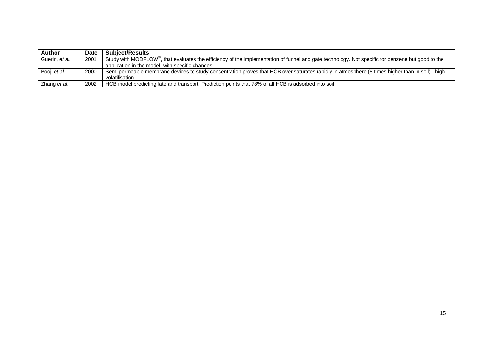| Author                 | Date | <b>Subiect/Results</b>                                                                                                                                        |
|------------------------|------|---------------------------------------------------------------------------------------------------------------------------------------------------------------|
| Guerin. <i>et al</i> . | 2001 | Study with MODFLOW <sup>®</sup> , that evaluates the efficiency of the implementation of funnel and gate technology. Not specific for benzene but good to the |
|                        |      | application in the model, with specific changes                                                                                                               |
| Booji et al.           | 2000 | Semi permeable membrane devices to study concentration proves that HCB over saturates rapidly in atmosphere (8 times higher than in soil) - high              |
|                        |      | volatilisation.                                                                                                                                               |
| Zhang et al.           | 2002 | HCB model predicting fate and transport. Prediction points that 78% of all HCB is adsorbed into soil                                                          |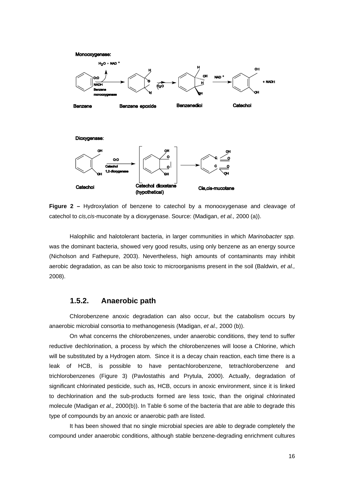

**Figure 2 –** Hydroxylation of benzene to catechol by a monooxygenase and cleavage of catechol to *cis,cis*-muconate by a dioxygenase. Source: (Madigan, *et al.,* 2000 (a)).

Halophilic and halotolerant bacteria, in larger communities in which *Marinobacter spp.* was the dominant bacteria, showed very good results, using only benzene as an energy source (Nicholson and Fathepure, 2003). Nevertheless, high amounts of contaminants may inhibit aerobic degradation, as can be also toxic to microorganisms present in the soil (Baldwin, *et al.,* 2008).

#### **1.5.2. Anaerobic path**

Chlorobenzene anoxic degradation can also occur, but the catabolism occurs by anaerobic microbial consortia to methanogenesis (Madigan, *et al.,* 2000 (b)).

On what concerns the chlorobenzenes, under anaerobic conditions, they tend to suffer reductive dechlorination, a process by which the chlorobenzenes will loose a Chlorine, which will be substituted by a Hydrogen atom. Since it is a decay chain reaction, each time there is a leak of HCB, is possible to have pentachlorobenzene, tetrachlorobenzene and trichlorobenzenes (Figure 3) (Pavlostathis and Prytula, 2000). Actually, degradation of significant chlorinated pesticide, such as, HCB, occurs in anoxic environment, since it is linked to dechlorination and the sub-products formed are less toxic, than the original chlorinated molecule (Madigan *et al.,* 2000(b)). In Table 6 some of the bacteria that are able to degrade this type of compounds by an anoxic or anaerobic path are listed.

It has been showed that no single microbial species are able to degrade completely the compound under anaerobic conditions, although stable benzene-degrading enrichment cultures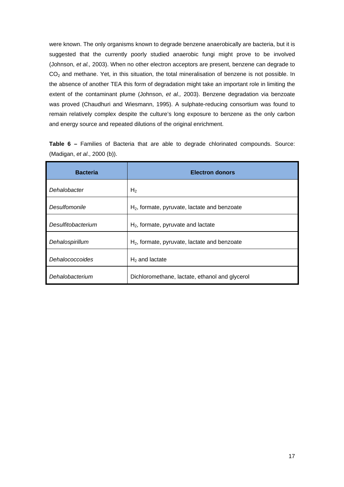were known. The only organisms known to degrade benzene anaerobically are bacteria, but it is suggested that the currently poorly studied anaerobic fungi might prove to be involved (Johnson, *et al.,* 2003). When no other electron acceptors are present, benzene can degrade to  $CO<sub>2</sub>$  and methane. Yet, in this situation, the total mineralisation of benzene is not possible. In the absence of another TEA this form of degradation might take an important role in limiting the extent of the contaminant plume (Johnson, *et al.,* 2003). Benzene degradation via benzoate was proved (Chaudhuri and Wiesmann, 1995). A sulphate-reducing consortium was found to remain relatively complex despite the culture's long exposure to benzene as the only carbon and energy source and repeated dilutions of the original enrichment.

|                              |  |  |  |  | <b>Table 6 - Families of Bacteria that are able to degrade chlorinated compounds. Source:</b> |  |
|------------------------------|--|--|--|--|-----------------------------------------------------------------------------------------------|--|
| (Madigan, et al., 2000 (b)). |  |  |  |  |                                                                                               |  |

| <b>Bacteria</b>    | <b>Electron donors</b>                         |
|--------------------|------------------------------------------------|
| Dehalobacter       | H <sub>2</sub>                                 |
| Desulfomonile      | $H2$ , formate, pyruvate, lactate and benzoate |
| Desulfitobacterium | $H2$ , formate, pyruvate and lactate           |
| Dehalospirillum    | $H2$ , formate, pyruvate, lactate and benzoate |
| Dehalococcoides    | $H2$ and lactate                               |
| Dehalobacterium    | Dichloromethane, lactate, ethanol and glycerol |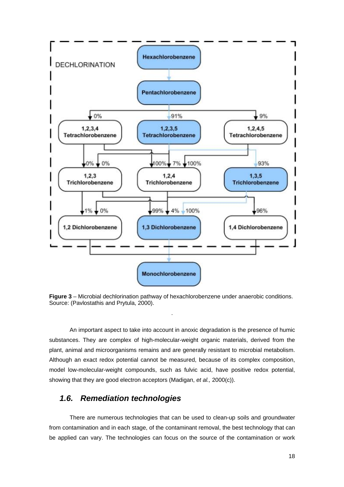

**Figure 3** – Microbial dechlorination pathway of hexachlorobenzene under anaerobic conditions. Source: (Pavlostathis and Prytula, 2000).

.

An important aspect to take into account in anoxic degradation is the presence of humic substances. They are complex of high-molecular-weight organic materials, derived from the plant, animal and microorganisms remains and are generally resistant to microbial metabolism. Although an exact redox potential cannot be measured, because of its complex composition, model low-molecular-weight compounds, such as fulvic acid, have positive redox potential, showing that they are good electron acceptors (Madigan, *et al.,* 2000(c)).

### *1.6. Remediation technologies*

There are numerous technologies that can be used to clean-up soils and groundwater from contamination and in each stage, of the contaminant removal, the best technology that can be applied can vary. The technologies can focus on the source of the contamination or work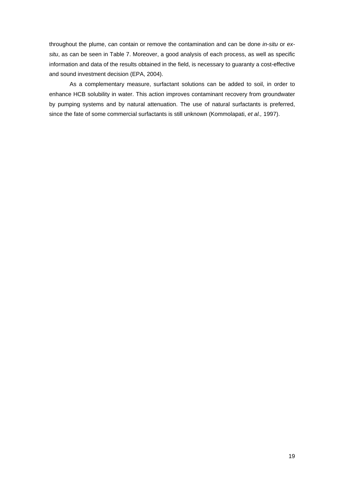throughout the plume, can contain or remove the contamination and can be done *in-situ* or *exsitu*, as can be seen in Table 7. Moreover, a good analysis of each process, as well as specific information and data of the results obtained in the field, is necessary to guaranty a cost-effective and sound investment decision (EPA, 2004).

As a complementary measure, surfactant solutions can be added to soil, in order to enhance HCB solubility in water. This action improves contaminant recovery from groundwater by pumping systems and by natural attenuation. The use of natural surfactants is preferred, since the fate of some commercial surfactants is still unknown (Kommolapati, *et al.,* 1997).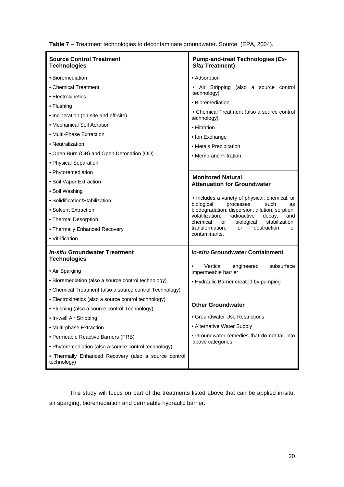| <b>Source Control Treatment</b><br><b>Technologies</b>              | <b>Pump-and-treat Technologies (Ex-</b><br><b>Situ Treatment)</b>                                   |  |  |
|---------------------------------------------------------------------|-----------------------------------------------------------------------------------------------------|--|--|
| • Bioremediation                                                    | • Adsorption                                                                                        |  |  |
| • Chemical Treatment                                                | • Air Stripping (also a source control                                                              |  |  |
| • Electrokinetics                                                   | technology)                                                                                         |  |  |
| • Flushing                                                          | • Bioremediation                                                                                    |  |  |
| • Incineration (on-site and off-site)                               | • Chemical Treatment (also a source control<br>technology)                                          |  |  |
| • Mechanical Soil Aeration                                          | • Filtration                                                                                        |  |  |
| • Multi-Phase Extraction                                            | • Ion Exchange                                                                                      |  |  |
| • Neutralization                                                    | • Metals Precipitation                                                                              |  |  |
| • Open Burn (OB) and Open Detonation (OD)                           | • Membrane Filtration                                                                               |  |  |
| • Physical Separation                                               |                                                                                                     |  |  |
| • Phytoremediation                                                  | <b>Monitored Natural</b>                                                                            |  |  |
| • Soil Vapor Extraction                                             | <b>Attenuation for Groundwater</b>                                                                  |  |  |
| • Soil Washing                                                      |                                                                                                     |  |  |
| • Solidification/Stabilization                                      | • Includes a variety of physical, chemical, or<br>biological<br>processes,<br>such<br>as            |  |  |
| • Solvent Extraction                                                | biodegradation; dispersion; dilution; sorption;                                                     |  |  |
| • Thermal Desorption                                                | volatilization;<br>radioactive<br>decay;<br>and<br>chemical<br>stabilization,<br>biological<br>or a |  |  |
| • Thermally Enhanced Recovery                                       | transformation,<br>destruction<br>or<br>οf<br>contaminants.                                         |  |  |
| • Vitrification                                                     |                                                                                                     |  |  |
| <b>In-situ Groundwater Treatment</b><br><b>Technologies</b>         | <b>In-situ Groundwater Containment</b>                                                              |  |  |
| • Air Sparging                                                      | subsurface<br>Vertical<br>engineered<br>$\bullet$<br>impermeable barrier                            |  |  |
| • Bioremediation (also a source control technology)                 | • Hydraulic Barrier created by pumping                                                              |  |  |
| • Chemical Treatment (also a source control Technology)             |                                                                                                     |  |  |
| • Electrokinetics (also a source control technology)                | <b>Other Groundwater</b>                                                                            |  |  |
| • Flushing (also a source control Technology)                       |                                                                                                     |  |  |
| • In-well Air Stripping                                             | • Groundwater Use Restrictions                                                                      |  |  |
| • Multi-phase Extraction                                            | • Alternative Water Supply                                                                          |  |  |
| • Permeable Reactive Barriers (PRB)                                 | • Groundwater remedies that do not fall into                                                        |  |  |
| • Phytoremediation (also a source control technology)               | above categories                                                                                    |  |  |
| • Thermally Enhanced Recovery (also a source control<br>technology) |                                                                                                     |  |  |

**Table 7** – Treatment technologies to decontaminate groundwater. Source: (EPA, 2004).

This study will focus on part of the treatments listed above that can be applied in-situ: air sparging, bioremediation and permeable hydraulic barrier.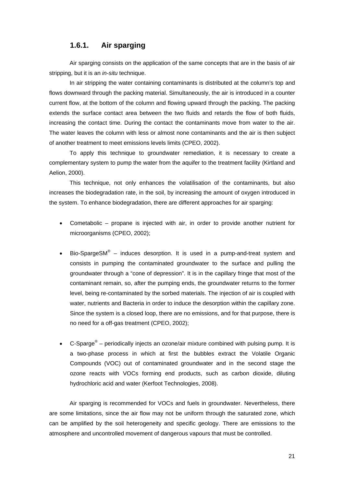### **1.6.1. Air sparging**

Air sparging consists on the application of the same concepts that are in the basis of air stripping, but it is an *in-situ* technique.

In air stripping the water containing contaminants is distributed at the column's top and flows downward through the packing material. Simultaneously, the air is introduced in a counter current flow, at the bottom of the column and flowing upward through the packing. The packing extends the surface contact area between the two fluids and retards the flow of both fluids, increasing the contact time. During the contact the contaminants move from water to the air. The water leaves the column with less or almost none contaminants and the air is then subject of another treatment to meet emissions levels limits (CPEO, 2002).

To apply this technique to groundwater remediation, it is necessary to create a complementary system to pump the water from the aquifer to the treatment facility (Kirtland and Aelion, 2000).

This technique, not only enhances the volatilisation of the contaminants, but also increases the biodegradation rate, in the soil, by increasing the amount of oxygen introduced in the system. To enhance biodegradation, there are different approaches for air sparging:

- Cometabolic propane is injected with air, in order to provide another nutrient for microorganisms (CPEO, 2002);
- Bio-SpargeSM<sup>®</sup> induces desorption. It is used in a pump-and-treat system and consists in pumping the contaminated groundwater to the surface and pulling the groundwater through a "cone of depression". It is in the capillary fringe that most of the contaminant remain, so, after the pumping ends, the groundwater returns to the former level, being re-contaminated by the sorbed materials. The injection of air is coupled with water, nutrients and Bacteria in order to induce the desorption within the capillary zone. Since the system is a closed loop, there are no emissions, and for that purpose, there is no need for a off-gas treatment (CPEO, 2002);
- C-Sparge $^{\circledast}$  periodically injects an ozone/air mixture combined with pulsing pump. It is a two-phase process in which at first the bubbles extract the Volatile Organic Compounds (VOC) out of contaminated groundwater and in the second stage the ozone reacts with VOCs forming end products, such as carbon dioxide, diluting hydrochloric acid and water (Kerfoot Technologies, 2008).

Air sparging is recommended for VOCs and fuels in groundwater. Nevertheless, there are some limitations, since the air flow may not be uniform through the saturated zone, which can be amplified by the soil heterogeneity and specific geology. There are emissions to the atmosphere and uncontrolled movement of dangerous vapours that must be controlled.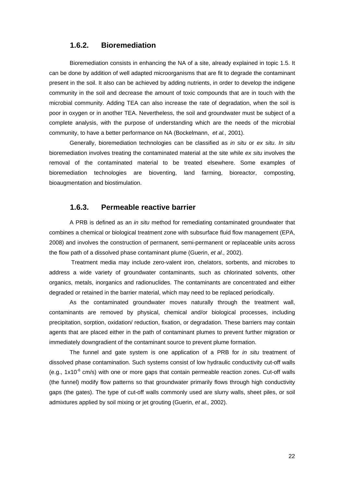#### **1.6.2. Bioremediation**

Bioremediation consists in enhancing the NA of a site, already explained in topic 1.5. It can be done by addition of well adapted microorganisms that are fit to degrade the contaminant present in the soil. It also can be achieved by adding nutrients, in order to develop the indigene community in the soil and decrease the amount of toxic compounds that are in touch with the microbial community. Adding TEA can also increase the rate of degradation, when the soil is poor in oxygen or in another TEA. Nevertheless, the soil and groundwater must be subject of a complete analysis, with the purpose of understanding which are the needs of the microbial community, to have a better performance on NA (Bockelmann, *et al.,* 2001).

Generally, bioremediation technologies can be classified as *in situ* or *ex situ*. *In situ* bioremediation involves treating the contaminated material at the site while *ex situ* involves the removal of the contaminated material to be treated elsewhere. Some examples of bioremediation technologies are bioventing, land farming, bioreactor, composting, bioaugmentation and biostimulation.

#### **1.6.3. Permeable reactive barrier**

A PRB is defined as an *in situ* method for remediating contaminated groundwater that combines a chemical or biological treatment zone with subsurface fluid flow management (EPA, 2008) and involves the construction of permanent, semi-permanent or replaceable units across the flow path of a dissolved phase contaminant plume (Guerin, *et al.,* 2002).

 Treatment media may include zero-valent iron, chelators, sorbents, and microbes to address a wide variety of groundwater contaminants, such as chlorinated solvents, other organics, metals, inorganics and radionuclides. The contaminants are concentrated and either degraded or retained in the barrier material, which may need to be replaced periodically.

As the contaminated groundwater moves naturally through the treatment wall, contaminants are removed by physical, chemical and/or biological processes, including precipitation, sorption, oxidation/ reduction, fixation, or degradation. These barriers may contain agents that are placed either in the path of contaminant plumes to prevent further migration or immediately downgradient of the contaminant source to prevent plume formation.

The funnel and gate system is one application of a PRB for *in situ* treatment of dissolved phase contamination. Such systems consist of low hydraulic conductivity cut-off walls (e.g.,  $1x10^{-6}$  cm/s) with one or more gaps that contain permeable reaction zones. Cut-off walls (the funnel) modify flow patterns so that groundwater primarily flows through high conductivity gaps (the gates). The type of cut-off walls commonly used are slurry walls, sheet piles, or soil admixtures applied by soil mixing or jet grouting (Guerin, *et al.,* 2002).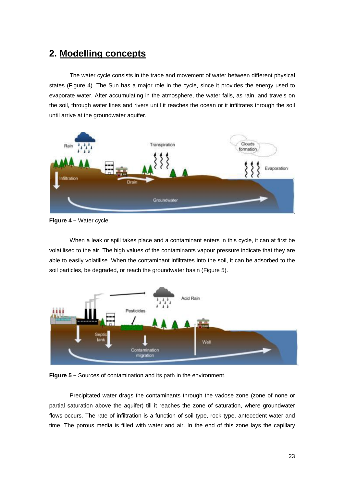# **2. Modelling concepts**

The water cycle consists in the trade and movement of water between different physical states (Figure 4). The Sun has a major role in the cycle, since it provides the energy used to evaporate water. After accumulating in the atmosphere, the water falls, as rain, and travels on the soil, through water lines and rivers until it reaches the ocean or it infiltrates through the soil until arrive at the groundwater aquifer.



**Figure 4 –** Water cycle.

When a leak or spill takes place and a contaminant enters in this cycle, it can at first be volatilised to the air. The high values of the contaminants vapour pressure indicate that they are able to easily volatilise. When the contaminant infiltrates into the soil, it can be adsorbed to the soil particles, be degraded, or reach the groundwater basin (Figure 5).





Precipitated water drags the contaminants through the vadose zone (zone of none or partial saturation above the aquifer) till it reaches the zone of saturation, where groundwater flows occurs. The rate of infiltration is a function of soil type, rock type, antecedent water and time. The porous media is filled with water and air. In the end of this zone lays the capillary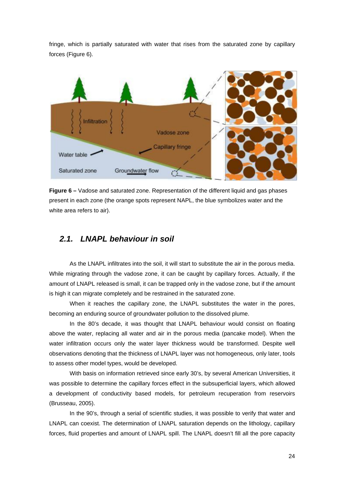fringe, which is partially saturated with water that rises from the saturated zone by capillary forces (Figure 6).



**Figure 6 –** Vadose and saturated zone. Representation of the different liquid and gas phases present in each zone (the orange spots represent NAPL, the blue symbolizes water and the white area refers to air).

## *2.1. LNAPL behaviour in soil*

As the LNAPL infiltrates into the soil, it will start to substitute the air in the porous media. While migrating through the vadose zone, it can be caught by capillary forces. Actually, if the amount of LNAPL released is small, it can be trapped only in the vadose zone, but if the amount is high it can migrate completely and be restrained in the saturated zone.

When it reaches the capillary zone, the LNAPL substitutes the water in the pores, becoming an enduring source of groundwater pollution to the dissolved plume.

In the 80's decade, it was thought that LNAPL behaviour would consist on floating above the water, replacing all water and air in the porous media (pancake model). When the water infiltration occurs only the water layer thickness would be transformed. Despite well observations denoting that the thickness of LNAPL layer was not homogeneous, only later, tools to assess other model types, would be developed.

With basis on information retrieved since early 30's, by several American Universities, it was possible to determine the capillary forces effect in the subsuperficial layers, which allowed a development of conductivity based models, for petroleum recuperation from reservoirs (Brusseau, 2005).

In the 90's, through a serial of scientific studies, it was possible to verify that water and LNAPL can coexist. The determination of LNAPL saturation depends on the lithology, capillary forces, fluid properties and amount of LNAPL spill. The LNAPL doesn't fill all the pore capacity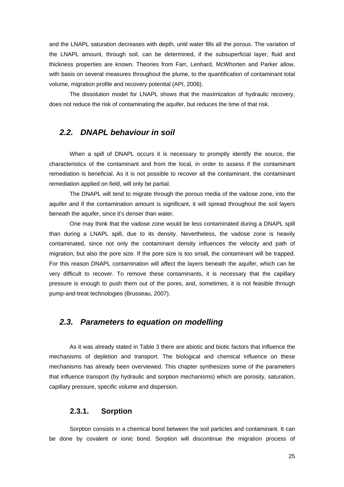and the LNAPL saturation decreases with depth, until water fills all the porous. The variation of the LNAPL amount, through soil, can be determined, if the subsuperficial layer, fluid and thickness properties are known. Theories from Farr, Lenhard, McWhorten and Parker allow, with basis on several measures throughout the plume, to the quantification of contaminant total volume, migration profile and recovery potential (API, 2006).

The dissolution model for LNAPL shows that the maximization of hydraulic recovery, does not reduce the risk of contaminating the aquifer, but reduces the time of that risk.

### *2.2. DNAPL behaviour in soil*

When a spill of DNAPL occurs it is necessary to promptly identify the source, the characteristics of the contaminant and from the local, in order to assess if the contaminant remediation is beneficial. As it is not possible to recover all the contaminant, the contaminant remediation applied on field, will only be partial.

The DNAPL will tend to migrate through the porous media of the vadose zone, into the aquifer and if the contamination amount is significant, it will spread throughout the soil layers beneath the aquifer, since it's denser than water.

One may think that the vadose zone would be less contaminated during a DNAPL spill than during a LNAPL spill, due to its density. Nevertheless, the vadose zone is heavily contaminated, since not only the contaminant density influences the velocity and path of migration, but also the pore size. If the pore size is too small, the contaminant will be trapped. For this reason DNAPL contamination will affect the layers beneath the aquifer, which can be very difficult to recover. To remove these contaminants, it is necessary that the capillary pressure is enough to push them out of the pores, and, sometimes, it is not feasible through pump-and-treat technologies (Brusseau, 2007).

### *2.3. Parameters to equation on modelling*

As it was already stated in Table 3 there are abiotic and biotic factors that influence the mechanisms of depletion and transport. The biological and chemical influence on these mechanisms has already been overviewed. This chapter synthesizes some of the parameters that influence transport (by hydraulic and sorption mechanisms) which are porosity, saturation, capillary pressure, specific volume and dispersion.

#### **2.3.1. Sorption**

Sorption consists in a chemical bond between the soil particles and contaminant. It can be done by covalent or ionic bond. Sorption will discontinue the migration process of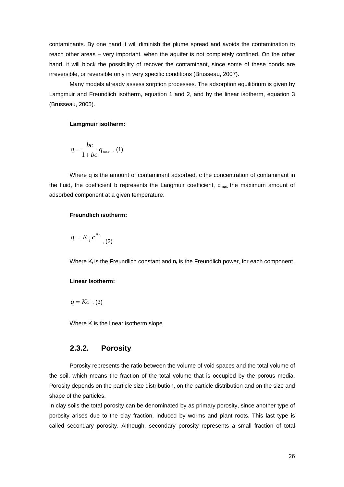contaminants. By one hand it will diminish the plume spread and avoids the contamination to reach other areas – very important, when the aquifer is not completely confined. On the other hand, it will block the possibility of recover the contaminant, since some of these bonds are irreversible, or reversible only in very specific conditions (Brusseau, 2007).

Many models already assess sorption processes. The adsorption equilibrium is given by Lamgmuir and Freundlich isotherm, equation 1 and 2, and by the linear isotherm, equation 3 (Brusseau, 2005).

#### **Lamgmuir isotherm:**

$$
q = \frac{bc}{1 + bc} q_{\text{max}} \quad (1)
$$

Where q is the amount of contaminant adsorbed, c the concentration of contaminant in the fluid, the coefficient b represents the Langmuir coefficient,  $q_{max}$  the maximum amount of adsorbed component at a given temperature.

#### **Freundlich isotherm:**

$$
q = K_f c^{n_f}
$$
, (2)

Where  $K_f$  is the Freundlich constant and  $n_f$  is the Freundlich power, for each component.

#### **Linear Isotherm:**

$$
q=Kc\ \ ,\ (3)
$$

Where K is the linear isotherm slope.

### **2.3.2. Porosity**

Porosity represents the ratio between the volume of void spaces and the total volume of the soil, which means the fraction of the total volume that is occupied by the porous media. Porosity depends on the particle size distribution, on the particle distribution and on the size and shape of the particles.

In clay soils the total porosity can be denominated by as primary porosity, since another type of porosity arises due to the clay fraction, induced by worms and plant roots. This last type is called secondary porosity. Although, secondary porosity represents a small fraction of total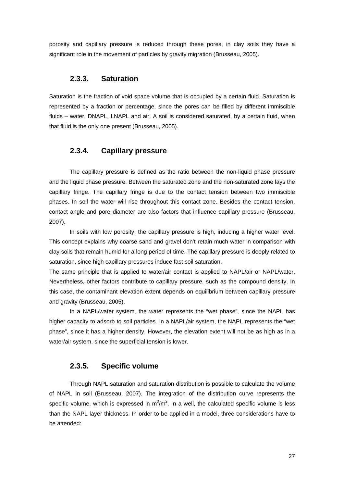porosity and capillary pressure is reduced through these pores, in clay soils they have a significant role in the movement of particles by gravity migration (Brusseau, 2005).

#### **2.3.3. Saturation**

Saturation is the fraction of void space volume that is occupied by a certain fluid. Saturation is represented by a fraction or percentage, since the pores can be filled by different immiscible fluids – water, DNAPL, LNAPL and air. A soil is considered saturated, by a certain fluid, when that fluid is the only one present (Brusseau, 2005).

#### **2.3.4. Capillary pressure**

The capillary pressure is defined as the ratio between the non-liquid phase pressure and the liquid phase pressure. Between the saturated zone and the non-saturated zone lays the capillary fringe. The capillary fringe is due to the contact tension between two immiscible phases. In soil the water will rise throughout this contact zone. Besides the contact tension, contact angle and pore diameter are also factors that influence capillary pressure (Brusseau, 2007).

In soils with low porosity, the capillary pressure is high, inducing a higher water level. This concept explains why coarse sand and gravel don't retain much water in comparison with clay soils that remain humid for a long period of time. The capillary pressure is deeply related to saturation, since high capillary pressures induce fast soil saturation.

The same principle that is applied to water/air contact is applied to NAPL/air or NAPL/water. Nevertheless, other factors contribute to capillary pressure, such as the compound density. In this case, the contaminant elevation extent depends on equilibrium between capillary pressure and gravity (Brusseau, 2005).

In a NAPL/water system, the water represents the "wet phase", since the NAPL has higher capacity to adsorb to soil particles. In a NAPL/air system, the NAPL represents the "wet phase", since it has a higher density. However, the elevation extent will not be as high as in a water/air system, since the superficial tension is lower.

### **2.3.5. Specific volume**

Through NAPL saturation and saturation distribution is possible to calculate the volume of NAPL in soil (Brusseau, 2007). The integration of the distribution curve represents the specific volume, which is expressed in  $m^3/m^2$ . In a well, the calculated specific volume is less than the NAPL layer thickness. In order to be applied in a model, three considerations have to be attended: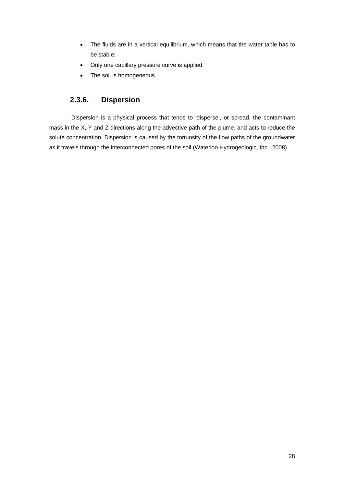- The fluids are in a vertical equilibrium, which means that the water table has to be stable;
- Only one capillary pressure curve is applied;
- The soil is homogeneous.

# **2.3.6. Dispersion**

 Dispersion is a physical process that tends to 'disperse', or spread, the contaminant mass in the X, Y and Z directions along the advective path of the plume, and acts to reduce the solute concentration. Dispersion is caused by the tortuosity of the flow paths of the groundwater as it travels through the interconnected pores of the soil (Waterloo Hydrogeologic, Inc., 2008).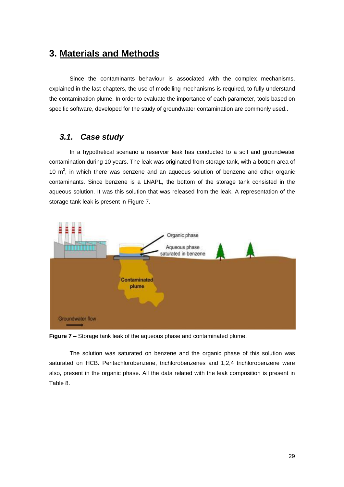# **3. Materials and Methods**

Since the contaminants behaviour is associated with the complex mechanisms, explained in the last chapters, the use of modelling mechanisms is required, to fully understand the contamination plume. In order to evaluate the importance of each parameter, tools based on specific software, developed for the study of groundwater contamination are commonly used..

# *3.1. Case study*

In a hypothetical scenario a reservoir leak has conducted to a soil and groundwater contamination during 10 years. The leak was originated from storage tank, with a bottom area of 10  $m^2$ , in which there was benzene and an aqueous solution of benzene and other organic contaminants. Since benzene is a LNAPL, the bottom of the storage tank consisted in the aqueous solution. It was this solution that was released from the leak. A representation of the storage tank leak is present in Figure 7.



**Figure 7** – Storage tank leak of the aqueous phase and contaminated plume.

The solution was saturated on benzene and the organic phase of this solution was saturated on HCB. Pentachlorobenzene, trichlorobenzenes and 1,2,4 trichlorobenzene were also, present in the organic phase. All the data related with the leak composition is present in Table 8.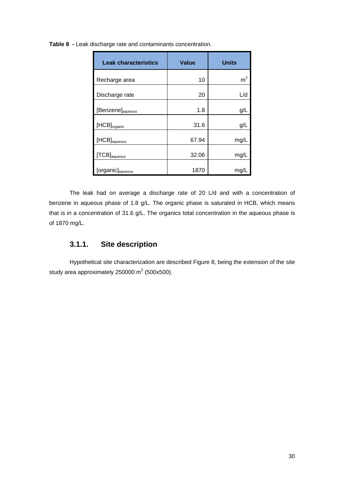| <b>Leak characteristics</b>  | <b>Value</b> | <b>Units</b> |
|------------------------------|--------------|--------------|
| Recharge area                | 10           | $\rm m^2$    |
| Discharge rate               | 20           | L/d          |
| [Benzene] <sub>aqueous</sub> | 1.8          | g/l          |
| $[HCB]_{\text{organic}}$     | 31.6         | g/L          |
| $[HCB]_{aqueous}$            | 67.94        | mg/l         |
| $[TCB]_{\text{aqueous}}$     | 32.06        | mg/l         |
| [organic] <sub>aqueous</sub> | 1870         | mg/          |

**Table 8 -** Leak discharge rate and contaminants concentration.

The leak had on average a discharge rate of 20 L/d and with a concentration of benzene in aqueous phase of 1.8 g/L. The organic phase is saturated in HCB, which means that is in a concentration of 31.6 g/L. The organics total concentration in the aqueous phase is of 1870 mg/L.

# **3.1.1. Site description**

Hypothetical site characterization are described Figure 8, being the extension of the site study area approximately 250000 m<sup>2</sup> (500x500).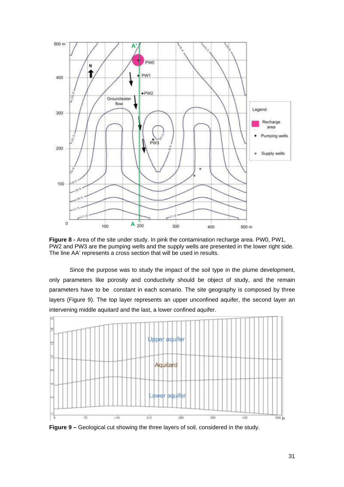

**Figure 8 -** Area of the site under study. In pink the contamination recharge area. PW0, PW1, PW2 and PW3 are the pumping wells and the supply wells are presented in the lower right side. The line AA' represents a cross section that will be used in results.

Since the purpose was to study the impact of the soil type in the plume development, only parameters like porosity and conductivity should be object of study, and the remain parameters have to be constant in each scenario. The site geography is composed by three layers (Figure 9). The top layer represents an upper unconfined aquifer, the second layer an intervening middle aquitard and the last, a lower confined aquifer.



**Figure 9 –** Geological cut showing the three layers of soil, considered in the study.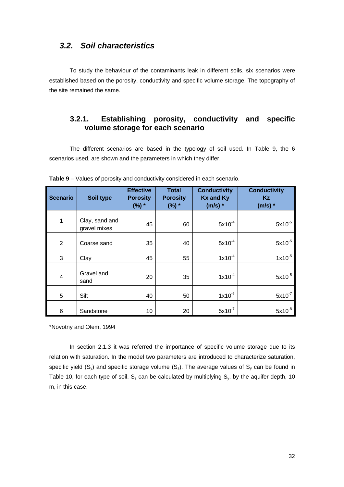## *3.2. Soil characteristics*

To study the behaviour of the contaminants leak in different soils, six scenarios were established based on the porosity, conductivity and specific volume storage. The topography of the site remained the same.

## **3.2.1. Establishing porosity, conductivity and specific volume storage for each scenario**

The different scenarios are based in the typology of soil used. In Table 9, the 6 scenarios used, are shown and the parameters in which they differ.

| <b>Scenario</b> | Soil type                      | <b>Effective</b><br><b>Porosity</b><br>$(%) *$ | <b>Total</b><br><b>Porosity</b><br>$(%) *$ | <b>Conductivity</b><br><b>Kx and Ky</b><br>$(m/s)$ * | <b>Conductivity</b><br>Kz.<br>$(m/s)$ * |
|-----------------|--------------------------------|------------------------------------------------|--------------------------------------------|------------------------------------------------------|-----------------------------------------|
| 1               | Clay, sand and<br>gravel mixes | 45                                             | 60                                         | $5x10^{-4}$                                          | $5x10^{-5}$                             |
| 2               | Coarse sand                    | 35                                             | 40                                         | $5x10^{-4}$                                          | $5x10^{-5}$                             |
| 3               | Clay                           | 45                                             | 55                                         | $1x10^{-4}$                                          | $1x10^{-5}$                             |
| $\overline{4}$  | Gravel and<br>sand             | 20                                             | 35                                         | $1x10^{-4}$                                          | $5x10^{-5}$                             |
| 5               | Silt                           | 40                                             | 50                                         | $1x10^{-6}$                                          | $5x10^{-7}$                             |
| 6               | Sandstone                      | 10                                             | 20                                         | $5x10^{-7}$                                          | $5x10^{-8}$                             |

**Table 9** – Values of porosity and conductivity considered in each scenario.

\*Novotny and Olem, 1994

In section 2.1.3 it was referred the importance of specific volume storage due to its relation with saturation. In the model two parameters are introduced to characterize saturation, specific yield  $(S_y)$  and specific storage volume  $(S_s)$ . The average values of  $S_y$  can be found in Table 10, for each type of soil.  $S_s$  can be calculated by multiplying  $S_y$ , by the aquifer depth, 10 m, in this case.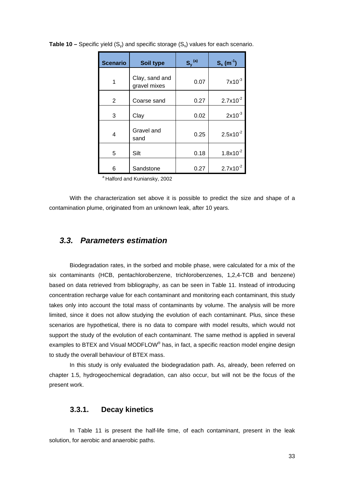| <b>Scenario</b> | Soil type                      | $S_y^{(a)}$ | $S_s(m^{-1})$ |
|-----------------|--------------------------------|-------------|---------------|
|                 | Clay, sand and<br>gravel mixes | 0.07        | $7x10^{-3}$   |
| 2               | Coarse sand                    | 0.27        | $2.7x10^{-2}$ |
| 3               | Clay                           | 0.02        | $2x10^{-3}$   |
| 4               | Gravel and<br>sand             | 0.25        | $2.5x10^{-2}$ |
| 5               | Silt                           | 0.18        | $1.8x10^{-2}$ |
| 6               | Sandstone                      | 0.27        | $2.7x10^{-2}$ |

**Table 10 –** Specific yield  $(S_v)$  and specific storage  $(S_s)$  values for each scenario.

a Halford and Kuniansky, 2002

With the characterization set above it is possible to predict the size and shape of a contamination plume, originated from an unknown leak, after 10 years.

### *3.3. Parameters estimation*

Biodegradation rates, in the sorbed and mobile phase, were calculated for a mix of the six contaminants (HCB, pentachlorobenzene, trichlorobenzenes, 1,2,4-TCB and benzene) based on data retrieved from bibliography, as can be seen in Table 11. Instead of introducing concentration recharge value for each contaminant and monitoring each contaminant, this study takes only into account the total mass of contaminants by volume. The analysis will be more limited, since it does not allow studying the evolution of each contaminant. Plus, since these scenarios are hypothetical, there is no data to compare with model results, which would not support the study of the evolution of each contaminant. The same method is applied in several examples to BTEX and Visual MODFLOW® has, in fact, a specific reaction model engine design to study the overall behaviour of BTEX mass.

In this study is only evaluated the biodegradation path. As, already, been referred on chapter 1.5, hydrogeochemical degradation, can also occur, but will not be the focus of the present work.

#### **3.3.1. Decay kinetics**

In Table 11 is present the half-life time, of each contaminant, present in the leak solution, for aerobic and anaerobic paths.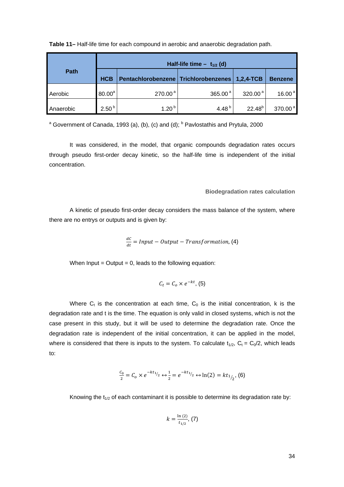|             | Half-life time $-$ t <sub>1/2</sub> (d) |                                        |                     |               |                      |  |  |
|-------------|-----------------------------------------|----------------------------------------|---------------------|---------------|----------------------|--|--|
| <b>Path</b> | <b>HCB</b>                              | Pentachlorobenzene   Trichlorobenzenes |                     | $1,2,4$ -TCB  | <b>Benzene</b>       |  |  |
| Aerobic     | $80.00^a$                               | 270.00 <sup>a</sup>                    | 365.00 <sup>a</sup> | 320.00 $^{a}$ | 16.00 $^{a}$         |  |  |
| Anaerobic   | 2.50 <sup>b</sup>                       | $1.20^{b}$                             | 4.48 $^{b}$         | $22.48^{b}$   | $370.00^{\text{ a}}$ |  |  |

**Table 11–** Half-life time for each compound in aerobic and anaerobic degradation path.

<sup>a</sup> Government of Canada, 1993 (a), (b), (c) and (d);  $<sup>b</sup>$  Pavlostathis and Prytula, 2000</sup>

It was considered, in the model, that organic compounds degradation rates occurs through pseudo first-order decay kinetic, so the half-life time is independent of the initial concentration.

#### **Biodegradation rates calculation**

A kinetic of pseudo first-order decay considers the mass balance of the system, where there are no entrys or outputs and is given by:

$$
\frac{dC}{dt} = Input - Output - Transformation, (4)
$$

When  $Input = Output = 0$ , leads to the following equation:

$$
C_t = C_o \times e^{-kt}, (5)
$$

Where  $C_t$  is the concentration at each time,  $C_0$  is the initial concentration, k is the degradation rate and t is the time. The equation is only valid in closed systems, which is not the case present in this study, but it will be used to determine the degradation rate. Once the degradation rate is independent of the initial concentration, it can be applied in the model, where is considered that there is inputs to the system. To calculate  $t_{1/2}$ ,  $C_t = C_0/2$ , which leads to:

$$
\frac{c_0}{2} = C_0 \times e^{-kt_{1/2}} \leftrightarrow \frac{1}{2} = e^{-kt_{1/2}} \leftrightarrow \ln(2) = kt_{1/2}, \text{(6)}
$$

Knowing the  $t_{1/2}$  of each contaminant it is possible to determine its degradation rate by:

$$
k=\frac{\ln{(2)}}{t_{1/2}},\,(7)
$$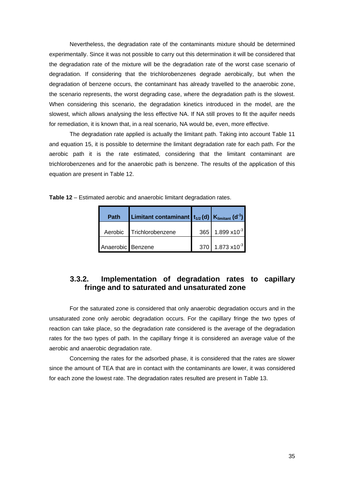Nevertheless, the degradation rate of the contaminants mixture should be determined experimentally. Since it was not possible to carry out this determination it will be considered that the degradation rate of the mixture will be the degradation rate of the worst case scenario of degradation. If considering that the trichlorobenzenes degrade aerobically, but when the degradation of benzene occurs, the contaminant has already travelled to the anaerobic zone, the scenario represents, the worst degrading case, where the degradation path is the slowest. When considering this scenario, the degradation kinetics introduced in the model, are the slowest, which allows analysing the less effective NA. If NA still proves to fit the aquifer needs for remediation, it is known that, in a real scenario, NA would be, even, more effective.

The degradation rate applied is actually the limitant path. Taking into account Table 11 and equation 15, it is possible to determine the limitant degradation rate for each path. For the aerobic path it is the rate estimated, considering that the limitant contaminant are trichlorobenzenes and for the anaerobic path is benzene. The results of the application of this equation are present in Table 12.

| Table 12 - Estimated aerobic and anaerobic limitant degradation rates. |  |  |  |
|------------------------------------------------------------------------|--|--|--|
|                                                                        |  |  |  |

| <b>Path</b>       | Limitant contaminant $t_{1/2}$ (d) $K_{limitant}$ (d <sup>-1</sup> ) |                             |
|-------------------|----------------------------------------------------------------------|-----------------------------|
|                   | Aerobic Trichlorobenzene                                             | 365 1.899 x10 <sup>-3</sup> |
| Anaerobic Benzene |                                                                      | 370 1.873 $x10^{-3}$        |

# **3.3.2. Implementation of degradation rates to capillary fringe and to saturated and unsaturated zone**

For the saturated zone is considered that only anaerobic degradation occurs and in the unsaturated zone only aerobic degradation occurs. For the capillary fringe the two types of reaction can take place, so the degradation rate considered is the average of the degradation rates for the two types of path. In the capillary fringe it is considered an average value of the aerobic and anaerobic degradation rate.

Concerning the rates for the adsorbed phase, it is considered that the rates are slower since the amount of TEA that are in contact with the contaminants are lower, it was considered for each zone the lowest rate. The degradation rates resulted are present in Table 13.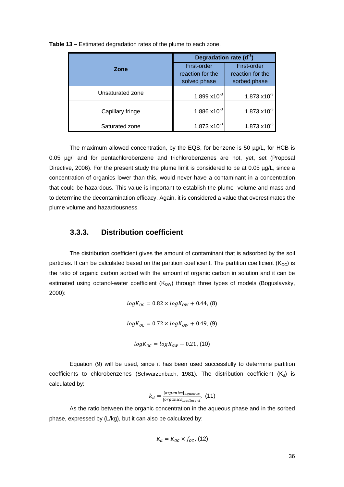|                  | Degradation rate $(d^{-1})$                     |                                                 |  |
|------------------|-------------------------------------------------|-------------------------------------------------|--|
| <b>Zone</b>      | First-order<br>reaction for the<br>solved phase | First-order<br>reaction for the<br>sorbed phase |  |
| Unsaturated zone | 1.899 x10 $3$                                   | $1.873 \times 10^{-3}$                          |  |
| Capillary fringe | $1.886 \times 10^{-3}$                          | $1.873 \times 10^{-3}$                          |  |
| Saturated zone   | $1.873 \times 10^{-3}$                          | $1.873 \times 10^{-3}$                          |  |

**Table 13 –** Estimated degradation rates of the plume to each zone.

The maximum allowed concentration, by the EQS, for benzene is 50 µg/L, for HCB is 0.05 µg/l and for pentachlorobenzene and trichlorobenzenes are not, yet, set (Proposal Directive, 2006). For the present study the plume limit is considered to be at 0.05 µg/L, since a concentration of organics lower than this, would never have a contaminant in a concentration that could be hazardous. This value is important to establish the plume volume and mass and to determine the decontamination efficacy. Again, it is considered a value that overestimates the plume volume and hazardousness.

### **3.3.3. Distribution coefficient**

The distribution coefficient gives the amount of contaminant that is adsorbed by the soil particles. It can be calculated based on the partition coefficient. The partition coefficient ( $K_{OC}$ ) is the ratio of organic carbon sorbed with the amount of organic carbon in solution and it can be estimated using octanol-water coefficient  $(K<sub>OW</sub>)$  through three types of models (Boguslavsky, 2000):

$$
logK_{OC} = 0.82 \times logK_{OW} + 0.44, (8)
$$
  

$$
logK_{OC} = 0.72 \times logK_{OW} + 0.49, (9)
$$
  

$$
logK_{OC} = logK_{OW} - 0.21, (10)
$$

Equation (9) will be used, since it has been used successfully to determine partition coefficients to chlorobenzenes (Schwarzenbach, 1981). The distribution coefficient  $(K_d)$  is calculated by:

$$
k_d = \frac{[organics]_{aqueous}}{[organics]_{sediment}}, (11)
$$

As the ratio between the organic concentration in the aqueous phase and in the sorbed phase, expressed by (L/kg), but it can also be calculated by:

$$
K_d = K_{OC} \times f_{OC}, (12)
$$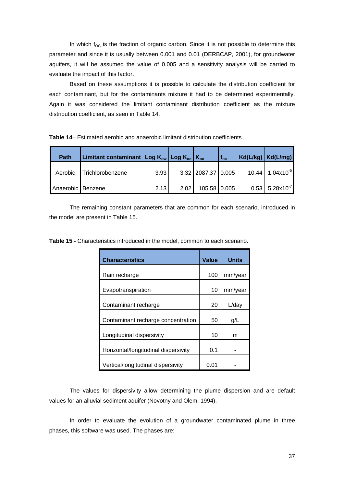In which  $f_{OC}$  is the fraction of organic carbon. Since it is not possible to determine this parameter and since it is usually between 0.001 and 0.01 (DERBCAP, 2001), for groundwater aquifers, it will be assumed the value of 0.005 and a sensitivity analysis will be carried to evaluate the impact of this factor.

Based on these assumptions it is possible to calculate the distribution coefficient for each contaminant, but for the contaminants mixture it had to be determined experimentally. Again it was considered the limitant contaminant distribution coefficient as the mixture distribution coefficient, as seen in Table 14.

| <b>Table 14– Estimated aerobic and anaerobic limitant distribution coefficients.</b> |
|--------------------------------------------------------------------------------------|
|--------------------------------------------------------------------------------------|

| <b>Path</b>       | Limitant contaminant $\log K_{\text{ow}}$ Log $K_{\text{oc}}$ $\log K_{\text{oc}}$ |      |      |                          | $f_{oc}$ | $Kd(L/kg)$ $Kd(L/mg)$           |
|-------------------|------------------------------------------------------------------------------------|------|------|--------------------------|----------|---------------------------------|
| Aerobic           | Trichlorobenzene                                                                   | 3.93 |      | $3.32$   2087.37   0.005 |          | $10.44$   1.04x10 <sup>-5</sup> |
| Anaerobic Benzene |                                                                                    | 2.13 | 2.02 | 105.58 0.005             |          | $0.53$ 5.28x10 <sup>-7</sup>    |

The remaining constant parameters that are common for each scenario, introduced in the model are present in Table 15.

**Table 15 -** Characteristics introduced in the model, common to each scenario.

| <b>Characteristics</b>               | Value | Units   |
|--------------------------------------|-------|---------|
| Rain recharge                        | 100   | mm/year |
| Evapotranspiration                   | 10    | mm/year |
| Contaminant recharge                 | 20    | L/day   |
| Contaminant recharge concentration   | 50    | g/L     |
| Longitudinal dispersivity            | 10    | m       |
| Horizontal/longitudinal dispersivity | 0.1   |         |
| Vertical/longitudinal dispersivity   | 0.01  |         |

The values for dispersivity allow determining the plume dispersion and are default values for an alluvial sediment aquifer (Novotny and Olem, 1994).

In order to evaluate the evolution of a groundwater contaminated plume in three phases, this software was used. The phases are: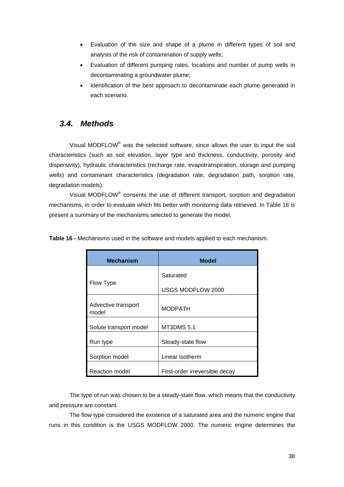- Evaluation of the size and shape of a plume in different types of soil and analysis of the risk of contamination of supply wells;
- Evaluation of different pumping rates, locations and number of pump wells in decontaminating a groundwater plume;
- Identification of the best approach to decontaminate each plume generated in each scenario.

# *3.4. Methods*

Visual MODFLOW<sup>®</sup> was the selected software, since allows the user to input the soil characteristics (such as soil elevation, layer type and thickness, conductivity, porosity and dispersivity), hydraulic characteristics (recharge rate, evapotranspiration, storage and pumping wells) and contaminant characteristics (degradation rate, degradation path, sorption rate, degradation models).

Visual MODFLOW® consents the use of different transport, sorption and degradation mechanisms, in order to evaluate which fits better with monitoring data retrieved. In Table 16 is present a summary of the mechanisms selected to generate the model.

| <b>Mechanism</b>             | <b>Model</b>                   |
|------------------------------|--------------------------------|
|                              | Saturated                      |
| Flow Type                    | USGS MODFLOW 2000              |
| Advective transport<br>model | <b>MODPATH</b>                 |
| Solute transport model       | MT3DMS 5.1                     |
| Run type                     | Steady-state flow              |
| Sorption model               | Linear isotherm                |
| Reaction model               | First-order irreversible decay |

**Table 16 -** Mechanisms used in the software and models applied to each mechanism.

The type of run was chosen to be a steady-state flow, which means that the conductivity and pressure are constant.

The flow type considered the existence of a saturated area and the numeric engine that runs in this condition is the USGS MODFLOW 2000. The numeric engine determines the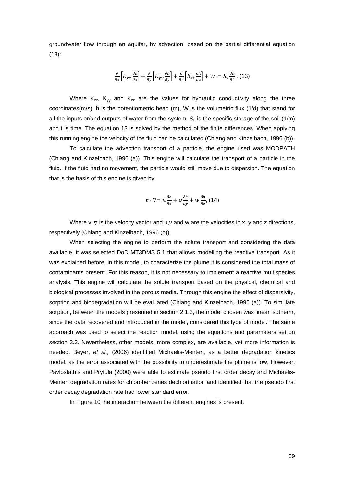groundwater flow through an aquifer, by advection, based on the partial differential equation (13):

$$
\frac{\partial}{\partial x}\Big[K_{xx}\frac{\partial h}{\partial x}\Big] + \frac{\partial}{\partial y}\Big[K_{yy}\frac{\partial h}{\partial y}\Big] + \frac{\partial}{\partial z}\Big[K_{zz}\frac{\partial h}{\partial z}\Big] + W = S_{S}\frac{\partial h}{\partial t}, (13)
$$

Where  $K_{xx}$ ,  $K_{yy}$  and  $K_{zz}$  are the values for hydraulic conductivity along the three coordinates( $m/s$ ), h is the potentiometric head (m), W is the volumetric flux  $(1/d)$  that stand for all the inputs or/and outputs of water from the system,  $S_s$  is the specific storage of the soil (1/m) and t is time. The equation 13 is solved by the method of the finite differences. When applying this running engine the velocity of the fluid can be calculated (Chiang and Kinzelbach, 1996 (b)).

To calculate the advection transport of a particle, the engine used was MODPATH (Chiang and Kinzelbach, 1996 (a)). This engine will calculate the transport of a particle in the fluid. If the fluid had no movement, the particle would still move due to dispersion. The equation that is the basis of this engine is given by:

$$
v\cdot\nabla=u\frac{\partial h}{\partial x}+v\frac{\partial h}{\partial y}+w\frac{\partial h}{\partial z},\text{ (14)}
$$

Where  $v \cdot \nabla$  is the velocity vector and u,v and w are the velocities in x, y and z directions, respectively (Chiang and Kinzelbach, 1996 (b)).

When selecting the engine to perform the solute transport and considering the data available, it was selected DoD MT3DMS 5.1 that allows modelling the reactive transport. As it was explained before, in this model, to characterize the plume it is considered the total mass of contaminants present. For this reason, it is not necessary to implement a reactive multispecies analysis. This engine will calculate the solute transport based on the physical, chemical and biological processes involved in the porous media. Through this engine the effect of dispersivity, sorption and biodegradation will be evaluated (Chiang and Kinzelbach, 1996 (a)). To simulate sorption, between the models presented in section 2.1.3, the model chosen was linear isotherm, since the data recovered and introduced in the model, considered this type of model. The same approach was used to select the reaction model, using the equations and parameters set on section 3.3. Nevertheless, other models, more complex, are available, yet more information is needed. Beyer, *et al.,* (2006) identified Michaelis-Menten, as a better degradation kinetics model, as the error associated with the possibility to underestimate the plume is low. However, Pavlostathis and Prytula (2000) were able to estimate pseudo first order decay and Michaelis-Menten degradation rates for chlorobenzenes dechlorination and identified that the pseudo first order decay degradation rate had lower standard error.

In Figure 10 the interaction between the different engines is present.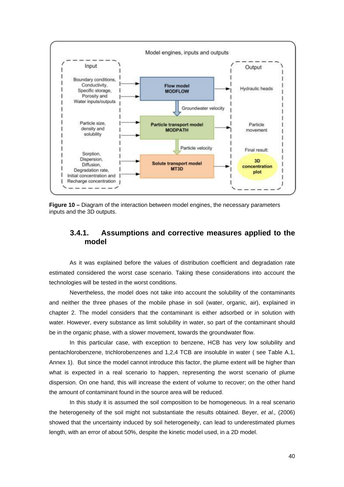

**Figure 10 –** Diagram of the interaction between model engines, the necessary parameters inputs and the 3D outputs.

### **3.4.1. Assumptions and corrective measures applied to the model**

As it was explained before the values of distribution coefficient and degradation rate estimated considered the worst case scenario. Taking these considerations into account the technologies will be tested in the worst conditions.

Nevertheless, the model does not take into account the solubility of the contaminants and neither the three phases of the mobile phase in soil (water, organic, air), explained in chapter 2. The model considers that the contaminant is either adsorbed or in solution with water. However, every substance as limit solubility in water, so part of the contaminant should be in the organic phase, with a slower movement, towards the groundwater flow.

In this particular case, with exception to benzene, HCB has very low solubility and pentachlorobenzene, trichlorobenzenes and 1,2,4 TCB are insoluble in water ( see Table A.1, Annex 1). But since the model cannot introduce this factor, the plume extent will be higher than what is expected in a real scenario to happen, representing the worst scenario of plume dispersion. On one hand, this will increase the extent of volume to recover; on the other hand the amount of contaminant found in the source area will be reduced.

In this study it is assumed the soil composition to be homogeneous. In a real scenario the heterogeneity of the soil might not substantiate the results obtained. Beyer, *et al.,* (2006) showed that the uncertainty induced by soil heterogeneity, can lead to underestimated plumes length, with an error of about 50%, despite the kinetic model used, in a 2D model.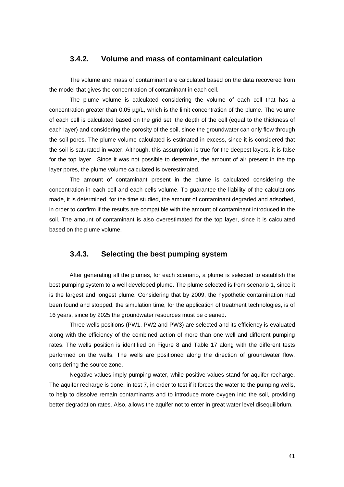#### **3.4.2. Volume and mass of contaminant calculation**

The volume and mass of contaminant are calculated based on the data recovered from the model that gives the concentration of contaminant in each cell.

The plume volume is calculated considering the volume of each cell that has a concentration greater than 0.05 µg/L, which is the limit concentration of the plume. The volume of each cell is calculated based on the grid set, the depth of the cell (equal to the thickness of each layer) and considering the porosity of the soil, since the groundwater can only flow through the soil pores. The plume volume calculated is estimated in excess, since it is considered that the soil is saturated in water. Although, this assumption is true for the deepest layers, it is false for the top layer. Since it was not possible to determine, the amount of air present in the top layer pores, the plume volume calculated is overestimated.

The amount of contaminant present in the plume is calculated considering the concentration in each cell and each cells volume. To guarantee the liability of the calculations made, it is determined, for the time studied, the amount of contaminant degraded and adsorbed, in order to confirm if the results are compatible with the amount of contaminant introduced in the soil. The amount of contaminant is also overestimated for the top layer, since it is calculated based on the plume volume.

#### **3.4.3. Selecting the best pumping system**

After generating all the plumes, for each scenario, a plume is selected to establish the best pumping system to a well developed plume. The plume selected is from scenario 1, since it is the largest and longest plume. Considering that by 2009, the hypothetic contamination had been found and stopped, the simulation time, for the application of treatment technologies, is of 16 years, since by 2025 the groundwater resources must be cleaned.

Three wells positions (PW1, PW2 and PW3) are selected and its efficiency is evaluated along with the efficiency of the combined action of more than one well and different pumping rates. The wells position is identified on Figure 8 and Table 17 along with the different tests performed on the wells. The wells are positioned along the direction of groundwater flow, considering the source zone.

Negative values imply pumping water, while positive values stand for aquifer recharge. The aquifer recharge is done, in test 7, in order to test if it forces the water to the pumping wells, to help to dissolve remain contaminants and to introduce more oxygen into the soil, providing better degradation rates. Also, allows the aquifer not to enter in great water level disequilibrium.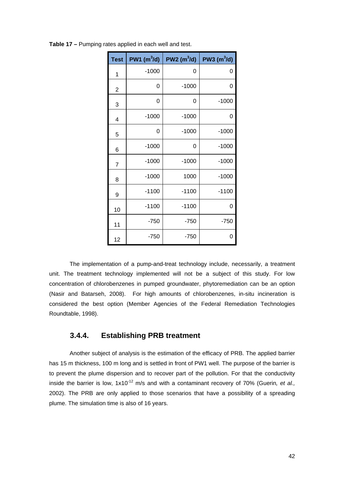| <b>Test</b>    | $PW1$ (m $^{3}$ /d) | $PW2$ (m $^3$ /d) | $PW3$ (m $^{3}$ /d) |
|----------------|---------------------|-------------------|---------------------|
| 1              | $-1000$             | 0                 | 0                   |
| $\overline{2}$ | 0                   | $-1000$           | 0                   |
| 3              | 0                   | 0                 | $-1000$             |
| $\overline{4}$ | $-1000$             | $-1000$           | 0                   |
| 5              | 0                   | $-1000$           | $-1000$             |
| 6              | $-1000$             | 0                 | $-1000$             |
| $\overline{7}$ | $-1000$             | $-1000$           | $-1000$             |
| 8              | $-1000$             | 1000              | $-1000$             |
| 9              | $-1100$             | $-1100$           | $-1100$             |
| 10             | $-1100$             | $-1100$           | 0                   |
| 11             | $-750$              | $-750$            | $-750$              |
| 12             | $-750$              | $-750$            | 0                   |

**Table 17 –** Pumping rates applied in each well and test.

The implementation of a pump-and-treat technology include, necessarily, a treatment unit. The treatment technology implemented will not be a subject of this study. For low concentration of chlorobenzenes in pumped groundwater, phytoremediation can be an option (Nasir and Batarseh, 2008). For high amounts of chlorobenzenes, in-situ incineration is considered the best option (Member Agencies of the Federal Remediation Technologies Roundtable, 1998).

## **3.4.4. Establishing PRB treatment**

Another subject of analysis is the estimation of the efficacy of PRB. The applied barrier has 15 m thickness, 100 m long and is settled in front of PW1 well. The purpose of the barrier is to prevent the plume dispersion and to recover part of the pollution. For that the conductivity inside the barrier is low, 1x10<sup>-12</sup> m/s and with a contaminant recovery of 70% (Guerin, et al., 2002). The PRB are only applied to those scenarios that have a possibility of a spreading plume. The simulation time is also of 16 years.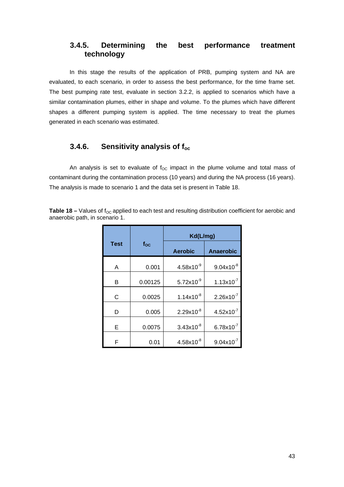# **3.4.5. Determining the best performance treatment technology**

In this stage the results of the application of PRB, pumping system and NA are evaluated, to each scenario, in order to assess the best performance, for the time frame set. The best pumping rate test, evaluate in section 3.2.2, is applied to scenarios which have a similar contamination plumes, either in shape and volume. To the plumes which have different shapes a different pumping system is applied. The time necessary to treat the plumes generated in each scenario was estimated.

#### **3.4.6. Sensitivity analysis of foc**

An analysis is set to evaluate of  $f_{OC}$  impact in the plume volume and total mass of contaminant during the contamination process (10 years) and during the NA process (16 years). The analysis is made to scenario 1 and the data set is present in Table 18.

**Table 18 –** Values of f<sub>oc</sub> applied to each test and resulting distribution coefficient for aerobic and anaerobic path, in scenario 1.

|             |              | Kd(L/mg)            |                     |
|-------------|--------------|---------------------|---------------------|
| <b>Test</b> | $f_{\rm OC}$ | <b>Aerobic</b>      | Anaerobic           |
| A           | 0.001        | $4.58\times10^{-9}$ | $9.04x10^{-8}$      |
| В           | 0.00125      | $5.72x10^{-9}$      | $1.13x10^{-7}$      |
| C           | 0.0025       | $1.14x10^{-8}$      | $2.26x10^{-7}$      |
| D           | 0.005        | $2.29x10^{-8}$      | $4.52\times10^{-7}$ |
| Е           | 0.0075       | $3.43x10^{-8}$      | $6.78\times10^{-7}$ |
| F           | 0.01         | $4.58\times10^{-8}$ | $9.04x10^{-7}$      |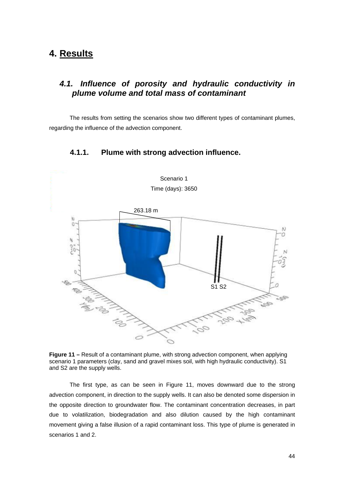# **4. Results**

# *4.1. Influence of porosity and hydraulic conductivity in plume volume and total mass of contaminant*

The results from setting the scenarios show two different types of contaminant plumes, regarding the influence of the advection component.



**4.1.1. Plume with strong advection influence.** 

**Figure 11 –** Result of a contaminant plume, with strong advection component, when applying scenario 1 parameters (clay, sand and gravel mixes soil, with high hydraulic conductivity). S1 and S2 are the supply wells.

The first type, as can be seen in Figure 11, moves downward due to the strong advection component, in direction to the supply wells. It can also be denoted some dispersion in the opposite direction to groundwater flow. The contaminant concentration decreases, in part due to volatilization, biodegradation and also dilution caused by the high contaminant movement giving a false illusion of a rapid contaminant loss. This type of plume is generated in scenarios 1 and 2.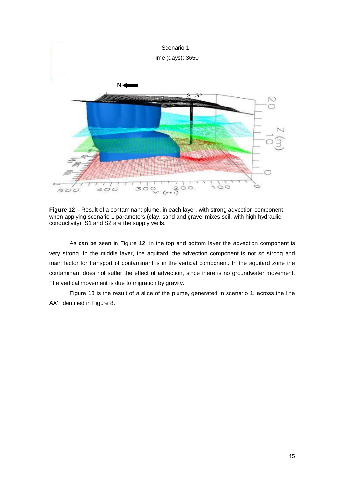

**Figure 12 –** Result of a contaminant plume, in each layer, with strong advection component, when applying scenario 1 parameters (clay, sand and gravel mixes soil, with high hydraulic conductivity). S1 and S2 are the supply wells.

As can be seen in Figure 12, in the top and bottom layer the advection component is very strong. In the middle layer, the aquitard, the advection component is not so strong and main factor for transport of contaminant is in the vertical component. In the aquitard zone the contaminant does not suffer the effect of advection, since there is no groundwater movement. The vertical movement is due to migration by gravity.

Figure 13 is the result of a slice of the plume, generated in scenario 1, across the line AA', identified in Figure 8.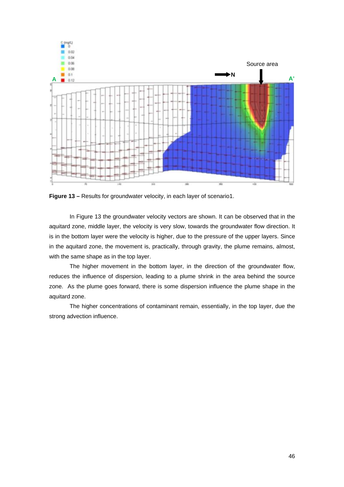

**Figure 13 – Results for groundwater velocity, in each layer of scenario1.** 

In Figure 13 the groundwater velocity vectors are shown. It can be observed that in the aquitard zone, middle layer, the velocity is very slow, towards the groundwater flow direction. It is in the bottom layer were the velocity is higher, due to the pressure of the upper layers. Since in the aquitard zone, the movement is, practically, through gravity, the plume remains, almost, with the same shape as in the top layer.

The higher movement in the bottom layer, in the direction of the groundwater flow, reduces the influence of dispersion, leading to a plume shrink in the area behind the source zone. As the plume goes forward, there is some dispersion influence the plume shape in the aquitard zone.

The higher concentrations of contaminant remain, essentially, in the top layer, due the strong advection influence.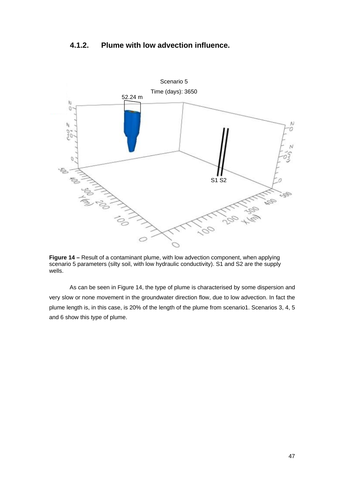# **4.1.2. Plume with low advection influence.**



**Figure 14 –** Result of a contaminant plume, with low advection component, when applying scenario 5 parameters (silty soil, with low hydraulic conductivity). S1 and S2 are the supply wells.

As can be seen in Figure 14, the type of plume is characterised by some dispersion and very slow or none movement in the groundwater direction flow, due to low advection. In fact the plume length is, in this case, is 20% of the length of the plume from scenario1. Scenarios 3, 4, 5 and 6 show this type of plume.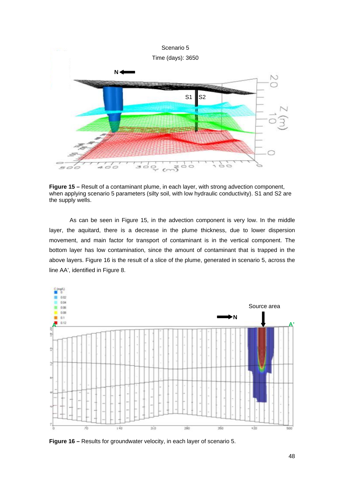

**Figure 15 –** Result of a contaminant plume, in each layer, with strong advection component, when applying scenario 5 parameters (silty soil, with low hydraulic conductivity). S1 and S2 are the supply wells.

As can be seen in Figure 15, in the advection component is very low. In the middle layer, the aquitard, there is a decrease in the plume thickness, due to lower dispersion movement, and main factor for transport of contaminant is in the vertical component. The bottom layer has low contamination, since the amount of contaminant that is trapped in the above layers. Figure 16 is the result of a slice of the plume, generated in scenario 5, across the line AA', identified in Figure 8.



**Figure 16 –** Results for groundwater velocity, in each layer of scenario 5.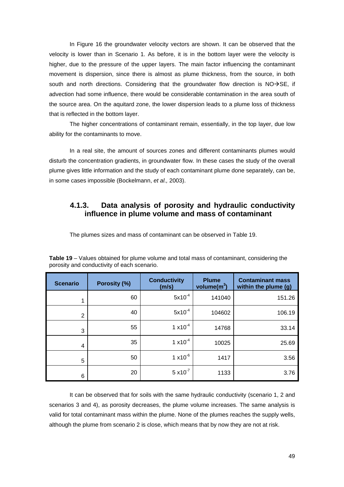In Figure 16 the groundwater velocity vectors are shown. It can be observed that the velocity is lower than in Scenario 1. As before, it is in the bottom layer were the velocity is higher, due to the pressure of the upper layers. The main factor influencing the contaminant movement is dispersion, since there is almost as plume thickness, from the source, in both south and north directions. Considering that the groundwater flow direction is  $NO\rightarrow SE$ , if advection had some influence, there would be considerable contamination in the area south of the source area. On the aquitard zone, the lower dispersion leads to a plume loss of thickness that is reflected in the bottom layer.

The higher concentrations of contaminant remain, essentially, in the top layer, due low ability for the contaminants to move.

In a real site, the amount of sources zones and different contaminants plumes would disturb the concentration gradients, in groundwater flow. In these cases the study of the overall plume gives little information and the study of each contaminant plume done separately, can be, in some cases impossible (Bockelmann, *et al.,* 2003).

## **4.1.3. Data analysis of porosity and hydraulic conductivity influence in plume volume and mass of contaminant**

The plumes sizes and mass of contaminant can be observed in Table 19.

| <b>Scenario</b> | Porosity (%) | <b>Conductivity</b><br>(m/s) | <b>Plume</b><br>volume $(m^3)$ | <b>Contaminant mass</b><br>within the plume (g) |
|-----------------|--------------|------------------------------|--------------------------------|-------------------------------------------------|
| 1               | 60           | $5x10^{-4}$                  | 141040                         | 151.26                                          |
| $\overline{2}$  | 40           | $5x10^{-4}$                  | 104602                         | 106.19                                          |
| 3               | 55           | $1 \times 10^{-4}$           | 14768                          | 33.14                                           |
| 4               | 35           | $1 \times 10^{-4}$           | 10025                          | 25.69                                           |
| 5               | 50           | $1 \times 10^{-6}$           | 1417                           | 3.56                                            |
| 6               | 20           | $5 \times 10^{-7}$           | 1133                           | 3.76                                            |

**Table 19** – Values obtained for plume volume and total mass of contaminant, considering the porosity and conductivity of each scenario.

It can be observed that for soils with the same hydraulic conductivity (scenario 1, 2 and scenarios 3 and 4), as porosity decreases, the plume volume increases. The same analysis is valid for total contaminant mass within the plume. None of the plumes reaches the supply wells, although the plume from scenario 2 is close, which means that by now they are not at risk.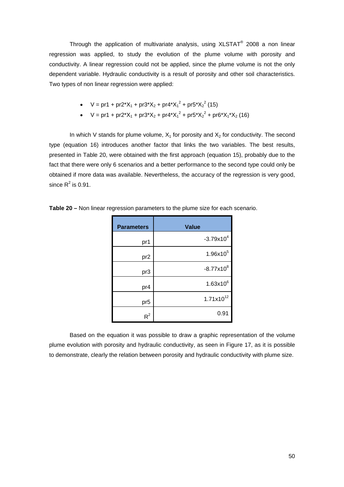Through the application of multivariate analysis, using  $XLSTAT<sup>®</sup>$  2008 a non linear regression was applied, to study the evolution of the plume volume with porosity and conductivity. A linear regression could not be applied, since the plume volume is not the only dependent variable. Hydraulic conductivity is a result of porosity and other soil characteristics. Two types of non linear regression were applied:

- $V = pr1 + pr2^*X_1 + pr3^*X_2 + pr4^*X_1^2 + pr5^*X_2^2$  (15)
- $V = pr1 + pr2^*X_1 + pr3^*X_2 + pr4^*X_1^2 + pr5^*X_2^2 + pr6^*X_1^*X_2$  (16)

In which V stands for plume volume,  $X_1$  for porosity and  $X_2$  for conductivity. The second type (equation 16) introduces another factor that links the two variables. The best results, presented in Table 20, were obtained with the first approach (equation 15), probably due to the fact that there were only 6 scenarios and a better performance to the second type could only be obtained if more data was available. Nevertheless, the accuracy of the regression is very good, since  $R^2$  is 0.91.

| <b>Parameters</b> | <b>Value</b>          |
|-------------------|-----------------------|
| pr1               | $-3.79x10^{4}$        |
| pr <sub>2</sub>   | $1.96x10^{5}$         |
| pr3               | $-8.77 \times 10^8$   |
| pr4               | $1.63x10^{6}$         |
| pr <sub>5</sub>   | $1.71 \times 10^{12}$ |
| $R^2$             | 0.91                  |

**Table 20 –** Non linear regression parameters to the plume size for each scenario.

Based on the equation it was possible to draw a graphic representation of the volume plume evolution with porosity and hydraulic conductivity, as seen in Figure 17, as it is possible to demonstrate, clearly the relation between porosity and hydraulic conductivity with plume size.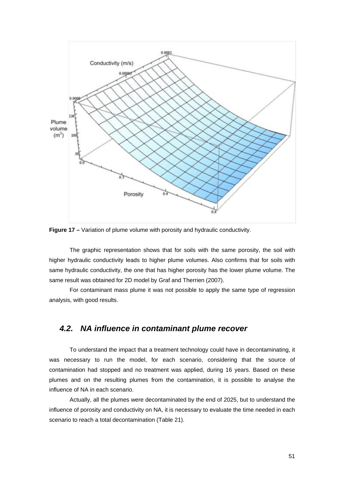

**Figure 17** – Variation of plume volume with porosity and hydraulic conductivity.

The graphic representation shows that for soils with the same porosity, the soil with higher hydraulic conductivity leads to higher plume volumes. Also confirms that for soils with same hydraulic conductivity, the one that has higher porosity has the lower plume volume. The same result was obtained for 2D model by Graf and Therrien (2007).

For contaminant mass plume it was not possible to apply the same type of regression analysis, with good results.

### *4.2. NA influence in contaminant plume recover*

To understand the impact that a treatment technology could have in decontaminating, it was necessary to run the model, for each scenario, considering that the source of contamination had stopped and no treatment was applied, during 16 years. Based on these plumes and on the resulting plumes from the contamination, it is possible to analyse the influence of NA in each scenario.

Actually, all the plumes were decontaminated by the end of 2025, but to understand the influence of porosity and conductivity on NA, it is necessary to evaluate the time needed in each scenario to reach a total decontamination (Table 21).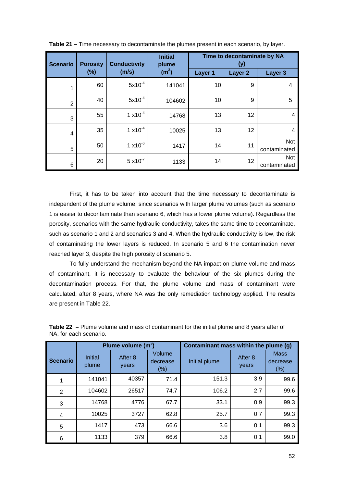| <b>Scenario</b> | <b>Porosity</b> | <b>Conductivity</b> | <b>Initial</b><br>plume | Time to decontaminate by NA<br>(y) |                    |                            |  |
|-----------------|-----------------|---------------------|-------------------------|------------------------------------|--------------------|----------------------------|--|
|                 | $(\%)$          | (m/s)               | (m <sup>3</sup> )       | Layer 1                            | Layer <sub>2</sub> | Layer 3                    |  |
| 1               | 60              | $5x10^{-4}$         | 141041                  | 10                                 | 9                  | 4                          |  |
| $\overline{2}$  | 40              | $5x10^{-4}$         | 104602                  | 10                                 | 9                  | 5                          |  |
| 3               | 55              | $1 \times 10^{-4}$  | 14768                   | 13                                 | 12                 | 4                          |  |
| 4               | 35              | $1 \times 10^{-4}$  | 10025                   | 13                                 | 12                 | 4                          |  |
| 5               | 50              | $1 \times 10^{-6}$  | 1417                    | 14                                 | 11                 | Not<br>contaminated        |  |
| 6               | 20              | $5 \times 10^{-7}$  | 1133                    | 14                                 | 12                 | <b>Not</b><br>contaminated |  |

**Table 21 –** Time necessary to decontaminate the plumes present in each scenario, by layer.

First, it has to be taken into account that the time necessary to decontaminate is independent of the plume volume, since scenarios with larger plume volumes (such as scenario 1 is easier to decontaminate than scenario 6, which has a lower plume volume). Regardless the porosity, scenarios with the same hydraulic conductivity, takes the same time to decontaminate, such as scenario 1 and 2 and scenarios 3 and 4. When the hydraulic conductivity is low, the risk of contaminating the lower layers is reduced. In scenario 5 and 6 the contamination never reached layer 3, despite the high porosity of scenario 5.

To fully understand the mechanism beyond the NA impact on plume volume and mass of contaminant, it is necessary to evaluate the behaviour of the six plumes during the decontamination process. For that, the plume volume and mass of contaminant were calculated, after 8 years, where NA was the only remediation technology applied. The results are present in Table 22.

|                 |                                                       | Plume volume $(m^3)$ |                    | Contaminant mass within the plume (g) |                  |                                 |  |
|-----------------|-------------------------------------------------------|----------------------|--------------------|---------------------------------------|------------------|---------------------------------|--|
| <b>Scenario</b> | After 8<br><b>Initial</b><br>plume<br>years<br>$(\%)$ |                      | Volume<br>decrease | Initial plume                         | After 8<br>years | <b>Mass</b><br>decrease<br>(% ) |  |
| 1               | 141041                                                | 40357                | 71.4               | 151.3                                 | 3.9              | 99.6                            |  |
| 2               | 104602                                                | 26517                | 74.7               | 106.2                                 | 2.7              | 99.6                            |  |
| 3               | 14768                                                 | 4776                 | 67.7               | 33.1                                  | 0.9              | 99.3                            |  |
| 4               | 10025                                                 | 3727                 | 62.8               | 25.7                                  | 0.7              | 99.3                            |  |
| 5               | 1417                                                  | 473                  | 66.6               | 3.6                                   | 0.1              | 99.3                            |  |
| 6               | 1133                                                  | 379                  | 66.6               | 3.8                                   | 0.1              | 99.0                            |  |

**Table 22 –** Plume volume and mass of contaminant for the initial plume and 8 years after of NA, for each scenario.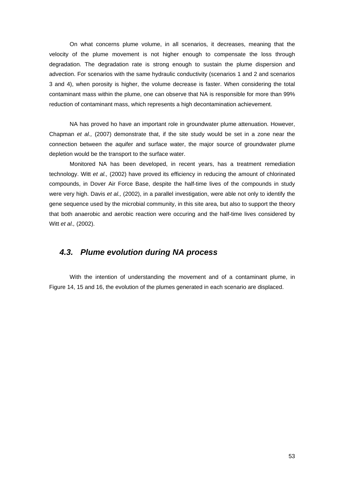On what concerns plume volume, in all scenarios, it decreases, meaning that the velocity of the plume movement is not higher enough to compensate the loss through degradation. The degradation rate is strong enough to sustain the plume dispersion and advection. For scenarios with the same hydraulic conductivity (scenarios 1 and 2 and scenarios 3 and 4), when porosity is higher, the volume decrease is faster. When considering the total contaminant mass within the plume, one can observe that NA is responsible for more than 99% reduction of contaminant mass, which represents a high decontamination achievement.

NA has proved ho have an important role in groundwater plume attenuation. However, Chapman *et al.,* (2007) demonstrate that, if the site study would be set in a zone near the connection between the aquifer and surface water, the major source of groundwater plume depletion would be the transport to the surface water.

Monitored NA has been developed, in recent years, has a treatment remediation technology. Witt *et al.,* (2002) have proved its efficiency in reducing the amount of chlorinated compounds, in Dover Air Force Base, despite the half-time lives of the compounds in study were very high. Davis *et al.,* (2002), in a parallel investigation, were able not only to identify the gene sequence used by the microbial community, in this site area, but also to support the theory that both anaerobic and aerobic reaction were occuring and the half-time lives considered by Witt *et al.,* (2002).

## *4.3. Plume evolution during NA process*

With the intention of understanding the movement and of a contaminant plume, in Figure 14, 15 and 16, the evolution of the plumes generated in each scenario are displaced.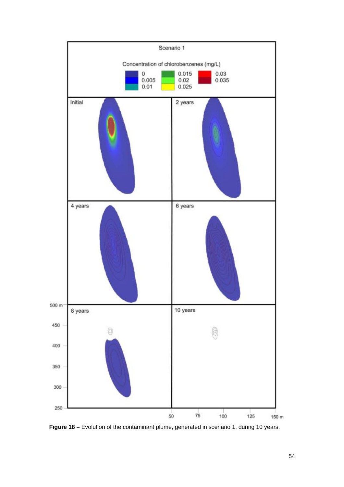

**Figure 18 –** Evolution of the contaminant plume, generated in scenario 1, during 10 years.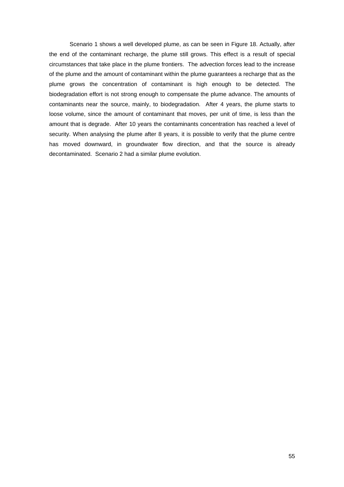Scenario 1 shows a well developed plume, as can be seen in Figure 18. Actually, after the end of the contaminant recharge, the plume still grows. This effect is a result of special circumstances that take place in the plume frontiers. The advection forces lead to the increase of the plume and the amount of contaminant within the plume guarantees a recharge that as the plume grows the concentration of contaminant is high enough to be detected. The biodegradation effort is not strong enough to compensate the plume advance. The amounts of contaminants near the source, mainly, to biodegradation. After 4 years, the plume starts to loose volume, since the amount of contaminant that moves, per unit of time, is less than the amount that is degrade. After 10 years the contaminants concentration has reached a level of security. When analysing the plume after 8 years, it is possible to verify that the plume centre has moved downward, in groundwater flow direction, and that the source is already decontaminated. Scenario 2 had a similar plume evolution.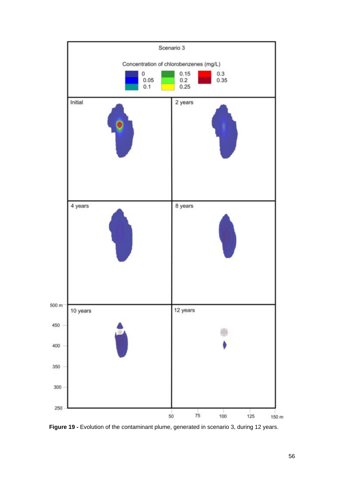

**Figure 19 -** Evolution of the contaminant plume, generated in scenario 3, during 12 years.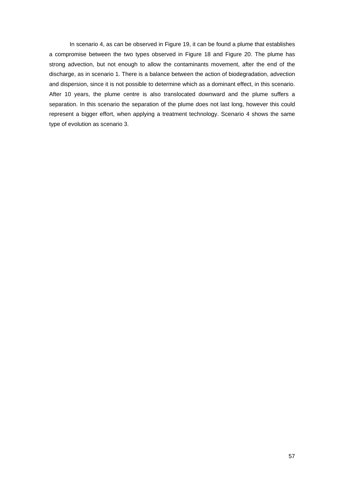In scenario 4, as can be observed in Figure 19, it can be found a plume that establishes a compromise between the two types observed in Figure 18 and Figure 20. The plume has strong advection, but not enough to allow the contaminants movement, after the end of the discharge, as in scenario 1. There is a balance between the action of biodegradation, advection and dispersion, since it is not possible to determine which as a dominant effect, in this scenario. After 10 years, the plume centre is also translocated downward and the plume suffers a separation. In this scenario the separation of the plume does not last long, however this could represent a bigger effort, when applying a treatment technology. Scenario 4 shows the same type of evolution as scenario 3.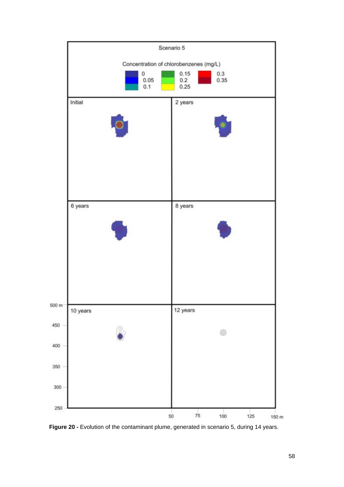

Figure 20 - Evolution of the contaminant plume, generated in scenario 5, during 14 years.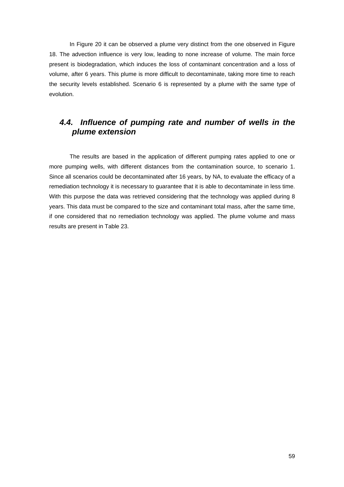In Figure 20 it can be observed a plume very distinct from the one observed in Figure 18. The advection influence is very low, leading to none increase of volume. The main force present is biodegradation, which induces the loss of contaminant concentration and a loss of volume, after 6 years. This plume is more difficult to decontaminate, taking more time to reach the security levels established. Scenario 6 is represented by a plume with the same type of evolution.

# *4.4. Influence of pumping rate and number of wells in the plume extension*

The results are based in the application of different pumping rates applied to one or more pumping wells, with different distances from the contamination source, to scenario 1. Since all scenarios could be decontaminated after 16 years, by NA, to evaluate the efficacy of a remediation technology it is necessary to guarantee that it is able to decontaminate in less time. With this purpose the data was retrieved considering that the technology was applied during 8 years. This data must be compared to the size and contaminant total mass, after the same time, if one considered that no remediation technology was applied. The plume volume and mass results are present in Table 23.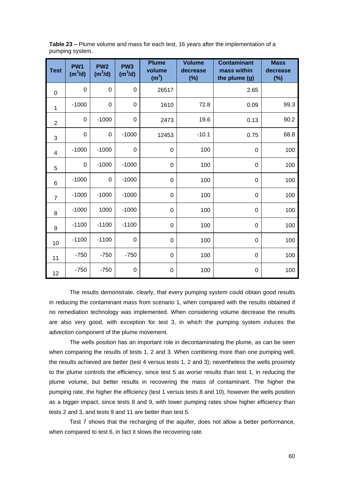|                 | Table 23 – Plume volume and mass for each test, 16 years after the implementation of a |
|-----------------|----------------------------------------------------------------------------------------|
| pumping system. |                                                                                        |

| <b>Test</b>    | PW <sub>1</sub><br>$(m^3/d)$ | PW <sub>2</sub><br>$(m^3/d)$ | PW <sub>3</sub><br>$(m^3/d)$ | <b>Plume</b><br>volume<br>(m <sup>3</sup> ) | <b>Volume</b><br>decrease<br>$(\%)$ | <b>Contaminant</b><br>mass within<br>the plume (g) | <b>Mass</b><br>decrease<br>$(\%)$ |
|----------------|------------------------------|------------------------------|------------------------------|---------------------------------------------|-------------------------------------|----------------------------------------------------|-----------------------------------|
| $\mathbf 0$    | $\mathbf 0$                  | 0                            | $\mathbf 0$                  | 26517                                       |                                     | 2.65                                               |                                   |
| 1              | $-1000$                      | 0                            | $\mathbf 0$                  | 1610                                        | 72.8                                | 0.09                                               | 99.3                              |
| $\overline{2}$ | $\mathbf 0$                  | $-1000$                      | $\boldsymbol{0}$             | 2473                                        | 19.6                                | 0.13                                               | 90.2                              |
| 3              | 0                            | 0                            | $-1000$                      | 12453                                       | $-10.1$                             | 0.75                                               | 68.8                              |
| 4              | $-1000$                      | $-1000$                      | $\mathbf 0$                  | $\mathbf 0$                                 | 100                                 | $\mathbf 0$                                        | 100                               |
| 5              | $\mathbf 0$                  | $-1000$                      | $-1000$                      | 0                                           | 100                                 | $\mathbf 0$                                        | 100                               |
| $6\phantom{1}$ | $-1000$                      | 0                            | $-1000$                      | $\mathbf 0$                                 | 100                                 | $\mathbf 0$                                        | 100                               |
| $\overline{7}$ | $-1000$                      | $-1000$                      | $-1000$                      | $\Omega$                                    | 100                                 | $\Omega$                                           | 100                               |
| 8              | $-1000$                      | 1000                         | $-1000$                      | 0                                           | 100                                 | 0                                                  | 100                               |
| 9              | $-1100$                      | $-1100$                      | $-1100$                      | $\mathbf 0$                                 | 100                                 | $\mathbf 0$                                        | 100                               |
| 10             | $-1100$                      | $-1100$                      | $\boldsymbol{0}$             | $\mathbf 0$                                 | 100                                 | $\mathbf 0$                                        | 100                               |
| 11             | $-750$                       | $-750$                       | $-750$                       | $\mathbf 0$                                 | 100                                 | $\mathbf 0$                                        | 100                               |
| 12             | $-750$                       | $-750$                       | $\boldsymbol{0}$             | $\mathbf 0$                                 | 100                                 | $\mathbf 0$                                        | 100                               |

The results demonstrate, clearly, that every pumping system could obtain good results in reducing the contaminant mass from scenario 1, when compared with the results obtained if no remediation technology was implemented. When considering volume decrease the results are also very good, with exception for test 3, in which the pumping system induces the advection component of the plume movement.

The wells position has an important role in decontaminating the plume, as can be seen when comparing the results of tests 1, 2 and 3. When combining more than one pumping well, the results achieved are better (test 4 versus tests 1, 2 and 3); nevertheless the wells proximity to the plume controls the efficiency, since test 5 as worse results than test 1, in reducing the plume volume, but better results in recovering the mass of contaminant. The higher the pumping rate, the higher the efficiency (test 1 versus tests 8 and 10), however the wells position as a bigger impact, since tests 8 and 9, with lower pumping rates show higher efficiency than tests 2 and 3, and tests 9 and 11 are better than test 5.

Test 7 shows that the recharging of the aquifer, does not allow a better performance, when compared to test 6, in fact it slows the recovering rate.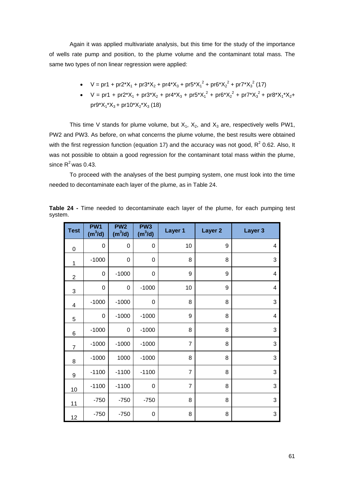Again it was applied multivariate analysis, but this time for the study of the importance of wells rate pump and position, to the plume volume and the contaminant total mass. The same two types of non linear regression were applied:

- $V = pr1 + pr2^*X_1 + pr3^*X_2 + pr4^*X_3 + pr5^*X_1^2 + pr6^*X_2^2 + pr7^*X_3^2$  (17)
- $V = pr1 + pr2^*X_1 + pr3^*X_2 + pr4^*X_3 + pr5^*X_1^2 + pr6^*X_2^2 + pr7^*X_3^2 + pr8^*X_1^*X_2 +$  $pr9^*X_1^*X_3$  +  $pr10^*X_2^*X_3$  (18)

This time V stands for plume volume, but  $X_1$ ,  $X_2$ , and  $X_3$  are, respectively wells PW1, PW2 and PW3. As before, on what concerns the plume volume, the best results were obtained with the first regression function (equation 17) and the accuracy was not good,  $R^2$  0.62. Also, It was not possible to obtain a good regression for the contaminant total mass within the plume, since  $R^2$  was 0.43.

To proceed with the analyses of the best pumping system, one must look into the time needed to decontaminate each layer of the plume, as in Table 24.

| <b>Test</b>    | PW <sub>1</sub><br>$(m^3/d)$ | PW <sub>2</sub><br>$(m^3/d)$ | PW <sub>3</sub><br>$(m^3/d)$ | Layer 1        | Layer <sub>2</sub> | Layer 3                 |
|----------------|------------------------------|------------------------------|------------------------------|----------------|--------------------|-------------------------|
| 0              | $\mathbf 0$                  | $\mathbf 0$                  | $\mathbf 0$                  | 10             | 9                  | $\overline{4}$          |
| 1              | $-1000$                      | $\boldsymbol{0}$             | $\mathbf 0$                  | 8              | 8                  | 3                       |
| $\overline{c}$ | 0                            | $-1000$                      | 0                            | 9              | 9                  | $\overline{4}$          |
| 3              | $\mathbf 0$                  | $\mathbf 0$                  | $-1000$                      | 10             | 9                  | $\overline{\mathbf{4}}$ |
| 4              | $-1000$                      | $-1000$                      | $\mathbf 0$                  | 8              | 8                  | 3                       |
| 5              | 0                            | $-1000$                      | $-1000$                      | 9              | 8                  | $\overline{\mathbf{4}}$ |
| 6              | $-1000$                      | 0                            | $-1000$                      | 8              | 8                  | 3                       |
| $\overline{7}$ | $-1000$                      | $-1000$                      | $-1000$                      | $\overline{7}$ | 8                  | 3                       |
| 8              | $-1000$                      | 1000                         | $-1000$                      | 8              | 8                  | 3                       |
| 9              | $-1100$                      | $-1100$                      | $-1100$                      | $\overline{7}$ | 8                  | 3                       |
| 10             | $-1100$                      | $-1100$                      | 0                            | $\overline{7}$ | 8                  | 3                       |
| 11             | $-750$                       | $-750$                       | $-750$                       | 8              | 8                  | 3                       |
| 12             | $-750$                       | $-750$                       | 0                            | 8              | 8                  | 3                       |

**Table 24 -** Time needed to decontaminate each layer of the plume, for each pumping test system.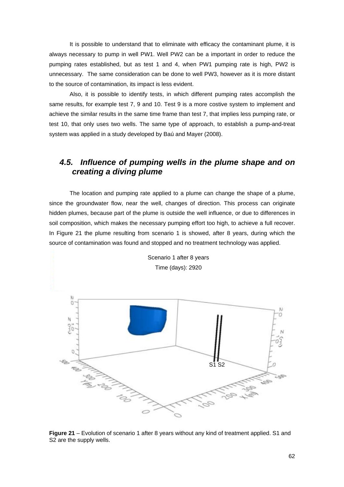It is possible to understand that to eliminate with efficacy the contaminant plume, it is always necessary to pump in well PW1. Well PW2 can be a important in order to reduce the pumping rates established, but as test 1 and 4, when PW1 pumping rate is high, PW2 is unnecessary. The same consideration can be done to well PW3, however as it is more distant to the source of contamination, its impact is less evident.

Also, it is possible to identify tests, in which different pumping rates accomplish the same results, for example test 7, 9 and 10. Test 9 is a more costive system to implement and achieve the similar results in the same time frame than test 7, that implies less pumping rate, or test 10, that only uses two wells. The same type of approach, to establish a pump-and-treat system was applied in a study developed by Baú and Mayer (2008).

### *4.5. Influence of pumping wells in the plume shape and on creating a diving plume*

The location and pumping rate applied to a plume can change the shape of a plume, since the groundwater flow, near the well, changes of direction. This process can originate hidden plumes, because part of the plume is outside the well influence, or due to differences in soil composition, which makes the necessary pumping effort too high, to achieve a full recover. In Figure 21 the plume resulting from scenario 1 is showed, after 8 years, during which the source of contamination was found and stopped and no treatment technology was applied.



Scenario 1 after 8 years

**Figure 21** – Evolution of scenario 1 after 8 years without any kind of treatment applied. S1 and S<sub>2</sub> are the supply wells.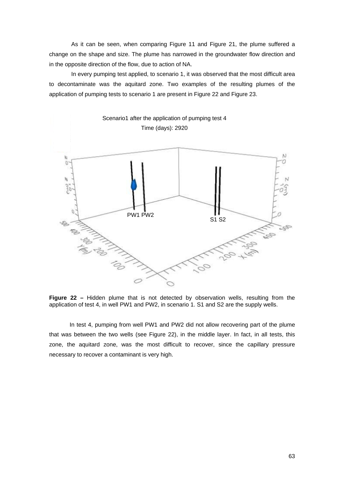As it can be seen, when comparing Figure 11 and Figure 21, the plume suffered a change on the shape and size. The plume has narrowed in the groundwater flow direction and in the opposite direction of the flow, due to action of NA.

 In every pumping test applied, to scenario 1, it was observed that the most difficult area to decontaminate was the aquitard zone. Two examples of the resulting plumes of the application of pumping tests to scenario 1 are present in Figure 22 and Figure 23.



**Figure 22 –** Hidden plume that is not detected by observation wells, resulting from the application of test 4, in well PW1 and PW2, in scenario 1. S1 and S2 are the supply wells.

In test 4, pumping from well PW1 and PW2 did not allow recovering part of the plume that was between the two wells (see Figure 22), in the middle layer. In fact, in all tests, this zone, the aquitard zone, was the most difficult to recover, since the capillary pressure necessary to recover a contaminant is very high.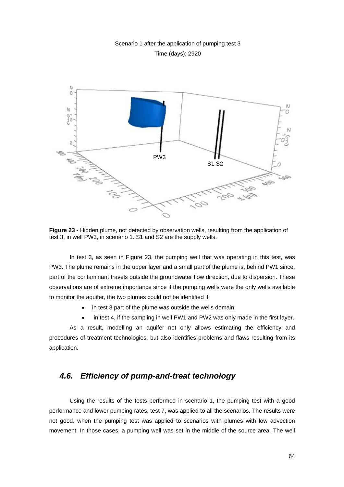# Scenario 1 after the application of pumping test 3 Time (days): 2920 X) b A. M Ċ j. PW3 S1 S2

**Figure 23 -** Hidden plume, not detected by observation wells, resulting from the application of test 3, in well PW3, in scenario 1. S1 and S2 are the supply wells.

In test 3, as seen in Figure 23, the pumping well that was operating in this test, was PW3. The plume remains in the upper layer and a small part of the plume is, behind PW1 since, part of the contaminant travels outside the groundwater flow direction, due to dispersion. These observations are of extreme importance since if the pumping wells were the only wells available to monitor the aquifer, the two plumes could not be identified if:

- in test 3 part of the plume was outside the wells domain:
- in test 4, if the sampling in well PW1 and PW2 was only made in the first layer.

As a result, modelling an aquifer not only allows estimating the efficiency and procedures of treatment technologies, but also identifies problems and flaws resulting from its application.

#### *4.6. Efficiency of pump-and-treat technology*

Using the results of the tests performed in scenario 1, the pumping test with a good performance and lower pumping rates, test 7, was applied to all the scenarios. The results were not good, when the pumping test was applied to scenarios with plumes with low advection movement. In those cases, a pumping well was set in the middle of the source area. The well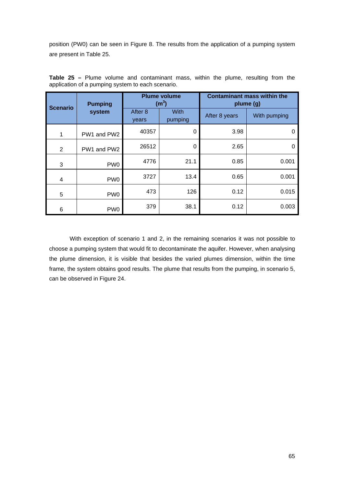position (PW0) can be seen in Figure 8. The results from the application of a pumping system are present in Table 25.

| <b>Scenario</b> | <b>Pumping</b><br>system |                  | <b>Plume volume</b><br>(m <sup>3</sup> ) | <b>Contaminant mass within the</b><br>plume (g) |              |  |
|-----------------|--------------------------|------------------|------------------------------------------|-------------------------------------------------|--------------|--|
|                 |                          | After 8<br>years | With<br>pumping                          | After 8 years                                   | With pumping |  |
| 1               | PW1 and PW2              | 40357            | 0                                        | 3.98                                            | 0            |  |
| $\overline{2}$  | PW1 and PW2              | 26512            | 0                                        | 2.65                                            | 0            |  |
| 3               | PW <sub>0</sub>          | 4776             | 21.1                                     | 0.85                                            | 0.001        |  |
| 4               | PW <sub>0</sub>          | 3727             | 13.4                                     | 0.65                                            | 0.001        |  |
| 5               | PW <sub>0</sub>          | 473              | 126                                      | 0.12                                            | 0.015        |  |
| 6               | PW <sub>0</sub>          | 379              | 38.1                                     | 0.12                                            | 0.003        |  |

**Table 25 –** Plume volume and contaminant mass, within the plume, resulting from the application of a pumping system to each scenario.

With exception of scenario 1 and 2, in the remaining scenarios it was not possible to choose a pumping system that would fit to decontaminate the aquifer. However, when analysing the plume dimension, it is visible that besides the varied plumes dimension, within the time frame, the system obtains good results. The plume that results from the pumping, in scenario 5, can be observed in Figure 24.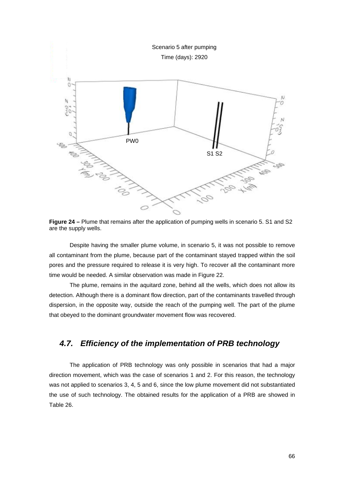

**Figure 24 –** Plume that remains after the application of pumping wells in scenario 5. S1 and S2 are the supply wells.

Despite having the smaller plume volume, in scenario 5, it was not possible to remove all contaminant from the plume, because part of the contaminant stayed trapped within the soil pores and the pressure required to release it is very high. To recover all the contaminant more time would be needed. A similar observation was made in Figure 22.

The plume, remains in the aquitard zone, behind all the wells, which does not allow its detection. Although there is a dominant flow direction, part of the contaminants travelled through dispersion, in the opposite way, outside the reach of the pumping well. The part of the plume that obeyed to the dominant groundwater movement flow was recovered.

#### *4.7. Efficiency of the implementation of PRB technology*

The application of PRB technology was only possible in scenarios that had a major direction movement, which was the case of scenarios 1 and 2. For this reason, the technology was not applied to scenarios 3, 4, 5 and 6, since the low plume movement did not substantiated the use of such technology. The obtained results for the application of a PRB are showed in Table 26.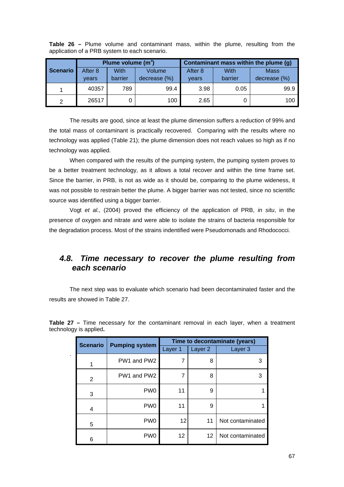|                 | Plume volume (m <sup>3</sup> ) |         |              | Contaminant mass within the plume (g) |         |              |  |
|-----------------|--------------------------------|---------|--------------|---------------------------------------|---------|--------------|--|
| <b>Scenario</b> | After 8                        | With    | Volume       | After 8                               | With    | <b>Mass</b>  |  |
|                 | vears                          | barrier | decrease (%) | vears                                 | barrier | decrease (%) |  |
|                 | 40357                          | 789     | 99.4         | 3.98                                  | 0.05    | 99.9         |  |
| っ               | 26517                          |         | 100          | 2.65                                  |         | 100          |  |

**Table 26 –** Plume volume and contaminant mass, within the plume, resulting from the application of a PRB system to each scenario.

The results are good, since at least the plume dimension suffers a reduction of 99% and the total mass of contaminant is practically recovered. Comparing with the results where no technology was applied (Table 21); the plume dimension does not reach values so high as if no technology was applied.

When compared with the results of the pumping system, the pumping system proves to be a better treatment technology, as it allows a total recover and within the time frame set. Since the barrier, in PRB, is not as wide as it should be, comparing to the plume wideness, it was not possible to restrain better the plume. A bigger barrier was not tested, since no scientific source was identified using a bigger barrier.

Vogt *et al.,* (2004) proved the efficiency of the application of PRB, *in situ*, in the presence of oxygen and nitrate and were able to isolate the strains of bacteria responsible for the degradation process. Most of the strains indentified were Pseudomonads and Rhodococci.

#### *4.8. Time necessary to recover the plume resulting from each scenario*

The next step was to evaluate which scenario had been decontaminated faster and the results are showed in Table 27.

| <b>Scenario</b> | <b>Pumping system</b> | Time to decontaminate (years) |                    |                  |  |  |
|-----------------|-----------------------|-------------------------------|--------------------|------------------|--|--|
|                 |                       | Layer 1                       | Layer <sub>2</sub> | Layer 3          |  |  |
| 1               | PW1 and PW2           | 7                             | 8                  | 3                |  |  |
| 2               | PW1 and PW2           | 7                             | 8                  | 3                |  |  |
| 3               | PW <sub>0</sub>       | 11                            | 9                  |                  |  |  |
| 4               | PW <sub>0</sub>       | 11                            | 9                  |                  |  |  |
| 5               | PW <sub>0</sub>       | 12                            | 11                 | Not contaminated |  |  |
| 6               | PW <sub>0</sub>       | 12                            | 12                 | Not contaminated |  |  |

**Table 27 –** Time necessary for the contaminant removal in each layer, when a treatment technology is applied**.** 

.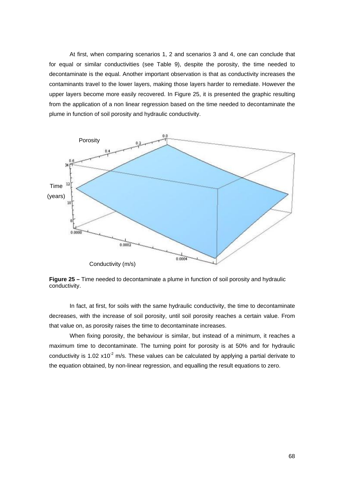At first, when comparing scenarios 1, 2 and scenarios 3 and 4, one can conclude that for equal or similar conductivities (see Table 9), despite the porosity, the time needed to decontaminate is the equal. Another important observation is that as conductivity increases the contaminants travel to the lower layers, making those layers harder to remediate. However the upper layers become more easily recovered. In Figure 25, it is presented the graphic resulting from the application of a non linear regression based on the time needed to decontaminate the plume in function of soil porosity and hydraulic conductivity.



**Figure 25 –** Time needed to decontaminate a plume in function of soil porosity and hydraulic conductivity.

In fact, at first, for soils with the same hydraulic conductivity, the time to decontaminate decreases, with the increase of soil porosity, until soil porosity reaches a certain value. From that value on, as porosity raises the time to decontaminate increases.

When fixing porosity, the behaviour is similar, but instead of a minimum, it reaches a maximum time to decontaminate. The turning point for porosity is at 50% and for hydraulic conductivity is 1.02  $x10^{-2}$  m/s. These values can be calculated by applying a partial derivate to the equation obtained, by non-linear regression, and equalling the result equations to zero.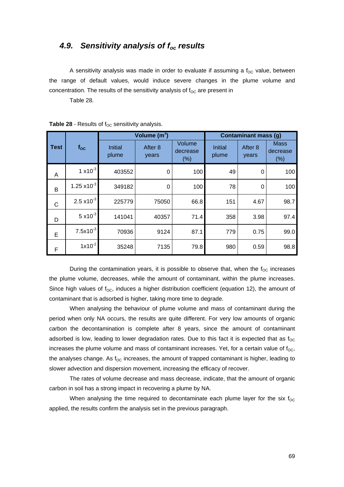#### *4.9. Sensitivity analysis of foc results*

A sensitivity analysis was made in order to evaluate if assuming a  $f_{OC}$  value, between the range of default values, would induce severe changes in the plume volume and concentration. The results of the sensitivity analysis of  $f_{OC}$  are present in

Table 28.

|             |                       |                         | Volume $(m^3)$   | <b>Contaminant mass (g)</b> |                         |                  |                                |
|-------------|-----------------------|-------------------------|------------------|-----------------------------|-------------------------|------------------|--------------------------------|
| <b>Test</b> | $f_{\rm OC}$          | <b>Initial</b><br>plume | After 8<br>years | Volume<br>decrease<br>(%)   | <b>Initial</b><br>plume | After 8<br>years | <b>Mass</b><br>decrease<br>(%) |
| A           | $1 \times 10^{-3}$    | 403552                  | 0                | 100                         | 49                      | 0                | 100                            |
| B           | $1.25 \times 10^{-3}$ | 349182                  | 0                | 100                         | 78                      | 0                | 100                            |
| C           | $2.5 \times 10^{-3}$  | 225779                  | 75050            | 66.8                        | 151                     | 4.67             | 98.7                           |
| D           | $5 \times 10^{-3}$    | 141041                  | 40357            | 71.4                        | 358                     | 3.98             | 97.4                           |
| E           | $7.5x10^{-3}$         | 70936                   | 9124             | 87.1                        | 779                     | 0.75             | 99.0                           |
| F           | $1x10^{-2}$           | 35248                   | 7135             | 79.8                        | 980                     | 0.59             | 98.8                           |

**Table 28 - Results of**  $f_{OC}$  **sensitivity analysis.** 

During the contamination years, it is possible to observe that, when the  $f_{OC}$  increases the plume volume, decreases, while the amount of contaminant, within the plume increases. Since high values of  $f_{\text{OC}}$ , induces a higher distribution coefficient (equation 12), the amount of contaminant that is adsorbed is higher, taking more time to degrade.

When analysing the behaviour of plume volume and mass of contaminant during the period when only NA occurs, the results are quite different. For very low amounts of organic carbon the decontamination is complete after 8 years, since the amount of contaminant adsorbed is low, leading to lower degradation rates. Due to this fact it is expected that as  $f_{\rm OC}$ increases the plume volume and mass of contaminant increases. Yet, for a certain value of  $f_{\rm OC}$ , the analyses change. As  $f_{\rm OC}$  increases, the amount of trapped contaminant is higher, leading to slower advection and dispersion movement, increasing the efficacy of recover.

The rates of volume decrease and mass decrease, indicate, that the amount of organic carbon in soil has a strong impact in recovering a plume by NA.

When analysing the time required to decontaminate each plume layer for the six  $f_{\rm OC}$ applied, the results confirm the analysis set in the previous paragraph.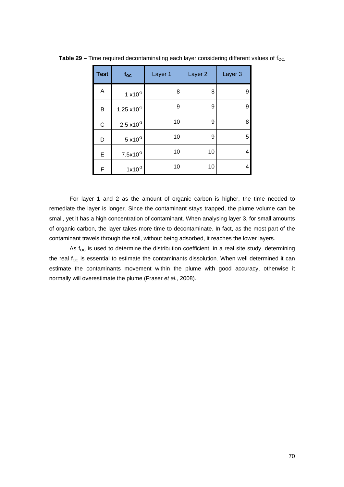| <b>Test</b> | $f_{\rm OC}$          | Layer 1 | Layer <sub>2</sub> | Layer 3 |
|-------------|-----------------------|---------|--------------------|---------|
| Α           | $1 \times 10^{-3}$    | 8       | 8                  | 9       |
| В           | $1.25 \times 10^{-3}$ | 9       | 9                  | 9       |
| C           | $2.5 \times 10^{-3}$  | 10      | 9                  | 8       |
| D           | $5 \times 10^{-3}$    | 10      | 9                  | 5       |
| E           | $7.5x10^{-3}$         | 10      | 10                 | 4       |
| F           | $1x10^{-2}$           | 10      | 10                 | 4       |

**Table 29 – Time required decontaminating each layer considering different values of f<sub>OC.</sub>** 

For layer 1 and 2 as the amount of organic carbon is higher, the time needed to remediate the layer is longer. Since the contaminant stays trapped, the plume volume can be small, yet it has a high concentration of contaminant. When analysing layer 3, for small amounts of organic carbon, the layer takes more time to decontaminate. In fact, as the most part of the contaminant travels through the soil, without being adsorbed, it reaches the lower layers.

As  $f_{OC}$  is used to determine the distribution coefficient, in a real site study, determining the real  $f_{OC}$  is essential to estimate the contaminants dissolution. When well determined it can estimate the contaminants movement within the plume with good accuracy, otherwise it normally will overestimate the plume (Fraser *et al.,* 2008).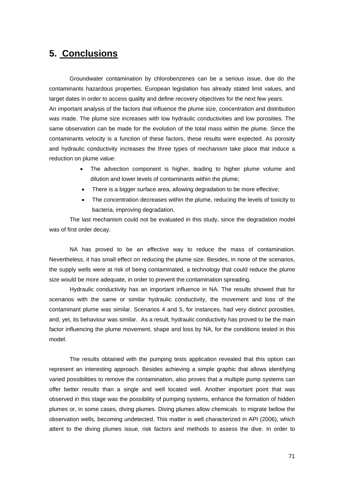## **5. Conclusions**

Groundwater contamination by chlorobenzenes can be a serious issue, due do the contaminants hazardous properties. European legislation has already stated limit values, and target dates in order to access quality and define recovery objectives for the next few years. An important analysis of the factors that influence the plume size, concentration and distribution was made. The plume size increases with low hydraulic conductivities and low porosities. The same observation can be made for the evolution of the total mass within the plume. Since the contaminants velocity is a function of these factors, these results were expected. As porosity and hydraulic conductivity increases the three types of mechanism take place that induce a reduction on plume value:

- The advection component is higher, leading to higher plume volume and dilution and lower levels of contaminants within the plume;
- There is a bigger surface area, allowing degradation to be more effective;
- The concentration decreases within the plume, reducing the levels of toxicity to bacteria, improving degradation.

The last mechanism could not be evaluated in this study, since the degradation model was of first order decay.

NA has proved to be an effective way to reduce the mass of contamination. Nevertheless, it has small effect on reducing the plume size. Besides, in none of the scenarios, the supply wells were at risk of being contaminated, a technology that could reduce the plume size would be more adequate, in order to prevent the contamination spreading.

Hydraulic conductivity has an important influence in NA. The results showed that for scenarios with the same or similar hydraulic conductivity, the movement and loss of the contaminant plume was similar. Scenarios 4 and 5, for instances, had very distinct porosities, and, yet, its behaviour was similar. As a result, hydraulic conductivity has proved to be the main factor influencing the plume movement, shape and loss by NA, for the conditions tested in this model.

The results obtained with the pumping tests application revealed that this option can represent an interesting approach. Besides achieving a simple graphic that allows identifying varied possibilities to remove the contamination, also proves that a multiple pump systems can offer better results than a single and well located well. Another important point that was observed in this stage was the possibility of pumping systems, enhance the formation of hidden plumes or, in some cases, diving plumes. Diving plumes allow chemicals to migrate bellow the observation wells, becoming undetected. This matter is well characterized in API (2006), which attent to the diving plumes issue, risk factors and methods to assess the dive. In order to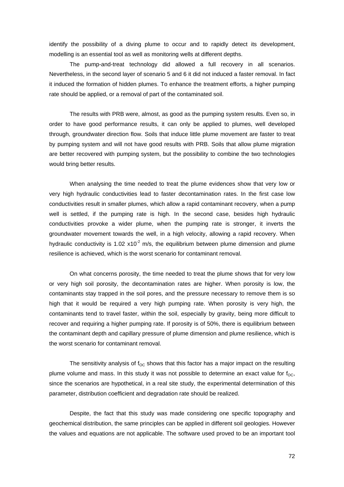identify the possibility of a diving plume to occur and to rapidly detect its development, modelling is an essential tool as well as monitoring wells at different depths.

The pump-and-treat technology did allowed a full recovery in all scenarios. Nevertheless, in the second layer of scenario 5 and 6 it did not induced a faster removal. In fact it induced the formation of hidden plumes. To enhance the treatment efforts, a higher pumping rate should be applied, or a removal of part of the contaminated soil.

The results with PRB were, almost, as good as the pumping system results. Even so, in order to have good performance results, it can only be applied to plumes, well developed through, groundwater direction flow. Soils that induce little plume movement are faster to treat by pumping system and will not have good results with PRB. Soils that allow plume migration are better recovered with pumping system, but the possibility to combine the two technologies would bring better results.

When analysing the time needed to treat the plume evidences show that very low or very high hydraulic conductivities lead to faster decontamination rates. In the first case low conductivities result in smaller plumes, which allow a rapid contaminant recovery, when a pump well is settled, if the pumping rate is high. In the second case, besides high hydraulic conductivities provoke a wider plume, when the pumping rate is stronger, it inverts the groundwater movement towards the well, in a high velocity, allowing a rapid recovery. When hydraulic conductivity is 1.02  $x10^{-2}$  m/s, the equilibrium between plume dimension and plume resilience is achieved, which is the worst scenario for contaminant removal.

On what concerns porosity, the time needed to treat the plume shows that for very low or very high soil porosity, the decontamination rates are higher. When porosity is low, the contaminants stay trapped in the soil pores, and the pressure necessary to remove them is so high that it would be required a very high pumping rate. When porosity is very high, the contaminants tend to travel faster, within the soil, especially by gravity, being more difficult to recover and requiring a higher pumping rate. If porosity is of 50%, there is equilibrium between the contaminant depth and capillary pressure of plume dimension and plume resilience, which is the worst scenario for contaminant removal.

The sensitivity analysis of  $f_{\text{OC}}$  shows that this factor has a major impact on the resulting plume volume and mass. In this study it was not possible to determine an exact value for  $f_{\text{OC}}$ , since the scenarios are hypothetical, in a real site study, the experimental determination of this parameter, distribution coefficient and degradation rate should be realized.

Despite, the fact that this study was made considering one specific topography and geochemical distribution, the same principles can be applied in different soil geologies. However the values and equations are not applicable. The software used proved to be an important tool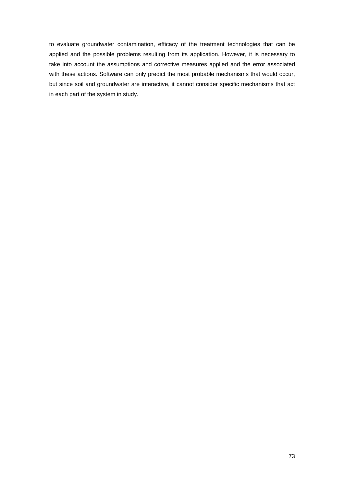to evaluate groundwater contamination, efficacy of the treatment technologies that can be applied and the possible problems resulting from its application. However, it is necessary to take into account the assumptions and corrective measures applied and the error associated with these actions. Software can only predict the most probable mechanisms that would occur, but since soil and groundwater are interactive, it cannot consider specific mechanisms that act in each part of the system in study.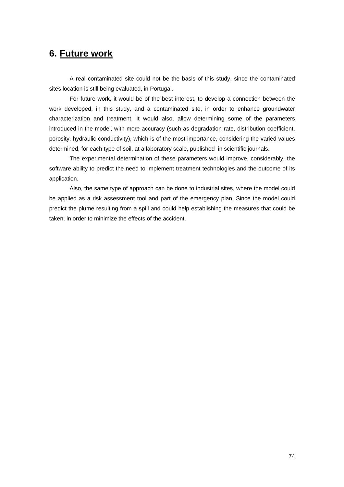## **6. Future work**

A real contaminated site could not be the basis of this study, since the contaminated sites location is still being evaluated, in Portugal.

For future work, it would be of the best interest, to develop a connection between the work developed, in this study, and a contaminated site, in order to enhance groundwater characterization and treatment. It would also, allow determining some of the parameters introduced in the model, with more accuracy (such as degradation rate, distribution coefficient, porosity, hydraulic conductivity), which is of the most importance, considering the varied values determined, for each type of soil, at a laboratory scale, published in scientific journals.

The experimental determination of these parameters would improve, considerably, the software ability to predict the need to implement treatment technologies and the outcome of its application.

Also, the same type of approach can be done to industrial sites, where the model could be applied as a risk assessment tool and part of the emergency plan. Since the model could predict the plume resulting from a spill and could help establishing the measures that could be taken, in order to minimize the effects of the accident.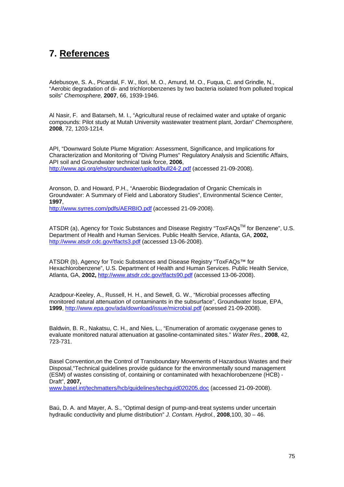# **7. References**

Adebusoye, S. A., Picardal, F. W., Ilori, M. O., Amund, M. O., Fuqua, C. and Grindle, N., "Aerobic degradation of di- and trichlorobenzenes by two bacteria isolated from polluted tropical soils" *Chemosphere,* **2007**, 66, 1939-1946.

Al Nasir, F. and Batarseh, M. I., "Agricultural reuse of reclaimed water and uptake of organic compounds: Pilot study at Mutah University wastewater treatment plant, Jordan" *Chemosphere,* **2008**, 72, 1203-1214.

API, "Downward Solute Plume Migration: Assessment, Significance, and Implications for Characterization and Monitoring of "Diving Plumes" Regulatory Analysis and Scientific Affairs, API soil and Groundwater technical task force, **2006**, http://www.api.org/ehs/groundwater/upload/bull24-2.pdf (accessed 21-09-2008).

Aronson, D. and Howard, P.H., "Anaerobic Biodegradation of Organic Chemicals in Groundwater: A Summary of Field and Laboratory Studies", Environmental Science Center, **1997**,

http://www.syrres.com/pdfs/AERBIO.pdf (accessed 21-09-2008).

ATSDR (a), Agency for Toxic Substances and Disease Registry "ToxFAQs<sup>™</sup> for Benzene", U.S. Department of Health and Human Services. Public Health Service, Atlanta, GA, **2002,** http://www.atsdr.cdc.gov/tfacts3.pdf (accessed 13-06-2008).

ATSDR (b), Agency for Toxic Substances and Disease Registry "ToxFAQs™ for Hexachlorobenzene", U.S. Department of Health and Human Services. Public Health Service, Atlanta, GA, **2002,** http://www.atsdr.cdc.gov/tfacts90.pdf (accessed 13-06-2008).

Azadpour-Keeley, A., Russell, H. H., and Sewell, G. W., "Microbial processes affecting monitored natural attenuation of contaminants in the subsurface", Groundwater Issue, EPA, **1999**, http://www.epa.gov/ada/download/issue/microbial.pdf (acessed 21-09-2008).

Baldwin, B. R., Nakatsu, C. H., and Nies, L., "Enumeration of aromatic oxygenase genes to evaluate monitored natural attenuation at gasoline-contaminated sites." *Water Res.,* **2008**, 42, 723-731.

Basel Convention,on the Control of Transboundary Movements of Hazardous Wastes and their Disposal,"Technical guidelines provide guidance for the environmentally sound management (ESM) of wastes consisting of, containing or contaminated with hexachlorobenzene (HCB) - Draft", **2007,**

www.basel.int/techmatters/hcb/guidelines/techguid020205.doc (accessed 21-09-2008).

Baú, D. A. and Mayer, A. S., "Optimal design of pump-and-treat systems under uncertain hydraulic conductivity and plume distribution" *J. Contam. Hydrol.,* **2008**,100, 30 – 46.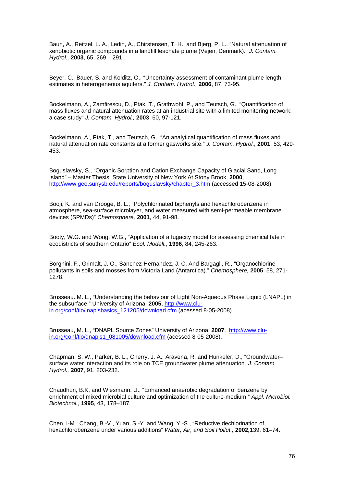Baun, A., Reitzel, L. A., Ledin, A., Chirstensen, T. H. and Bjerg, P. L., "Natural attenuation of xenobiotic organic compounds in a landfill leachate plume (Vejen, Denmark)." *J. Contam. Hydrol.,* **2003**, 65, 269 – 291.

Beyer. C., Bauer, S. and Kolditz, O., "Uncertainty assessment of contaminant plume length estimates in heterogeneous aquifers." *J. Contam. Hydrol.,* **2006**, 87, 73-95.

Bockelmann, A., Zamfirescu, D., Ptak, T., Grathwohl, P., and Teutsch, G., "Quantification of mass fluxes and natural attenuation rates at an industrial site with a limited monitoring network: a case study" *J. Contam. Hydrol.,* **2003**, 60, 97-121.

Bockelmann, A., Ptak, T., and Teutsch, G., "An analytical quantification of mass fluxes and natural attenuation rate constants at a former gasworks site." *J. Contam. Hydrol.,* **2001**, 53, 429- 453.

Boguslavsky, S., "Organic Sorption and Cation Exchange Capacity of Glacial Sand, Long Island" – Master Thesis, State University of New York At Stony Brook, **2000**, http://www.geo.sunysb.edu/reports/boguslavsky/chapter\_3.htm (accessed 15-08-2008).

Booji, K. and van Drooge, B. L., "Polychlorinated biphenyls and hexachlorobenzene in atmosphere, sea-surface microlayer, and water measured with semi-permeable membrane devices (SPMDs)" *Chemosphere,* **2001**, 44, 91-98.

Booty, W.G. and Wong, W.G., "Application of a fugacity model for assessing chemical fate in ecodistricts of southern Ontario" *Ecol. Modell.*, **1996**, 84, 245-263.

Borghini, F., Grimalt, J. O., Sanchez-Hernandez, J. C. And Bargagli, R., "Organochlorine pollutants in soils and mosses from Victoria Land (Antarctica)." *Chemosphere,* **2005**, 58, 271- 1278.

Brusseau. M. L., "Understanding the behaviour of Light Non-Aqueous Phase Liquid (LNAPL) in the subsurface." University of Arizona, **2005**, http://www.cluin.org/conf/tio/lnaplsbasics\_121205/download.cfm (acessed 8-05-2008).

Brusseau, M. L., "DNAPL Source Zones" University of Arizona, **2007**, http://www.cluin.org/conf/tio/dnapls1\_081005/download.cfm (acessed 8-05-2008).

Chapman, S. W., Parker, B. L., Cherry, J. A., Aravena, R. and Hunkeler, D., "Groundwater– surface water interaction and its role on TCE groundwater plume attenuation" *J. Contam. Hydrol.,* **2007**, 91, 203-232.

Chaudhuri, B.K, and Wiesmann, U., "Enhanced anaerobic degradation of benzene by enrichment of mixed microbial culture and optimization of the culture-medium." *Appl. Microbiol. Biotechnol.*, **1995**, 43, 178–187.

Chen, I-M., Chang, B.-V., Yuan, S.-Y. and Wang, Y.-S., "Reductive dechlorination of hexachlorobenzene under various additions" *Water, Air, and Soil Pollut.,* **2002***,*139, 61–74.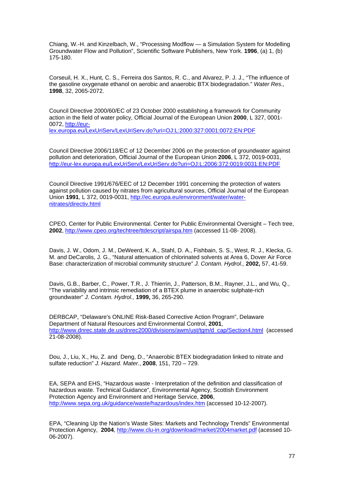Chiang, W.-H. and Kinzelbach, W., "Processing Modflow — a Simulation System for Modelling Groundwater Flow and Pollution", Scientific Software Publishers, New York. **1996**, (a) 1, (b) 175-180.

Corseuil, H. X., Hunt, C. S., Ferreira dos Santos, R. C., and Alvarez, P. J. J., "The influence of the gasoline oxygenate ethanol on aerobic and anaerobic BTX biodegradation." *Water Res.,* **1998**, 32, 2065-2072.

Council Directive 2000/60/EC of 23 October 2000 establishing a framework for Community action in the field of water policy, Official Journal of the European Union **2000**, L 327, 0001- 0072, http://eurlex.europa.eu/LexUriServ/LexUriServ.do?uri=OJ:L:2000:327:0001:0072:EN:PDF

Council Directive 2006/118/EC of 12 December 2006 on the protection of groundwater against pollution and deterioration, Official Journal of the European Union **2006**, L 372, 0019-0031, http://eur-lex.europa.eu/LexUriServ/LexUriServ.do?uri=OJ:L:2006:372:0019:0031:EN:PDF

Council Directive 1991/676/EEC of 12 December 1991 concerning the protection of waters against pollution caused by nitrates from agricultural sources, Official Journal of the European Union **1991**, L 372, 0019-0031, http://ec.europa.eu/environment/water/waternitrates/directiv.html

CPEO, Center for Public Environmental. Center for Public Environmental Oversight – Tech tree, **2002**, http://www.cpeo.org/techtree/ttdescript/airspa.htm (accessed 11-08- 2008).

Davis, J. W., Odom, J. M., DeWeerd, K. A., Stahl, D. A., Fishbain, S. S., West, R. J., Klecka, G. M. and DeCarolis, J. G., "Natural attenuation of chlorinated solvents at Area 6, Dover Air Force Base: characterization of microbial community structure" *J. Contam. Hydrol.,* **2002,** 57, 41-59.

Davis, G.B., Barber, C., Power, T.R., J. Thierrin, J., Patterson, B.M., Rayner, J.L., and Wu, Q., "The variability and intrinsic remediation of a BTEX plume in anaerobic sulphate-rich groundwater" *J. Contam. Hydrol.,* **1999,** 36, 265-290.

DERBCAP, "Delaware's ONLINE Risk-Based Corrective Action Program", Delaware Department of Natural Resources and Environmental Control, **2001**, http://www.dnrec.state.de.us/dnrec2000/divisions/awm/ust/tgm/d\_cap/Section4.html (accessed 21-08-2008).

Dou*,* J., Liu, X., Hu, Z. and Deng, D., "Anaerobic BTEX biodegradation linked to nitrate and sulfate reduction" *J. Hazard. Mater.*, **2008**, 151, 720 – 729.

EA, SEPA and EHS, "Hazardous waste - Interpretation of the definition and classification of hazardous waste. Technical Guidance", Environmental Agency, Scottish Environment Protection Agency and Environment and Heritage Service, **2006**, http://www.sepa.org.uk/guidance/waste/hazardous/index.htm (accessed 10-12-2007).

EPA, "Cleaning Up the Nation's Waste Sites: Markets and Technology Trends" Environmental Protection Agency, **2004**, http://www.clu-in.org/download/market/2004market.pdf (acessed 10- 06-2007).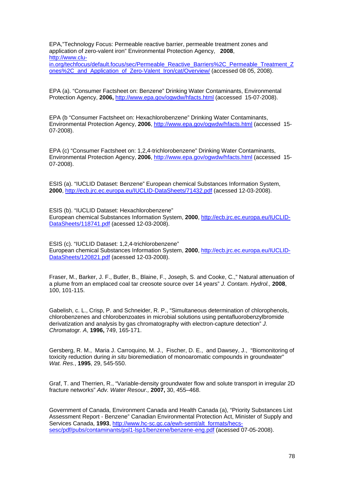EPA,"Technology Focus: Permeable reactive barrier, permeable treatment zones and application of zero-valent iron" Environmental Protection Agency, **2008**, http://www.clu-

in.org/techfocus/default.focus/sec/Permeable\_Reactive\_Barriers%2C\_Permeable\_Treatment\_Z ones%2C\_and\_Application\_of\_Zero-Valent\_Iron/cat/Overview/ (accessed 08 05, 2008).

EPA (a). "Consumer Factsheet on: Benzene" Drinking Water Contaminants, Environmental Protection Agency, **2006,** http://www.epa.gov/ogwdw/hfacts.html (accessed 15-07-2008).

EPA (b "Consumer Factsheet on: Hexachlorobenzene" Drinking Water Contaminants, Environmental Protection Agency, **2006**, http://www.epa.gov/ogwdw/hfacts.html (accessed 15- 07-2008).

EPA (c) "Consumer Factsheet on: 1,2,4-trichlorobenzene" Drinking Water Contaminants, Environmental Protection Agency, **2006**, http://www.epa.gov/ogwdw/hfacts.html (accessed 15- 07-2008).

ESIS (a). "IUCLID Dataset: Benzene" European chemical Substances Information System, **2000**, http://ecb.jrc.ec.europa.eu/IUCLID-DataSheets/71432.pdf (acessed 12-03-2008).

ESIS (b). "IUCLID Dataset: Hexachlorobenzene" European chemical Substances Information System, **2000**, http://ecb.jrc.ec.europa.eu/IUCLID-DataSheets/118741.pdf (acessed 12-03-2008).

ESIS (c). "IUCLID Dataset: 1,2,4-trichlorobenzene" European chemical Substances Information System, **2000**, http://ecb.jrc.ec.europa.eu/IUCLID-DataSheets/120821.pdf (acessed 12-03-2008).

Fraser, M., Barker, J. F., Butler, B., Blaine, F., Joseph, S. and Cooke, C.," Natural attenuation of a plume from an emplaced coal tar creosote source over 14 years" *J. Contam. Hydrol.,* **2008**, 100, 101-115.

Gabelish, c. L., Crisp, P. and Schneider, R. P., "Simultaneous determination of chlorophenols, chlorobenzenes and chlorobenzoates in microbial solutions using pentafluorobenzylbromide derivatization and analysis by gas chromatography with electron-capture detection" *J. Chromatogr. A*, **1996,** 749, 165-171.

Gersberg, R. M., Maria J. Carroquino, M. J., Fischer, D. E., and Dawsey, J., "Biomonitoring of toxicity reduction during *in situ* bioremediation of monoaromatic compounds in groundwater" *Wat. Res.*, **1995**, 29, 545-550.

Graf, T. and Therrien, R., "Variable-density groundwater flow and solute transport in irregular 2D fracture networks" *Adv. Water Resour.,* **2007,** 30, 455–468.

Government of Canada, Environment Canada and Health Canada (a), "Priority Substances List Assessment Report - Benzene" Canadian Environmental Protection Act, Minister of Supply and Services Canada, **1993**, http://www.hc-sc.gc.ca/ewh-semt/alt\_formats/hecssesc/pdf/pubs/contaminants/psl1-lsp1/benzene/benzene-eng.pdf (acessed 07-05-2008).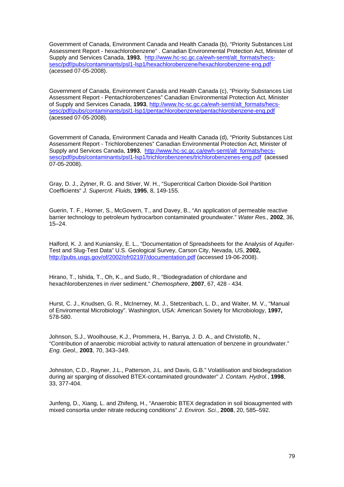Government of Canada, Environment Canada and Health Canada (b), "Priority Substances List Assessment Report - hexachlorobenzene" . Canadian Environmental Protection Act, Minister of Supply and Services Canada, **1993**, http://www.hc-sc.gc.ca/ewh-semt/alt\_formats/hecssesc/pdf/pubs/contaminants/psl1-lsp1/hexachlorobenzene/hexachlorobenzene-eng.pdf (acessed 07-05-2008).

Government of Canada, Environment Canada and Health Canada (c), "Priority Substances List Assessment Report - Pentachlorobenzenes" Canadian Environmental Protection Act, Minister of Supply and Services Canada, **1993**, http://www.hc-sc.gc.ca/ewh-semt/alt\_formats/hecssesc/pdf/pubs/contaminants/psl1-lsp1/pentachlorobenzene/pentachlorobenzene-eng.pdf (acessed 07-05-2008).

Government of Canada, Environment Canada and Health Canada (d), "Priority Substances List Assessment Report - Trichlorobenzenes" Canadian Environmental Protection Act, Minister of Supply and Services Canada, **1993**, http://www.hc-sc.gc.ca/ewh-semt/alt\_formats/hecssesc/pdf/pubs/contaminants/psl1-lsp1/trichlorobenzenes/trichlorobenzenes-eng.pdf (acessed 07-05-2008).

Gray, D. J., Zytner, R. G. and Stiver, W. H., "Supercritical Carbon Dioxide-Soil Partition Coefficients" *J. Supercrit. Fluids,* **1995**, 8, 149-155.

Guerin, T. F., Horner, S., McGovern, T., and Davey, B., "An application of permeable reactive barrier technology to petroleum hydrocarbon contaminated groundwater." *Water Res.,* **2002**, 36, 15–24.

Halford, K. J. and Kuniansky, E. L., "Documentation of Spreadsheets for the Analysis of Aquifer-Test and Slug-Test Data" U.S. Geological Survey, Carson City, Nevada, US, **2002,** http://pubs.usgs.gov/of/2002/ofr02197/documentation.pdf (accessed 19-06-2008).

Hirano, T., Ishida, T., Oh, K., and Sudo, R., "Biodegradation of chlordane and hexachlorobenzenes in river sediment." *Chemosphere*, **2007**, 67, 428 - 434.

Hurst, C. J., Knudsen, G. R., McInerney, M. J., Stetzenbach, L. D., and Walter, M. V., "Manual of Enviromental Microbiology". Washington, USA: American Soviety for Microbiology, **1997,** 578-580.

Johnson, S.J., Woolhouse, K.J., Prommera, H., Barrya, J. D. A., and Christofib, N., "Contribution of anaerobic microbial activity to natural attenuation of benzene in groundwater." *Eng. Geol.,* **2003**, 70, 343–349.

Johnston, C.D., Rayner, J.L., Patterson, J.L. and Davis, G.B." Volatilisation and biodegradation during air sparging of dissolved BTEX-contaminated groundwater" *J. Contam. Hydrol.*, **1998**, 33, 377-404.

Junfeng, D., Xiang, L. and Zhifeng, H., "Anaerobic BTEX degradation in soil bioaugmented with mixed consortia under nitrate reducing conditions" *J. Environ. Sci.*, **2008**, 20, 585–592.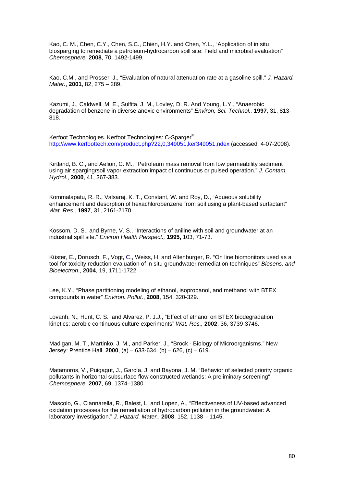Kao, C. M., Chen, C.Y., Chen, S.C., Chien, H.Y. and Chen, Y.L., "Application of in situ biosparging to remediate a petroleum-hydrocarbon spill site: Field and microbial evaluation" *Chemosphere,* **2008**, 70, 1492-1499.

Kao, C.M., and Prosser, J., "Evaluation of natural attenuation rate at a gasoline spill." *J. Hazard. Mater.*, **2001**, 82, 275 – 289.

Kazumi, J., Caldwell, M. E., Sulfita, J. M., Lovley, D. R. And Young, L.Y., "Anaerobic degradation of benzene in diverse anoxic environments" *Environ, Sci. Technol.,* **1997**, 31, 813- 818.

Kerfoot Technologies. Kerfoot Technologies: C-Sparger<sup>®</sup>. http://www.kerfoottech.com/product.php?22,0,349051,ker349051,ndex (accessed 4-07-2008).

Kirtland, B. C., and Aelion, C. M., "Petroleum mass removal from low permeability sediment using air spargingrsoil vapor extraction:impact of continuous or pulsed operation." *J. Contam. Hydrol.*, **2000**, 41, 367-383.

Kommalapatu, R. R., Valsaraj, K. T., Constant, W. and Roy, D., "Aqueous solubility enhancement and desorption of hexachlorobenzene from soil using a plant-based surfactant" *Wat. Res.,* **1997**, 31, 2161-2170.

Kossom, D. S., and Byrne, V. S., "Interactions of aniline with soil and groundwater at an industrial spill site." *Environ Health Perspect.,* **1995,** 103, 71-73.

Küster, E., Dorusch, F., Vogt, C., Weiss, H. and Altenburger, R. "On line biomonitors used as a tool for toxicity reduction evaluation of in situ groundwater remediation techniques" *Biosens. and Bioelectron.*, **2004**, 19, 1711-1722.

Lee, K.Y., "Phase partitioning modeling of ethanol, isopropanol, and methanol with BTEX compounds in water" *Environ. Pollut.*, **2008**, 154, 320-329.

Lovanh, N., Hunt, C. S. and Alvarez, P. J.J., "Effect of ethanol on BTEX biodegradation kinetics: aerobic continuous culture experiments" *Wat. Res.,* **2002**, 36, 3739-3746.

Madigan, M. T., Martinko, J. M., and Parker, J., "Brock - Biology of Microorganisms." New Jersey: Prentice Hall, **2000**, (a) – 633-634, (b) – 626, (c) – 619.

Matamoros, V., Puigagut, J., García, J. and Bayona, J. M. "Behavior of selected priority organic pollutants in horizontal subsurface flow constructed wetlands: A preliminary screening" *Chemosphere,* **2007**, 69, 1374–1380.

Mascolo, G., Ciannarella, R., Balest, L. and Lopez, A., "Effectiveness of UV-based advanced oxidation processes for the remediation of hydrocarbon pollution in the groundwater: A laboratory investigation." *J. Hazard. Mater.*, **2008**, 152, 1138 – 1145.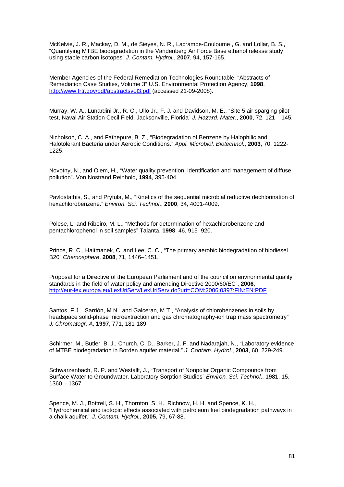McKelvie, J. R., Mackay, D. M., de Sieyes, N. R., Lacrampe-Couloume , G. and Lollar, B. S., "Quantifying MTBE biodegradation in the Vandenberg Air Force Base ethanol release study using stable carbon isotopes" *J. Contam. Hydrol.*, **2007**, 94, 157-165.

Member Agencies of the Federal Remediation Technologies Roundtable, "Abstracts of Remediation Case Studies, Volume 3" U.S. Environmental Protection Agency, **1998**, http://www.frtr.gov/pdf/abstractsvol3.pdf (accessed 21-09-2008).

Murray, W. A., Lunardini Jr., R. C., Ullo Jr., F. J. and Davidson, M. E., "Site 5 air sparging pilot test, Naval Air Station Cecil Field, Jacksonville, Florida" *J. Hazard. Mater.*, **2000**, 72, 121 – 145.

Nicholson, C. A., and Fathepure, B. Z., "Biodegradation of Benzene by Halophilic and Halotolerant Bacteria under Aerobic Conditions." *Appl. Microbiol. Biotechnol.*, **2003**, 70, 1222- 1225.

Novotny, N., and Olem, H., "Water quality prevention, identification and management of diffuse pollution". Von Nostrand Reinhold, **1994**, 395-404.

Pavlostathis, S., and Prytula, M., "Kinetics of the sequential microbial reductive dechlorination of hexachlorobenzene." *Environ. Sci. Technol*., **2000**, 34, 4001-4009.

Polese, L. and Ribeiro, M. L., "Methods for determination of hexachlorobenzene and pentachlorophenol in soil samples" Talanta, **1998**, 46, 915–920.

Prince, R. C., Haitmanek, C. and Lee, C. C., "The primary aerobic biodegradation of biodiesel B20" *Chemosphere*, **2008**, 71, 1446–1451.

Proposal for a Directive of the European Parliament and of the council on environmental quality standards in the field of water policy and amending Directive 2000/60/EC", **2006**, http://eur-lex.europa.eu/LexUriServ/LexUriServ.do?uri=COM:2006:0397:FIN:EN:PDF

Santos, F.J., Sarrión, M.N. and Galceran, M.T., "Analysis of chlorobenzenes in soils by headspace solid-phase microextraction and gas chromatography-ion trap mass spectrometry" *J. Chromatogr. A*, **1997**, 771, 181-189.

Schirmer, M., Butler, B. J., Church, C. D., Barker, J. F. and Nadarajah, N., "Laboratory evidence of MTBE biodegradation in Borden aquifer material." *J. Contam. Hydrol.*, **2003**, 60, 229-249.

Schwarzenbach, R. P. and Westallt, J., "Transport of Nonpolar Organic Compounds from Surface Water to Groundwater. Laboratory Sorption Studies" *Environ. Sci. Technol*., **1981**, 15, 1360 – 1367.

Spence, M. J., Bottrell, S. H., Thornton, S. H., Richnow, H. H. and Spence, K. H., "Hydrochemical and isotopic effects associated with petroleum fuel biodegradation pathways in a chalk aquifer." *J. Contam. Hydrol.*, **2005**, 79, 67-88.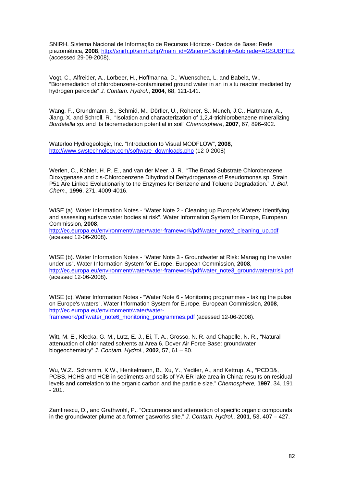SNIRH. Sistema Nacional de Informação de Recursos Hídricos - Dados de Base: Rede piezométrica, **2008**, http://snirh.pt/snirh.php?main\_id=2&item=1&objlink=&objrede=AGSUBPIEZ (accessed 29-09-2008).

Vogt, C., Alfreider, A., Lorbeer, H., Hoffmanna, D., Wuenschea, L. and Babela, W., "Bioremediation of chlorobenzene-contaminated ground water in an in situ reactor mediated by hydrogen peroxide" *J. Contam. Hydrol.*, **2004**, 68, 121-141.

Wang, F., Grundmann, S., Schmid, M., Dörfler, U., Roherer, S., Munch, J.C., Hartmann, A., Jiang, X. and Schroll, R., "Isolation and characterization of 1,2,4-trichlorobenzene mineralizing *Bordetella sp.* and its bioremediation potential in soil" *Chemosphere*, **2007**, 67, 896–902.

Waterloo Hydrogeologic, Inc. "Introduction to Visual MODFLOW", **2008**, http://www.swstechnology.com/software\_downloads.php (12-0-2008)

Werlen, C., Kohler, H. P. E., and van der Meer, J. R., "The Broad Substrate Chlorobenzene Dioxygenase and cis-Chlorobenzene Dihydrodiol Dehydrogenase of Pseudomonas sp. Strain P51 Are Linked Evolutionarily to the Enzymes for Benzene and Toluene Degradation." *J. Biol. Chem.,* **1996**, 271, 4009-4016.

WISE (a). Water Information Notes - "Water Note 2 - Cleaning up Europe's Waters: Identifying and assessing surface water bodies at risk". Water Information System for Europe, European Commission, **2008**,

http://ec.europa.eu/environment/water/water-framework/pdf/water\_note2\_cleaning\_up.pdf (acessed 12-06-2008).

WISE (b). Water Information Notes - "Water Note 3 - Groundwater at Risk: Managing the water under us". Water Information System for Europe, European Commission, **2008**, http://ec.europa.eu/environment/water/water-framework/pdf/water\_note3\_groundwateratrisk.pdf (acessed 12-06-2008).

WISE (c). Water Information Notes - "Water Note 6 - Monitoring programmes - taking the pulse on Europe's waters". Water Information System for Europe, European Commission, **2008**, http://ec.europa.eu/environment/water/waterframework/pdf/water\_note6\_monitoring\_programmes.pdf (acessed 12-06-2008).

Witt, M. E., Klecka, G. M., Lutz, E. J., Ei, T. A., Grosso, N. R. and Chapelle, N. R., "Natural attenuation of chlorinated solvents at Area 6, Dover Air Force Base: groundwater biogeochemistry" *J. Contam. Hydrol.,* **2002**, 57, 61 – 80.

Wu, W.Z., Schramm, K.W., Henkelmann, B., Xu, Y., Yediler, A., and Kettrup, A., "PCDD&, PCBS, HCHS and HCB in sediments and soils of YA-ER lake area in China: results on residual levels and correlation to the organic carbon and the particle size." *Chemosphere,* **1997**, 34, 191  $-201.$ 

Zamfirescu, D., and Grathwohl, P., "Occurrence and attenuation of specific organic compounds in the groundwater plume at a former gasworks site." *J. Contam. Hydrol.,* **2001**, 53, 407 – 427.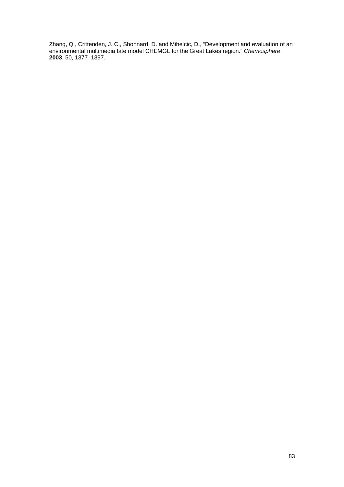Zhang, Q., Crittenden, J. C., Shonnard, D. and Mihelcic, D., "Development and evaluation of an environmental multimedia fate model CHEMGL for the Great Lakes region." *Chemosphere*, **2003**, 50, 1377–1397.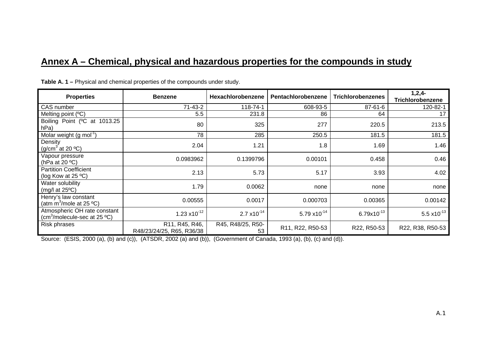# **Annex A – Chemical, physical and hazardous properties for the compounds in study**

| <b>Properties</b>                                                                  | <b>Benzene</b>                              | Hexachlorobenzene       | Pentachlorobenzene | <b>Trichlorobenzenes</b> | $1,2,4-$<br>Trichlorobenzene |
|------------------------------------------------------------------------------------|---------------------------------------------|-------------------------|--------------------|--------------------------|------------------------------|
| CAS number                                                                         | $71 - 43 - 2$                               | 118-74-1                | 608-93-5           | $87 - 61 - 6$            | 120-82-1                     |
| Melting point (°C)                                                                 | 5.5                                         | 231.8                   | 86                 | 64                       | 17                           |
| Boiling Point (°C at 1013.25<br>hPa)                                               | 80                                          | 325                     | 277                | 220.5                    | 213.5                        |
| Molar weight $(g \text{ mol}^{-1})$                                                | 78                                          | 285                     | 250.5              | 181.5                    | 181.5                        |
| Density<br>(g/cm <sup>3</sup> at 20 $^{\circ}$ C)                                  | 2.04                                        | 1.21                    | 1.8                | 1.69                     | 1.46                         |
| Vapour pressure<br>(hPa at 20 $\degree$ C)                                         | 0.0983962                                   | 0.1399796               | 0.00101            | 0.458                    | 0.46                         |
| <b>Partition Coefficient</b><br>(log Kow at $25 °C$ )                              | 2.13                                        | 5.73                    | 5.17               | 3.93                     | 4.02                         |
| Water solubility<br>(mg/l at $25^{\circ}$ C)                                       | 1.79                                        | 0.0062                  | none               | none                     | none                         |
| Henry's law constant<br>(atm $m^3$ /mole at 25 °C)                                 | 0.00555                                     | 0.0017                  | 0.000703           | 0.00365                  | 0.00142                      |
| Atmospheric OH rate constant<br>(cm <sup>3</sup> /molecule-sec at 25 $^{\circ}$ C) | $1.23 \times 10^{-12}$                      | $2.7 \times 10^{-14}$   | 5.79 $x10^{-14}$   | $6.79x10^{-13}$          | 5.5 $x10^{-13}$              |
| Risk phrases                                                                       | R11, R45, R46,<br>R48/23/24/25, R65, R36/38 | R45, R48/25, R50-<br>53 | R11, R22, R50-53   | R22, R50-53              | R22, R38, R50-53             |

**Table A. 1 –** Physical and chemical properties of the compounds under study.

Source: (ESIS, 2000 (a), (b) and (c)), (ATSDR, 2002 (a) and (b)), (Government of Canada, 1993 (a), (b), (c) and (d)).